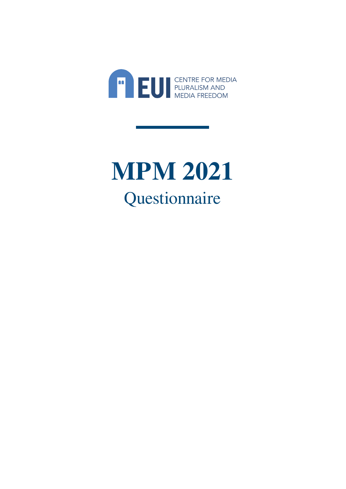

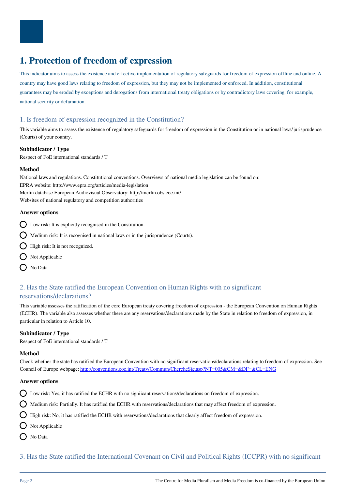

# **1. Protection of freedom of expression**

This indicator aims to assess the existence and effective implementation of regulatory safeguards for freedom of expression offline and online. A country may have good laws relating to freedom of expression, but they may not be implemented or enforced. In addition, constitutional guarantees may be eroded by exceptions and derogations from international treaty obligations or by contradictory laws covering, for example, national security or defamation.

# 1. Is freedom of expression recognized in the Constitution?

This variable aims to assess the existence of regulatory safeguards for freedom of expression in the Constitution or in national laws/jurisprudence (Courts) of your country.

#### **Subindicator / Type**

Respect of FoE international standards / T

### **Method**

National laws and regulations. Constitutional conventions. Overviews of national media legislation can be found on: EPRA website: http://www.epra.org/articles/media-legislation Merlin database European Audiovisual Observatory: http://merlin.obs.coe.int/ Websites of national regulatory and competition authorities

### **Answer options**

- $\sum$  Low risk: It is explicitly recognised in the Constitution.
- $\bigcirc$  Medium risk: It is recognised in national laws or in the jurisprudence (Courts).
- $\bigcap$  High risk: It is not recognized.
- $\bigcirc$  Not Applicable
- O No Data

# 2. Has the State ratified the European Convention on Human Rights with no significant reservations/declarations?

This variable assesses the ratification of the core European treaty covering freedom of expression - the European Convention on Human Rights (ECHR). The variable also assesses whether there are any reservations/declarations made by the State in relation to freedom of expression, in particular in relation to Article 10.

# **Subindicator / Type**

Respect of FoE international standards / T

#### **Method**

Check whether the state has ratified the European Convention with no significant reservations/declarations relating to freedom of expression. See Council of Europe webpage:<http://conventions.coe.int/Treaty/Commun/ChercheSig.asp?NT=005&CM=&DF=&CL=ENG>

#### **Answer options**

Low risk: Yes, it has ratified the ECHR with no signiicant reservations/declarations on freedom of expression.

 $\Omega$  Medium risk: Partially. It has ratified the ECHR with reservations/declarations that may affect freedom of expression.

High risk: No, it has ratified the ECHR with reservations/declarations that clearly affect freedom of expression.

- $\bigcap$  Not Applicable
- O No Data

3. Has the State ratified the International Covenant on Civil and Political Rights (ICCPR) with no significant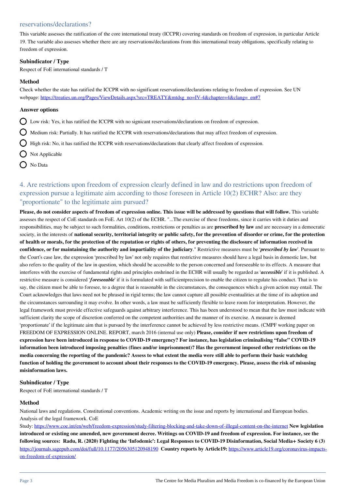# reservations/declarations?

This variable assesses the ratification of the core international treaty (ICCPR) covering standards on freedom of expression, in particular Article 19. The variable also assesses whether there are any reservations/declarations from this international treaty obligations, specifically relating to freedom of expression.

#### **Subindicator / Type**

Respect of FoE international standards / T

### **Method**

Check whether the state has ratified the ICCPR with no significant reservations/declarations relating to freedom of expression. See UN webpage: [https://treaties.un.org/Pages/ViewDetails.aspx?src=TREATY&mtdsg\\_no=IV-4&chapter=4&clang=\\_en#7](https://treaties.un.org/Pages/ViewDetails.aspx?src=TREATY&mtdsg_no=IV-4&chapter=4&clang=_en#7)

#### **Answer options**

- $\bigcirc$  Low risk: Yes, it has ratified the ICCPR with no signicant reservations/declarations on freedom of expression.
- $\bigcap$  Medium risk: Partially. It has ratified the ICCPR with reservations/declarations that may affect freedom of expression.
- $\bigcirc$  High risk: No, it has ratified the ICCPR with reservations/declarations that clearly affect freedom of expression.
- $\bigcirc$  Not Applicable
- $\bigcap$  No Data

# 4. Are restrictions upon freedom of expression clearly defined in law and do restrictions upon freedom of expression pursue a legitimate aim according to those foreseen in Article 10(2) ECHR? Also: are they "proportionate" to the legitimate aim pursued?

**Please, do not consider aspects of freedom of expression online. This issue will be addressed by questions that will follow.** This variable assesses the respect of CoE standards on FoE. Art 10(2) of the ECHR. "...The exercise of these freedoms, since it carries with it duties and responsibilities, may be subject to such formalities, conditions, restrictions or penalties as are **prescribed by law** and are necessary in a democratic society, in the interests of **national security, territorial integrity or public safety, for the prevention of disorder or crime, for the protection of health or morals, for the protection of the reputation or rights of others, for preventing the disclosure of information received in confidence, or for maintaining the authority and impartiality of the judiciary**." Restrictive measures must be '*prescribed by law*'. Pursuant to the Court's case law, the expression 'prescribed by law' not only requires that restrictive measures should have a legal basis in domestic law, but also refers to the quality of the law in question, which should be accessible to the person concerned and foreseeable to its effects. A measure that interferes with the exercise of fundamental rights and principles enshrined in the ECHR will usually be regarded as '*accessible*' if it is published. A restrictive measure is considered '*foreseeable*' if it is formulated with sufficientprecision to enable the citizen to regulate his conduct. That is to say, the citizen must be able to foresee, to a degree that is reasonable in the circumstances, the consequences which a given action may entail. The Court acknowledges that laws need not be phrased in rigid terms; the law cannot capture all possible eventualities at the time of its adoption and the circumstances surrounding it may evolve. In other words, a law must be sufficiently flexible to leave room for interpretation. However, the legal framework must provide effective safeguards against arbitrary interference. This has been understood to mean that the law must indicate with sufficient clarity the scope of discretion conferred on the competent authorities and the manner of its exercise. A measure is deemed 'proportionate' if the legitimate aim that is pursued by the interference cannot be achieved by less restrictive means. (CMPF working paper on FREEDOM OF EXPRESSION ONLINE. REPORT, march 2016 (internal use only) **Please, consider if new restrictions upon freedom of expression have been introduced in response to COVID-19 emergency? For instance, has legislation criminalising "false" COVID-19 information been introduced imposing penalties (fines and/or imprisonment)? Has the government imposed other restrictions on the media concerning the reporting of the pandemic? Assess to what extent the media were still able to perform their basic watchdog function of holding the government to account about their responses to the COVID-19 emergency. Please, assess the risk of misusing misinformation laws.**

#### **Subindicator / Type**

Respect of FoE international standards / T

#### **Method**

National laws and regulations. Constitutional conventions. Academic writing on the issue and reports by international and European bodies. Analysis of the legal framework. CoE

Study: <https://www.coe.int/en/web/freedom-expression/study-filtering-blocking-and-take-down-of-illegal-content-on-the-internet> **New legislation introduced or existing one amended, new government decree. Writings on COVID-19 and freedom of expression. For instance, see the following sources: Radu, R. (2020) Fighting the 'Infodemic': Legal Responses to COVID-19 Disinformation, Social Media+ Society 6 (3)** <https://journals.sagepub.com/doi/full/10.1177/2056305120948190> **Country reports by Article19:** [https://www.article19.org/coronavirus-impacts](https://www.article19.org/coronavirus-impacts-on-freedom-of-expression/)[on-freedom-of-expression/](https://www.article19.org/coronavirus-impacts-on-freedom-of-expression/)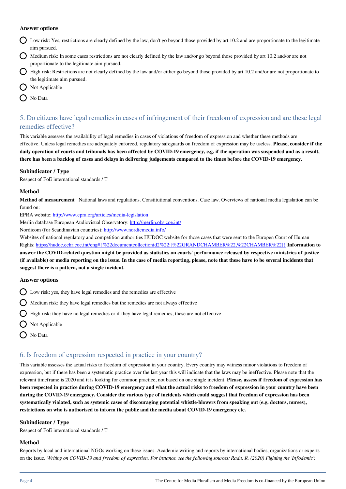#### **Answer options**

- Low risk: Yes, restrictions are clearly defined by the law, don't go beyond those provided by art 10.2 and are proportionate to the legitimate aim pursued.
- Medium risk: In some cases restrictions are not clearly defined by the law and/or go beyond those provided by art 10.2 and/or are not proportionate to the legitimate aim pursued.
- High risk: Restrictions are not clearly defined by the law and/or either go beyond those provided by art 10.2 and/or are not proportionate to the legitimate aim pursued.
- $\bigcap$  Not Applicable
- $\bigcap$  No Data

# 5. Do citizens have legal remedies in cases of infringement of their freedom of expression and are these legal remedies effective?

This variable assesses the availability of legal remedies in cases of violations of freedom of expression and whether these methods are effective. Unless legal remedies are adequately enforced, regulatory safeguards on freedom of expression may be useless. **Please, consider if the daily operation of courts and tribunals has been affected by COVID-19 emergency, e.g. if the operation was suspended and as a result, there has been a backlog of cases and delays in delivering judgements compared to the times before the COVID-19 emergency.** 

#### **Subindicator / Type**

Respect of FoE international standards / T

#### **Method**

**Method of measurement** National laws and regulations. Constitutional conventions. Case law. Overviews of national media legislation can be found on:

EPRA website: <http://www.epra.org/articles/media-legislation>

Merlin database European Audiovisual Observatory:<http://merlin.obs.coe.int/>

Nordicom (for Scandinavian countries): <http://www.nordicmedia.info/>

Websites of national regulatory and competition authorities HUDOC website for those cases that were sent to the Europen Court of Human Rights: [https://hudoc.echr.coe.int/eng#{%22documentcollectionid2%22:\[%22GRANDCHAMBER%22,%22CHAMBER%22\]}](https://hudoc.echr.coe.int/eng#{%22documentcollectionid2%22:[%22GRANDCHAMBER%22,%22CHAMBER%22]}) **Information to answer the COVID-related question might be provided as statistics on courts' performance released by respective ministries of justice (if available) or media reporting on the issue. In the case of media reporting, please, note that these have to be several incidents that suggest there is a pattern, not a single incident.** 

#### **Answer options**

- $\bigcap$  Low risk: yes, they have legal remedies and the remedies are effective
- $\bigcirc$  Medium risk: they have legal remedies but the remedies are not always effective
- $\bigcirc$  High risk: they have no legal remedies or if they have legal remedies, these are not effective
- $\bigcap$  Not Applicable
- O No Data

# 6. Is freedom of expression respected in practice in your country?

This variable assesses the actual risks to freedom of expression in your country. Every country may witness minor violations to freedom of expression, but if there has been a systematic practice over the last year this will indicate that the laws may be ineffective. Please note that the relevant timeframe is 2020 and it is looking for common practice, not based on one single incident. **Please, assess if freedom of expression has been respected in practice during COVID-19 emergency and what the actual risks to freedom of expression in your country have been during the COVID-19 emergency. Consider the various type of incidents which could suggest that freedom of expression has been systematically violated, such as systemic cases of discouraging potential whistle-blowers from speaking out (e.g. doctors, nurses), restrictions on who is authorised to inform the public and the media about COVID-19 emergency etc.** 

### **Subindicator / Type**

Respect of FoE international standards / T

#### **Method**

Reports by local and international NGOs working on these issues. Academic writing and reports by international bodies, organizations or experts on the issue. *Writing on COVID-19 and freedom of expression. For instance, see the following sources: Radu, R. (2020) Fighting the 'Infodemic':*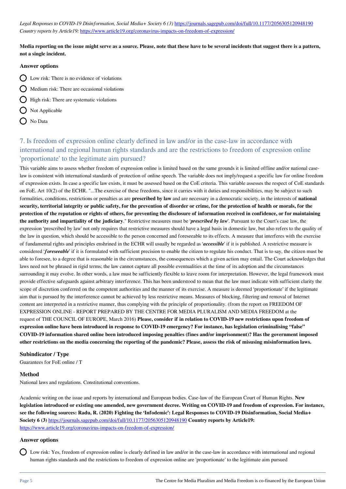Legal Responses to COVID-19 Disinformation, Social Media+ Society 6 (3) <https://journals.sagepub.com/doi/full/10.1177/2056305120948190> *Country reports by Article19:* <https://www.article19.org/coronavirus-impacts-on-freedom-of-expression/>

### **Media reporting on the issue might serve as a source. Please, note that these have to be several incidents that suggest there is a pattern, not a single incident.**

#### **Answer options**

- $\bigcap$  Low risk: There is no evidence of violations
- $\bigcirc$  Medium risk: There are occasional violations
- $\bigcap$  High risk: There are systematic violations
- $\bigcirc$  Not Applicable
- O No Data

# 7. Is freedom of expression online clearly defined in law and/or in the case-law in accordance with international and regional human rights standards and are the restrictions to freedom of expression online 'proportionate' to the legitimate aim pursued?

This variable aims to assess whether freedom of expression online is limited based on the same grounds it is limited offline and/or national caselaw is consistent with international standards of protection of online speech. The variable does not imply/request a specific law for online freedom of expression exists. In case a specific law exists, it must be assessed based on the CoE criteria. This variable assesses the respect of CoE standards on FoE. Art 10(2) of the ECHR. "...The exercise of these freedoms, since it carries with it duties and responsibilities, may be subject to such formalities, conditions, restrictions or penalties as are **prescribed by law** and are necessary in a democratic society, in the interests of **national security, territorial integrity or public safety, for the prevention of disorder or crime, for the protection of health or morals, for the protection of the reputation or rights of others, for preventing the disclosure of information received in confidence, or for maintaining the authority and impartiality of the judiciary**." Restrictive measures must be '*prescribed by law*'. Pursuant to the Court's case law, the expression 'prescribed by law' not only requires that restrictive measures should have a legal basis in domestic law, but also refers to the quality of the law in question, which should be accessible to the person concerned and foreseeable to its effects. A measure that interferes with the exercise of fundamental rights and principles enshrined in the ECHR will usually be regarded as '*accessible*' if it is published. A restrictive measure is considered '*foreseeable*' if it is formulated with sufficient precision to enable the citizen to regulate his conduct. That is to say, the citizen must be able to foresee, to a degree that is reasonable in the circumstances, the consequences which a given action may entail. The Court acknowledges that laws need not be phrased in rigid terms; the law cannot capture all possible eventualities at the time of its adoption and the circumstances surrounding it may evolve. In other words, a law must be sufficiently flexible to leave room for interpretation. However, the legal framework must provide effective safeguards against arbitrary interference. This has been understood to mean that the law must indicate with sufficient clarity the scope of discretion conferred on the competent authorities and the manner of its exercise. A measure is deemed 'proportionate' if the legitimate aim that is pursued by the interference cannot be achieved by less restrictive means. Measures of blocking, filtering and removal of Internet content are interpreted in a restrictive manner, thus complying with the principle of proportionality. (from the report on FREEDOM OF EXPRESSION ONLINE - REPORT PREPARED BY THE CENTRE FOR MEDIA PLURALISM AND MEDIA FREEDOM at the request of THE COUNCIL OF EUROPE, March 2016) **Please, consider if in relation to COVID-19 new restrictions upon freedom of expression online have been introduced in response to COVID-19 emergency? For instance, has legislation criminalising "false" COVID-19 information shared online been introduced imposing penalties (fines and/or imprisonment)? Has the government imposed other restrictions on the media concerning the reporting of the pandemic? Please, assess the risk of misusing misinformation laws.**

#### **Subindicator / Type**

Guarantees for FoE online / T

#### **Method**

National laws and regulations. Constitutional conventions.

Academic writing on the issue and reports by international and European bodies. Case-law of the European Court of Human Rights. **New legislation introduced or existing one amended, new government decree. Writing on COVID-19 and freedom of expression. For instance, see the following sources: Radu, R. (2020) Fighting the 'Infodemic': Legal Responses to COVID-19 Disinformation, Social Media+ Society 6 (3)** <https://journals.sagepub.com/doi/full/10.1177/2056305120948190> **Country reports by Article19:**  <https://www.article19.org/coronavirus-impacts-on-freedom-of-expression/>

#### **Answer options**

Low risk: Yes, freedom of expression online is clearly defined in law and/or in the case-law in accordance with international and regional human rights standards and the restrictions to freedom of expression online are 'proportionate' to the legitimate aim pursued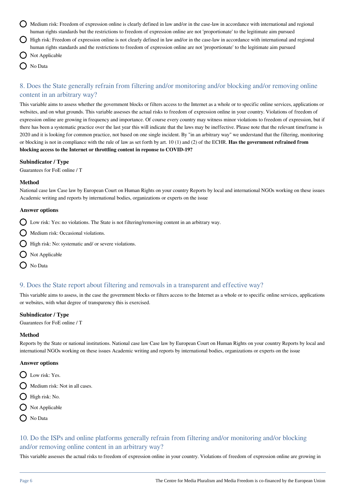- Medium risk: Freedom of expression online is clearly defined in law and/or in the case-law in accordance with international and regional human rights standards but the restrictions to freedom of expression online are not 'proportionate' to the legitimate aim pursued High risk: Freedom of expression online is not clearly defined in law and/or in the case-law in accordance with international and regional human rights standards and the restrictions to freedom of expression online are not 'proportionate' to the legitimate aim pursued Not Applicable
	- No Data

# 8. Does the State generally refrain from filtering and/or monitoring and/or blocking and/or removing online content in an arbitrary way?

This variable aims to assess whether the government blocks or filters access to the Internet as a whole or to specific online services, applications or websites, and on what grounds. This variable assesses the actual risks to freedom of expression online in your country. Violations of freedom of expression online are growing in frequency and importance. Of course every country may witness minor violations to freedom of expression, but if there has been a systematic practice over the last year this will indicate that the laws may be ineffective. Please note that the relevant timeframe is 2020 and it is looking for common practice, not based on one single incident. By "in an arbitrary way" we understand that the filtering, monitoring or blocking is not in compliance with the rule of law as set forth by art. 10 (1) and (2) of the ECHR. **Has the government refrained from blocking access to the Internet or throttling content in reponse to COVID-19?** 

#### **Subindicator / Type**

Guarantees for FoE online / T

#### **Method**

National case law Case law by European Court on Human Rights on your country Reports by local and international NGOs working on these issues Academic writing and reports by international bodies, organizations or experts on the issue

#### **Answer options**

- $\bigcirc$  Low risk: Yes: no violations. The State is not filtering/removing content in an arbitrary way.
- $\bigcap$  Medium risk: Occasional violations.
- $\bigcirc$  High risk: No: systematic and/ or severe violations.
- $\bigcirc$  Not Applicable
- O No Data

# 9. Does the State report about filtering and removals in a transparent and effective way?

This variable aims to assess, in the case the government blocks or filters access to the Internet as a whole or to specific online services, applications or websites, with what degree of transparency this is exercised.

#### **Subindicator / Type**

Guarantees for FoE online / T

#### **Method**

Reports by the State or national institutions. National case law Case law by European Court on Human Rights on your country Reports by local and international NGOs working on these issues Academic writing and reports by international bodies, organizations or experts on the issue

#### **Answer options**

- D Low risk: Yes.
- $\bigcap$  Medium risk: Not in all cases.
- **High risk: No.**
- $\bigcirc$  Not Applicable
- O No Data

# 10. Do the ISPs and online platforms generally refrain from filtering and/or monitoring and/or blocking and/or removing online content in an arbitrary way?

This variable assesses the actual risks to freedom of expression online in your country. Violations of freedom of expression online are growing in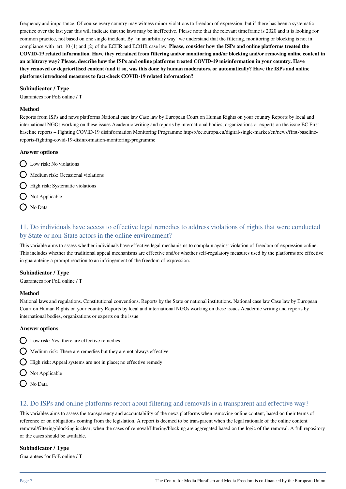frequency and importance. Of course every country may witness minor violations to freedom of expression, but if there has been a systematic practice over the last year this will indicate that the laws may be ineffective. Please note that the relevant timeframe is 2020 and it is looking for common practice, not based on one single incident. By "in an arbitrary way" we understand that the filtering, monitoring or blocking is not in compliance with art. 10 (1) and (2) of the ECHR and ECtHR case law. **Please, consider how the ISPs and online platforms treated the COVID-19 related information. Have they refrained from filtering and/or monitoring and/or blocking and/or removing online content in an arbitrary way? Please, describe how the ISPs and online platforms treated COVID-19 misinformation in your country. Have they removed or deprioritised content (and if so, was this done by human moderators, or automatically? Have the ISPs and online platforms introduced measures to fact-check COVID-19 related information?**

#### **Subindicator / Type**

Guarantees for FoE online / T

#### **Method**

Reports from ISPs and news platforms National case law Case law by European Court on Human Rights on your country Reports by local and international NGOs working on these issues Academic writing and reports by international bodies, organizations or experts on the issue EC First baseline reports – Fighting COVID-19 disinformation Monitoring Programme https://ec.europa.eu/digital-single-market/en/news/first-baselinereports-fighting-covid-19-disinformation-monitoring-programme

#### **Answer options**

- $\bigcap$  Low risk: No violations
- $\bigcirc$  Medium risk: Occasional violations
	- **High risk:** Systematic violations
- $\bigcap$  Not Applicable
- $\bigcap$  No Data

# 11. Do individuals have access to effective legal remedies to address violations of rights that were conducted by State or non-State actors in the online environment?

This variable aims to assess whether individuals have effective legal mechanisms to complain against violation of freedom of expression online. This includes whether the traditional appeal mechanisms are effective and/or whether self-regulatory measures used by the platforms are effective in guaranteing a prompt reaction to an infringement of the freedom of expression.

#### **Subindicator / Type**

Guarantees for FoE online / T

#### **Method**

National laws and regulations. Constitutional conventions. Reports by the State or national institutions. National case law Case law by European Court on Human Rights on your country Reports by local and international NGOs working on these issues Academic writing and reports by international bodies, organizations or experts on the issue

#### **Answer options**

- $\bigcirc$  Low risk: Yes, there are effective remedies
- $\bigcirc$  Medium risk: There are remedies but they are not always effective
- High risk: Appeal systems are not in place; no effective remedy
- $\bigcap$  Not Applicable
- O No Data

# 12. Do ISPs and online platforms report about filtering and removals in a transparent and effective way?

This variables aims to assess the transparency and accountability of the news platforms when removing online content, based on their terms of reference or on obligations coming from the legislation. A report is deemed to be transparent when the legal rationale of the online content removal/filtering/blocking is clear, when the cases of removal/filtering/blocking are aggregated based on the logic of the removal. A full repository of the cases should be available.

### **Subindicator / Type**

Guarantees for FoE online / T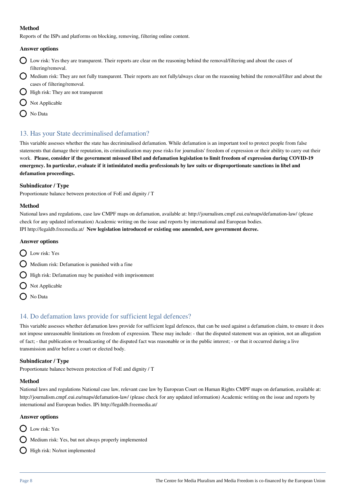### **Method**

Reports of the ISPs and platforms on blocking, removing, filtering online content.

### **Answer options**

- Low risk: Yes they are transparent. Their reports are clear on the reasoning behind the removal/filtering and about the cases of filtering/removal.
- Medium risk: They are not fully transparent. Their reports are not fully/always clear on the reasoning behind the removal/filter and about the cases of filtering/removal.
- $\bigcirc$  High risk: They are not transparent
- $\bigcap$  Not Applicable
- O No Data

# 13. Has your State decriminalised defamation?

This variable assesses whether the state has decriminalised defamation. While defamation is an important tool to protect people from false statements that damage their reputation, its criminalization may pose risks for journalists' freedom of expression or their ability to carry out their work. **Please, consider if the government misused libel and defamation legislation to limit freedom of expression during COVID-19 emergency. In particular, evaluate if it intimidated media professionals by law suits or disproportionate sanctions in libel and defamation proceedings.**

#### **Subindicator / Type**

Proportionate balance between protection of FoE and dignity / T

#### **Method**

National laws and regulations, case law CMPF maps on defamation, available at: http://journalism.cmpf.eui.eu/maps/defamation-law/ (please check for any updated information) Academic writing on the issue and reports by international and European bodies. IPI http://legaldb.freemedia.at/ **New legislation introduced or existing one amended, new government decree.** 

### **Answer options**

- D Low risk: Yes
- $\bigcap$  Medium risk: Defamation is punished with a fine
- $\bigcirc$  High risk: Defamation may be punished with imprisonment
- Not Applicable
- ◯ No Data

# 14. Do defamation laws provide for sufficient legal defences?

This variable assesses whether defamation laws provide for sufficient legal defences, that can be used against a defamation claim, to ensure it does not impose unreasonable limitations on freedom of expression. These may include: - that the disputed statement was an opinion, not an allegation of fact; - that publication or broadcasting of the disputed fact was reasonable or in the public interest; - or that it occurred during a live transmission and/or before a court or elected body.

# **Subindicator / Type**

Proportionate balance between protection of FoE and dignity / T

#### **Method**

National laws and regulations National case law, relevant case law by European Court on Human Rights CMPF maps on defamation, available at: http://journalism.cmpf.eui.eu/maps/defamation-law/ (please check for any updated information) Academic writing on the issue and reports by international and European bodies. IPi http://legaldb.freemedia.at/

#### **Answer options**

- D Low risk: Yes
- $\bigcirc$  Medium risk: Yes, but not always properly implemented
- High risk: No/not implemented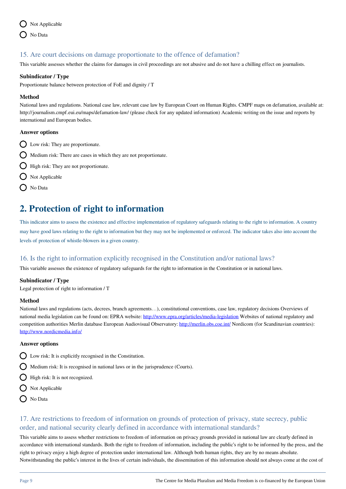

# 15. Are court decisions on damage proportionate to the offence of defamation?

This variable assesses whether the claims for damages in civil proceedings are not abusive and do not have a chilling effect on journalists.

#### **Subindicator / Type**

Proportionate balance between protection of FoE and dignity / T

#### **Method**

National laws and regulations. National case law, relevant case law by European Court on Human Rights. CMPF maps on defamation, available at: http://journalism.cmpf.eui.eu/maps/defamation-law/ (please check for any updated information) Academic writing on the issue and reports by international and European bodies.

#### **Answer options**

- $\bigcirc$  Low risk: They are proportionate.
- Medium risk: There are cases in which they are not proportionate.
- $\bigcirc$  High risk: They are not proportionate.
- $\bigcirc$  Not Applicable
- $\bigcirc$  No Data

# **2. Protection of right to information**

This indicator aims to assess the existence and effective implementation of regulatory safeguards relating to the right to information. A country may have good laws relating to the right to information but they may not be implemented or enforced. The indicator takes also into account the levels of protection of whistle-blowers in a given country.

# 16. Is the right to information explicitly recognised in the Constitution and/or national laws?

This variable assesses the existence of regulatory safeguards for the right to information in the Constitution or in national laws.

#### **Subindicator / Type**

Legal protection of right to information / T

#### **Method**

National laws and regulations (acts, decrees, branch agreements…), constitutional conventions, case law, regulatory decisions Overviews of national media legislation can be found on: EPRA website:<http://www.epra.org/articles/media-legislation>Websites of national regulatory and competition authorities Merlin database European Audiovisual Observatory:<http://merlin.obs.coe.int/>Nordicom (for Scandinavian countries): <http://www.nordicmedia.info/>

#### **Answer options**

- $\bigcirc$  Low risk: It is explicitly recognised in the Constitution.
- $\bigcirc$  Medium risk: It is recognised in national laws or in the jurisprudence (Courts).
- High risk: It is not recognized.
- $\bigcirc$  Not Applicable
- O No Data

# 17. Are restrictions to freedom of information on grounds of protection of privacy, state secrecy, public order, and national security clearly defined in accordance with international standards?

This variable aims to assess whether restrictions to freedom of information on privacy grounds provided in national law are clearly defined in accordance with international standards. Both the right to freedom of information, including the public's right to be informed by the press, and the right to privacy enjoy a high degree of protection under international law. Although both human rights, they are by no means absolute. Notwithstanding the public's interest in the lives of certain individuals, the dissemination of this information should not always come at the cost of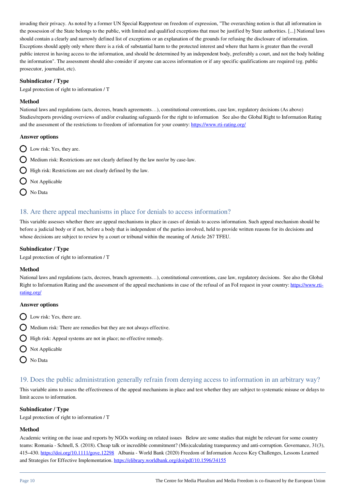invading their privacy. As noted by a former UN Special Rapporteur on freedom of expression, "The overarching notion is that all information in the possession of the State belongs to the public, with limited and qualified exceptions that must be justified by State authorities. [...] National laws should contain a clearly and narrowly defined list of exceptions or an explanation of the grounds for refusing the disclosure of information. Exceptions should apply only where there is a risk of substantial harm to the protected interest and where that harm is greater than the overall public interest in having access to the information, and should be determined by an independent body, preferably a court, and not the body holding the information". The assessment should also consider if anyone can access information or if any specific qualifications are required (eg. public prosecutor, journalist, etc).

#### **Subindicator / Type**

Legal protection of right to information / T

#### **Method**

National laws and regulations (acts, decrees, branch agreements…), constitutional conventions, case law, regulatory decisions (As above) Studies/reports providing overviews of and/or evaluating safeguards for the right to information See also the Global Right to Information Rating and the assessment of the restrictions to freedom of information for your country: <https://www.rti-rating.org/>

#### **Answer options**

- $\bigcirc$  Low risk: Yes, they are.
- $\bigcap$  Medium risk: Restrictions are not clearly defined by the law nor/or by case-law.
- $\bigcirc$  High risk: Restrictions are not clearly defined by the law.
- $\bigcap$  Not Applicable
- No Data

# 18. Are there appeal mechanisms in place for denials to access information?

This variable assesses whether there are appeal mechanisms in place in cases of denials to access information. Such appeal mechanism should be before a judicial body or if not, before a body that is independent of the parties involved, held to provide written reasons for its decisions and whose decisions are subject to review by a court or tribunal within the meaning of Article 267 TFEU.

#### **Subindicator / Type**

Legal protection of right to information / T

#### **Method**

National laws and regulations (acts, decrees, branch agreements…), constitutional conventions, case law, regulatory decisions. See also the Global Right to Information Rating and the assessment of the appeal mechanisms in case of the refusal of an FoI request in your country: [https://www.rti](https://www.rti-rating.org/)[rating.org/](https://www.rti-rating.org/)

#### **Answer options**

- $\bigcap$  Low risk: Yes, there are.
- $\bigcap$  Medium risk: There are remedies but they are not always effective.
- High risk: Appeal systems are not in place; no effective remedy.
- $\bigcirc$  Not Applicable
- O No Data

# 19. Does the public administration generally refrain from denying access to information in an arbitrary way?

This variable aims to assess the effectiveness of the appeal mechanisms in place and test whether they are subject to systematic misuse or delays to limit access to information.

# **Subindicator / Type**

Legal protection of right to information / T

#### **Method**

Academic writing on the issue and reports by NGOs working on related issues Below are some studies that might be relevant for some country teams: Romania - Schnell, S. (2018). Cheap talk or incredible commitment? (Mis)calculating transparency and anti-corruption. Governance, 31(3), 415–430.<https://doi.org/10.1111/gove.12298>Albania - World Bank (2020) Freedom of Information Access Key Challenges, Lessons Learned and Strategies for Effective Implementation.<https://elibrary.worldbank.org/doi/pdf/10.1596/34155>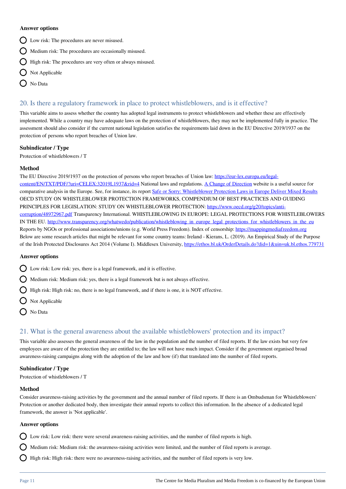#### **Answer options**

- Low risk: The procedures are never misused.
- $\bigcirc$  Medium risk: The procedures are occasionally misused.
- $\bigcap$  High risk: The procedures are very often or always misused.
- $\bigcirc$  Not Applicable
- No Data

# 20. Is there a regulatory framework in place to protect whistleblowers, and is it effective?

This variable aims to assess whether the country has adopted legal instruments to protect whistleblowers and whether these are effectively implemented. While a country may have adequate laws on the protection of whistleblowers, they may not be implemented fully in practice. The assessment should also consider if the current national legislation satisfies the requirements laid down in the EU Directive 2019/1937 on the protection of persons who report breaches of Union law.

#### **Subindicator / Type**

Protection of whistleblowers / T

#### **Method**

The EU Directive 2019/1937 on the protection of persons who report breaches of Union law: [https://eur-lex.europa.eu/legal](https://eur-lex.europa.eu/legal-content/EN/TXT/PDF/?uri=CELEX:32019L1937&rid=4)[content/EN/TXT/PDF/?uri=CELEX:32019L1937&rid=4](https://eur-lex.europa.eu/legal-content/EN/TXT/PDF/?uri=CELEX:32019L1937&rid=4) National laws and regulations. [A Change of Direction](https://www.changeofdirection.eu/country-facts) website is a useful source for comparative analysis in the Europe. See, for instance, its report [Safe or Sorry: Whistleblower Protection Laws in Europe Deliver Mixed Results](https://www.changeofdirection.eu/assets/uploads/BLUEPRINT%20-%20Safe%20or%20Sorry%20-%20Whistleblower%20Protection%20Laws%20in%20Europe%20Deliver%20Mixed%20Results.pdf) OECD STUDY ON WHISTLEBLOWER PROTECTION FRAMEWORKS, COMPENDIUM OF BEST PRACTICES AND GUIDING PRINCIPLES FOR LEGISLATION: STUDY ON WHISTLEBLOWER PROTECTION: [https://www.oecd.org/g20/topics/anti](https://www.oecd.org/g20/topics/anti-corruption/48972967.pdf)[corruption/48972967.pdf](https://www.oecd.org/g20/topics/anti-corruption/48972967.pdf) Transparency International. WHISTLEBLOWING IN EUROPE: LEGAL PROTECTIONS FOR WHISTLEBLOWERS IN THE EU. [http://www.transparency.org/whatwedo/publication/whistleblowing\\_in\\_europe\\_legal\\_protections\\_for\\_whistleblowers\\_in\\_the\\_eu](http://www.transparency.org/whatwedo/publication/whistleblowing_in_europe_legal_protections_for_whistleblowers_in_the_eu) Reports by NGOs or professional associations/unions (e.g. World Press Freedom). Index of censorship:<https://mappingmediafreedom.org> Below are some research articles that might be relevant for some country teams: Ireland - Kierans, L. (2019). An Empirical Study of the Purpose of the Irish Protected Disclosures Act 2014 (Volume I). Middlesex University, <https://ethos.bl.uk/OrderDetails.do?did=1&uin=uk.bl.ethos.779731>

#### **Answer options**

- Low risk: Low risk: yes, there is a legal framework, and it is effective.
- $\bigcirc$  Medium risk: Medium risk: yes, there is a legal framework but is not always effective.
- High risk: High risk: no, there is no legal framework, and if there is one, it is NOT effective.
- Not Applicable
- No Data

# 21. What is the general awareness about the available whistleblowers' protection and its impact?

This variable also assesses the general awareness of the law in the population and the number of filed reports. If the law exists but very few employees are aware of the protection they are entitled to; the law will not have much impact. Consider if the government organised broad awareness-raising campaigns along with the adoption of the law and how (if) that translated into the number of filed reports.

#### **Subindicator / Type**

Protection of whistleblowers / T

#### **Method**

Consider awareness-raising activities by the government and the annual number of filed reports. If there is an Ombudsman for Whistleblowers' Protection or another dedicated body, then investigate their annual reports to collect this information. In the absence of a dedicated legal framework, the answer is 'Not applicable'.

#### **Answer options**

Low risk: Low risk: there were several awareness-raising activities, and the number of filed reports is high.

 $\bigcirc$  Medium risk: Medium risk: the awareness-raising activities were limited, and the number of filed reports is average.

 $\bigcirc$  High risk: High risk: there were no awareness-raising activities, and the number of filed reports is very low.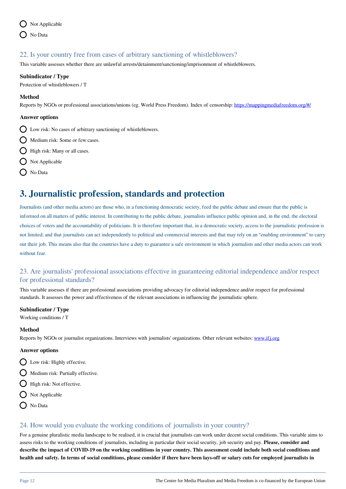

# 22. Is your country free from cases of arbitrary sanctioning of whistleblowers?

This variable assesses whether there are unlawful arrests/detainment/sanctioning/imprisonment of whistleblowers.

#### **Subindicator / Type**

Protection of whistleblowers / T

#### **Method**

Reports by NGOs or professional associations/unions (eg. World Press Freedom). Index of censorship:<https://mappingmediafreedom.org/#/>

#### **Answer options**

Low risk: No cases of arbitrary sanctioning of whistleblowers.

- $\bigcap$  Medium risk: Some or few cases.
- $\bigcap$  High risk: Many or all cases.
- $\bigcirc$  Not Applicable
- O No Data

# **3. Journalistic profession, standards and protection**

Journalists (and other media actors) are those who, in a functioning democratic society, feed the public debate and ensure that the public is informed on all matters of public interest. In contributing to the public debate, journalists influence public opinion and, in the end, the electoral choices of voters and the accountability of politicians. It is therefore important that, in a democratic society, access to the journalistic profession is not limited; and that journalists can act independently to political and commercial interests and that may rely on an "enabling environment" to carry out their job. This means also that the countries have a duty to guarantee a safe environment in which journalists and other media actors can work without fear.

# 23. Are journalists' professional associations effective in guaranteeing editorial independence and/or respect for professional standards?

This variable assesses if there are professional associations providing advocacy for editorial independence and/or respect for professional standards. It assesses the power and effectiveness of the relevant associations in influencing the journalistic sphere.

#### **Subindicator / Type**

Working conditions / T

#### **Method**

Reports by NGOs or journalist organizations. Interviews with journalists' organizations. Other relevant websites: [www.ifj.org](http://www.ifj.org)

#### **Answer options**

- $\bigcirc$  Low risk: Highly effective.
- $\bigcap$  Medium risk: Partially effective.
- $\bigcirc$  High risk: Not effective.
- $\bigcirc$  Not Applicable
- $\bigcap$  No Data

# 24. How would you evaluate the working conditions of journalists in your country?

For a genuine pluralistic media landscape to be realised, it is crucial that journalists can work under decent social conditions. This variable aims to assess risks to the working conditions of journalists, including in particular their social security, job security and pay. **Please, consider and describe the impact of COVID-19 on the working conditions in your country. This assessment could include both social conditions and health and safety. In terms of social conditions, please consider if there have been lays-off or salary cuts for employed journalists in**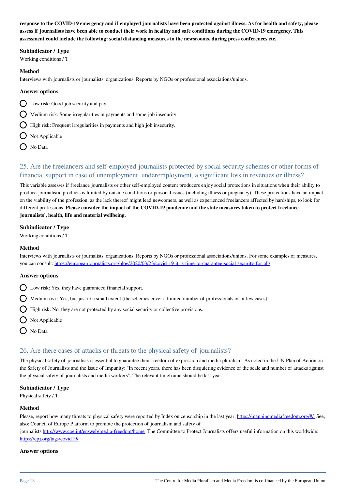**response to the COVID-19 emergency and if employed journalists have been protected against illness. As for health and safety, please assess if journalists have been able to conduct their work in healthy and safe conditions during the COVID-19 emergency. This assessment could include the following: social distancing measures in the newsrooms, during press conferences etc.** 

### **Subindicator / Type**

Working conditions / T

#### **Method**

Interviews with journalists or journalists' organizations. Reports by NGOs or professional associations/unions.

#### **Answer options**

- $\bigcirc$  Low risk: Good job security and pay.
- $\bigcap$  Medium risk: Some irregularities in payments and some job insecurity.
- $\bigcap$  High risk: Frequent irregularities in payments and high job insecurity.
- $\bigcirc$  Not Applicable
- O No Data

# 25. Are the freelancers and self-employed journalists protected by social security schemes or other forms of financial support in case of unemployment, underemployment, a significant loss in revenues or illness?

This variable assesses if freelance journalists or other self-employed content producers enjoy social protections in situations when their ability to produce journalistic products is limited by outside conditions or personal issues (including illness or pregnancy). These protections have an impact on the viability of the profession, as the lack thereof might lead newcomers, as well as experienced freelancers affected by hardships, to look for different professions. **Please consider the impact of the COVID-19 pandemic and the state measures taken to protect freelance journalists', health, life and material wellbeing.**

### **Subindicator / Type**

Working conditions / T

### **Method**

Interviews with journalists or journalists' organizations. Reports by NGOs or professional associations/unions. For some examples of measures, you can consult: <https://europeanjournalists.org/blog/2020/03/23/covid-19-it-is-time-to-guarantee-social-security-for-all/>

### **Answer options**

- $\bigcirc$  Low risk: Yes, they have guaranteed financial support.
- $\bigcirc$  Medium risk: Yes, but just to a small extent (the schemes cover a limited number of professionals or in few cases).
- $\bigcap$  High risk: No, they are not protected by any social security or collective provisions.
- O Not Applicable
- $\bigcap$  No Data

# 26. Are there cases of attacks or threats to the physical safety of journalists?

The physical safety of journalists is essential to guarantee their freedom of expression and media pluralism. As noted in the UN Plan of Action on the Safety of Journalists and the Issue of Impunity: "In recent years, there has been disquieting evidence of the scale and number of attacks against the physical safety of journalists and media workers". The relevant timeframe should be last year.

#### **Subindicator / Type**

Physical safety / T

#### **Method**

Please, report how many threats to physical safety were reported by Index on censorship in the last year: <https://mappingmediafreedom.org/#/>See, also: Council of Europe Platform to promote the protection of journalism and safety of

journalists <http://www.coe.int/en/web/media-freedom/home>The Committee to Protect Journalists offers useful information on this worldwide: <https://cpj.org/tags/covid19/>

#### **Answer options**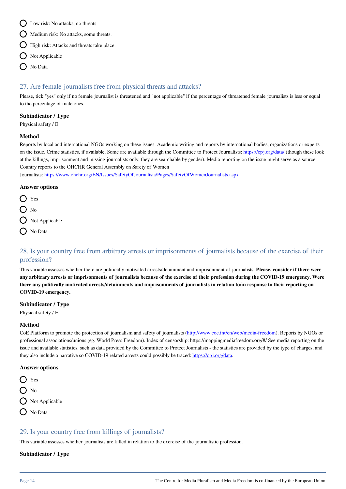- $\bigcap$  Low risk: No attacks, no threats.
- $\bigcap$  Medium risk: No attacks, some threats.
- $\bigcirc$  High risk: Attacks and threats take place.
- $\bigcirc$  Not Applicable
- O No Data

# 27. Are female journalists free from physical threats and attacks?

Please, tick "yes" only if no female journalist is threatened and "not applicable" if the percentage of threatened female journalists is less or equal to the percentage of male ones.

### **Subindicator / Type**

Physical safety / E

#### **Method**

Reports by local and international NGOs working on these issues. Academic writing and reports by international bodies, organizations or experts on the issue. Crime statistics, if available. Some are available through the Committee to Protect Journalists: <https://cpj.org/data/>(though these look at the killings, imprisonment and missing journalists only, they are searchable by gender). Media reporting on the issue might serve as a source. Country reports to the OHCHR General Assembly on Safety of Women

Journalists:<https://www.ohchr.org/EN/Issues/SafetyOfJournalists/Pages/SafetyOfWomenJournalists.aspx>

#### **Answer options**



- O Not Applicable
- O No Data

# 28. Is your country free from arbitrary arrests or imprisonments of journalists because of the exercise of their profession?

This variable assesses whether there are politically motivated arrests/detainment and imprisonment of journalists. **Please, consider if there were any arbitrary arrests or imprisonments of journalists because of the exercise of their profession during the COVID-19 emergency. Were there any politically motivated arrests/detainments and imprisonments of journalists in relation to/in response to their reporting on COVID-19 emergency.** 

#### **Subindicator / Type**

Physical safety / E

#### **Method**

CoE Platform to promote the protection of journalism and safety of journalists ([http://www.coe.int/en/web/media-freedom\)](http://www.coe.int/en/web/media-freedom). Reports by NGOs or professional associations/unions (eg. World Press Freedom). Index of censorship: https://mappingmediafreedom.org/#/ See media reporting on the issue and available statistics, such as data provided by the Committee to Protect Journalists - the statistics are provided by the type of charges, and they also include a narrative so COVID-19 related arrests could possibly be traced:<https://cpj.org/data>

### **Answer options**



# 29. Is your country free from killings of journalists?

This variable assesses whether journalists are killed in relation to the exercise of the journalistic profession.

#### **Subindicator / Type**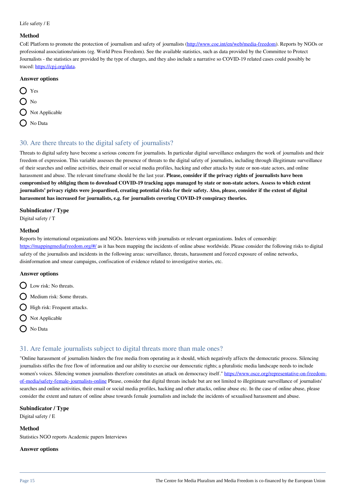#### Life safety / E

#### **Method**

CoE Platform to promote the protection of journalism and safety of journalists ([http://www.coe.int/en/web/media-freedom\)](http://www.coe.int/en/web/media-freedom). Reports by NGOs or professional associations/unions (eg. World Press Freedom). See the available statistics, such as data provided by the Committee to Protect Journalists - the statistics are provided by the type of charges, and they also include a narrative so COVID-19 related cases could possibly be traced: [https://cpj.org/data.](https://cpj.org/data)

#### **Answer options**

 $\bigcap$  Yes  $O_{N0}$  $\bigcirc$  Not Applicable  $\bigcirc$  No Data

# 30. Are there threats to the digital safety of journalists?

Threats to digital safety have become a serious concern for journalists. In particular digital surveillance endangers the work of journalists and their freedom of expression. This variable assesses the presence of threats to the digital safety of journalists, including through illegitimate surveillance of their searches and online activities, their email or social media profiles, hacking and other attacks by state or non-state actors, and online harassment and abuse. The relevant timeframe should be the last year. **Please, consider if the privacy rights of journalists have been compromised by obliging them to download COVID-19 tracking apps managed by state or non-state actors. Assess to which extent journalists' privacy rights were jeopardised, creating potential risks for their safety. Also, please, consider if the extent of digital harassment has increased for journalists, e.g. for journalists covering COVID-19 conspiracy theories.**

#### **Subindicator / Type**

Digital safety / T

#### **Method**

Reports by international organizations and NGOs. Interviews with journalists or relevant organizations. Index of censorship: <https://mappingmediafreedom.org/#/> as it has been mapping the incidents of online abuse worldwide. Please consider the following risks to digital safety of the journalists and incidents in the following areas: surveillance, threats, harassment and forced exposure of online networks, disinformation and smear campaigns, confiscation of evidence related to investigative stories, etc.

#### **Answer options**

- $\bigcap$  Low risk: No threats.
- $\bigcap$  Medium risk: Some threats.
- $\bigcirc$  High risk: Frequent attacks.
- $\bigcirc$  Not Applicable
- O No Data

# 31. Are female journalists subject to digital threats more than male ones?

"Online harassment of journalists hinders the free media from operating as it should, which negatively affects the democratic process. Silencing journalists stifles the free flow of information and our ability to exercise our democratic rights; a pluralistic media landscape needs to include women's voices. Silencing women journalists therefore constitutes an attack on democracy itself." [https://www.osce.org/representative-on-freedom](https://www.osce.org/representative-on-freedom-of-media/safety-female-journalists-online)[of-media/safety-female-journalists-online](https://www.osce.org/representative-on-freedom-of-media/safety-female-journalists-online) Please, consider that digital threats include but are not limited to illegitimate surveillance of journalists' searches and online activities, their email or social media profiles, hacking and other attacks, online abuse etc. In the case of online abuse, please consider the extent and nature of online abuse towards female journalists and include the incidents of sexualised harassment and abuse.

#### **Subindicator / Type**

Digital safety / E

#### **Method**

Statistics NGO reports Academic papers Interviews

#### **Answer options**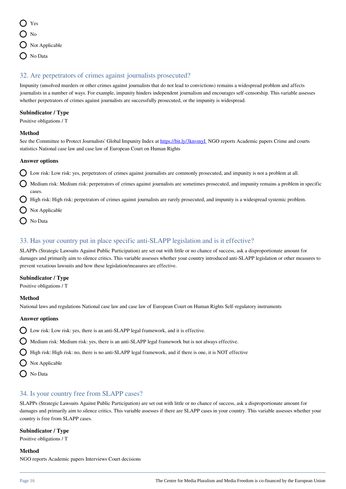$\sum$  Yes  $\bigcirc$  No  $\bigcirc$  Not Applicable O No Data

# 32. Are perpetrators of crimes against journalists prosecuted?

Impunity (unsolved murders or other crimes against journalists that do not lead to convictions) remains a widespread problem and affects journalists in a number of ways. For example, impunity hinders independent journalism and encourages self-censorship. This variable assesses whether perpetrators of crimes against journalists are successfully prosecuted, or the impunity is widespread.

# **Subindicator / Type**

Positive obligations / T

### **Method**

See the Committee to Protect Journalists' Global Impunity Index at https://bit.ly/3knvmyI\_NGO reports Academic papers Crime and courts statistics National case law and case law of European Court on Human Rights

### **Answer options**

- $\bigcirc$  Low risk: Low risk: yes, perpetrators of crimes against journalists are commonly prosecuted, and impunity is not a problem at all.
- $\bigcap$  Medium risk: Medium risk: perpetrators of crimes against journalists are sometimes prosecuted, and impunity remains a problem in specific cases.
- High risk: High risk: perpetrators of crimes against journalists are rarely prosecuted, and impunity is a widespread systemic problem.
- $\bigcap$  Not Applicable
- No Data

# 33. Has your country put in place specific anti-SLAPP legislation and is it effective?

SLAPPs (Strategic Lawsuits Against Public Participation) are set out with little or no chance of success, ask a disproportionate amount for damages and primarily aim to silence critics. This variable assesses whether your country introduced anti-SLAPP legislation or other measures to prevent vexatious lawsuits and how these legislation/measures are effective.

# **Subindicator / Type**

Positive obligations / T

#### **Method**

National laws and regulations National case law and case law of European Court on Human Rights Self-regulatory instruments

#### **Answer options**

- $\bigcirc$  Low risk: Low risk: yes, there is an anti-SLAPP legal framework, and it is effective.
- $\bigcap$  Medium risk: Medium risk: yes, there is an anti-SLAPP legal framework but is not always effective.
- $\bigcirc$  High risk: High risk: no, there is no anti-SLAPP legal framework, and if there is one, it is NOT effective
- $\bigcirc$  Not Applicable
- O No Data

# 34. Is your country free from SLAPP cases?

SLAPPs (Strategic Lawsuits Against Public Participation) are set out with little or no chance of success, ask a disproportionate amount for damages and primarily aim to silence critics. This variable assesses if there are SLAPP cases in your country. This variable assesses whether your country is free from SLAPP cases.

#### **Subindicator / Type**

Positive obligations / T

#### **Method**

NGO reports Academic papers Interviews Court decisions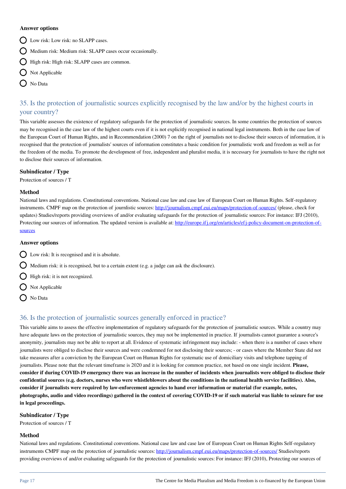#### **Answer options**

- D Low risk: Low risk: no SLAPP cases.
- Medium risk: Medium risk: SLAPP cases occur occasionally.
- $\bigcap$  High risk: High risk: SLAPP cases are common.
- O Not Applicable
- $\bigcap$  No Data

# 35. Is the protection of journalistic sources explicitly recognised by the law and/or by the highest courts in your country?

This variable assesses the existence of regulatory safeguards for the protection of journalistic sources. In some countries the protection of sources may be recognised in the case law of the highest courts even if it is not explicitly recognised in national legal instruments. Both in the case law of the European Court of Human Rights, and in Recommendation (2000) 7 on the right of journalists not to disclose their sources of information, it is recognised that the protection of journalists' sources of information constitutes a basic condition for journalistic work and freedom as well as for the freedom of the media. To promote the development of free, independent and pluralist media, it is necessary for journalists to have the right not to disclose their sources of information.

#### **Subindicator / Type**

Protection of sources / T

#### **Method**

National laws and regulations. Constitutional conventions. National case law and case law of European Court on Human Rights. Self-regulatory instruments. CMPF map on the protection of journlistic sources:<http://journalism.cmpf.eui.eu/maps/protection-of-sources/>(please, check for updates) Studies/reports providing overviews of and/or evaluating safeguards for the protection of journalistic sources: For instance: IFJ (2010), Protecting our sources of information. The updated version is available at: [http://europe.ifj.org/en/articles/efj-policy-document-on-protection-of](http://europe.ifj.org/en/articles/efj-policy-document-on-protection-of-sources)[sources](http://europe.ifj.org/en/articles/efj-policy-document-on-protection-of-sources)

#### **Answer options**

- Low risk: It is recognised and it is absolute.
- $\bigcap$  Medium risk: it is recognised, but to a certain extent (e.g. a judge can ask the disclosure).
- $\bigcirc$  High risk: it is not recognized.
- $\bigcirc$  Not Applicable
- $\bigcap$  No Data

# 36. Is the protection of journalistic sources generally enforced in practice?

This variable aims to assess the effective implementation of regulatory safeguards for the protection of journalistic sources. While a country may have adequate laws on the protection of journalistic sources, they may not be implemented in practice. If journalists cannot guarantee a source's anonymity, journalists may not be able to report at all. Evidence of systematic infringement may include: - when there is a number of cases where journalists were obliged to disclose their sources and were condemned for not disclosing their sources; - or cases where the Member State did not take measures after a conviction by the European Court on Human Rights for systematic use of domiciliary visits and telephone tapping of journalists. Please note that the relevant timeframe is 2020 and it is looking for common practice, not based on one single incident. **Please, consider if during COVID-19 emergency there was an increase in the number of incidents when journalists were obliged to disclose their confidential sources (e.g. doctors, nurses who were whistleblowers about the conditions in the national health service facilities). Also, consider if journalists were required by law-enforcement agencies to hand over information or material (for example, notes, photographs, audio and video recordings) gathered in the context of covering COVID-19 or if such material was liable to seizure for use in legal proceedings.** 

#### **Subindicator / Type**

Protection of sources / T

#### **Method**

National laws and regulations. Constitutional conventions. National case law and case law of European Court on Human Rights Self-regulatory instruments CMPF map on the protection of journalistic sources: <http://journalism.cmpf.eui.eu/maps/protection-of-sources/> Studies/reports providing overviews of and/or evaluating safeguards for the protection of journalistic sources: For instance: IFJ (2010), Protecting our sources of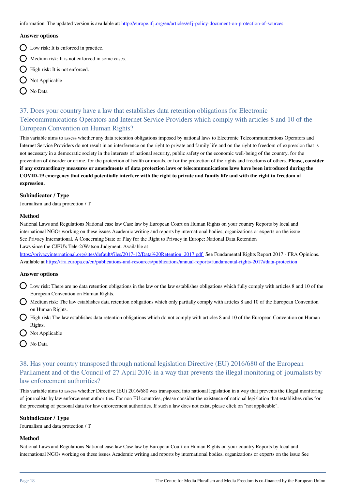information. The updated version is available at: <http://europe.ifj.org/en/articles/efj-policy-document-on-protection-of-sources>

#### **Answer options**

- $\bigcirc$  Low risk: It is enforced in practice.
- $\bigcap$  Medium risk: It is not enforced in some cases.
- $\bigcirc$  High risk: It is not enforced.
- $\bigcap$  Not Applicable
- ◯ No Data

# 37. Does your country have a law that establishes data retention obligations for Electronic Telecommunications Operators and Internet Service Providers which comply with articles 8 and 10 of the European Convention on Human Rights?

This variable aims to assess whether any data retention obligations imposed by national laws to Electronic Telecommunications Operators and Internet Service Providers do not result in an interference on the right to private and family life and on the right to freedom of expression that is not necessary in a democratic society in the interests of national security, public safety or the economic well-being of the country, for the prevention of disorder or crime, for the protection of health or morals, or for the protection of the rights and freedoms of others. **Please, consider if any extraordinary measures or amendments of data protection laws or telecommunications laws have been introduced during the COVID-19 emergency that could potentially interfere with the right to private and family life and with the right to freedom of expression.**

#### **Subindicator / Type**

Journalism and data protection / T

#### **Method**

National Laws and Regulations National case law Case law by European Court on Human Rights on your country Reports by local and international NGOs working on these issues Academic writing and reports by international bodies, organizations or experts on the issue See Privacy International. A Concerning State of Play for the Right to Privacy in Europe: National Data Retention Laws since the CJEU's Tele-2/Watson Judgment. Available at

https://privacyinternational.org/sites/default/files/2017-12/Data%20Retention\_2017.pdf. See Fundamental Rights Report 2017 - FRA Opinions. Available at<https://fra.europa.eu/en/publications-and-resources/publications/annual-reports/fundamental-rights-2017#data-protection>

#### **Answer options**

- Low risk: There are no data retention obligations in the law or the law establishes obligations which fully comply with articles 8 and 10 of the European Convention on Human Rights.
- $\Omega$  Medium risk: The law establishes data retention obligations which only partially comply with articles 8 and 10 of the European Convention on Human Rights.
- High risk: The law establishes data retention obligations which do not comply with articles 8 and 10 of the European Convention on Human Rights.
- $\bigcirc$  Not Applicable
- O No Data

# 38. Has your country transposed through national legislation Directive (EU) 2016/680 of the European Parliament and of the Council of 27 April 2016 in a way that prevents the illegal monitoring of journalists by law enforcement authorities?

This variable aims to assess whether Directive (EU) 2016/680 was transposed into national legislation in a way that prevents the illegal monitoring of journalists by law enforcement authorities. For non EU countries, please consider the existence of national legislation that establishes rules for the processing of personal data for law enforcement authorities. If such a law does not exist, please click on "not applicable".

#### **Subindicator / Type**

Journalism and data protection / T

#### **Method**

National Laws and Regulations National case law Case law by European Court on Human Rights on your country Reports by local and international NGOs working on these issues Academic writing and reports by international bodies, organizations or experts on the issue See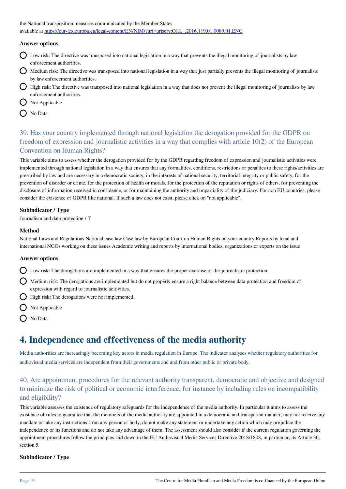the National transposition measures communicated by the Member States available at [https://eur-lex.europa.eu/legal-content/EN/NIM/?uri=uriserv:OJ.L\\_.2016.119.01.0089.01.ENG](https://eur-lex.europa.eu/legal-content/EN/NIM/?uri=uriserv:OJ.L_.2016.119.01.0089.01.ENG)

### **Answer options**

- Low risk: The directive was transposed into national legislation in a way that prevents the illegal monitoring of journalists by law enforcement authorities.
- Medium risk: The directive was transposed into national legislation in a way that just partially prevents the illegal monitoring of journalists by law enforcement authorities.
- $\bigcirc$  High risk: The directive was transposed into national legislation in a way that does not prevent the illegal monitoring of journalists by law enforcement authorities.
- Not Applicable
- O No Data

# 39. Has your country implemented through national legislation the derogation provided for the GDPR on freedom of expression and journalistic activities in a way that complies with article 10(2) of the European Convention on Human Rights?

This variable aims to assess whether the derogation provided for by the GDPR regarding freedom of expression and journalistic activities were implemented through national legislation in a way that ensures that any formalities, conditions, restrictions or penalties to these rights/activities are prescribed by law and are necessary in a democratic society, in the interests of national security, territorial integrity or public safety, for the prevention of disorder or crime, for the protection of health or morals, for the protection of the reputation or rights of others, for preventing the disclosure of information received in confidence, or for maintaining the authority and impartiality of the judiciary. For non EU countries, please consider the existence of GDPR like national. If such a law does not exist, please click on "not applicable".

#### **Subindicator / Type**

Journalism and data protection / T

#### **Method**

National Laws and Regulations National case law Case law by European Court on Human Rights on your country Reports by local and international NGOs working on these issues Academic writing and reports by international bodies, organizations or experts on the issue

#### **Answer options**

- $\bigcap$  Low risk: The derogations are implemented in a way that ensures the proper exercise of the journalistic protection.
- Medium risk: The derogations are implemented but do not properly ensure a right balance between data protection and freedom of expression with regard to journalistic acitivities.
- $\bigcirc$  High risk: The derogations were not implemented.
- $\bigcirc$  Not Applicable
- O No Data

# **4. Independence and effectiveness of the media authority**

Media authorities are increasingly becoming key actors in media regulation in Europe. The indicator analyses whether regulatory authorities for audiovisual media services are independent from their governments and and from other public or private body.

# 40. Are appointment procedures for the relevant authority transparent, democratic and objective and designed to minimize the risk of political or economic interference, for instance by including rules on incompatibility and eligibility?

This variable assesses the existence of regulatory safeguards for the independence of the media authority. In particular it aims to assess the existence of rules to guarantee that the members of the media authority are appointed in a democratic and transparent manner, may not receive any mandate or take any instructions from any person or body, do not make any statement or undertake any action which may prejudice the independence of its functions and do not take any advantage of them. The assessment should also consider if the current regulation governing the appointment procedures follow the principles laid down in the EU Audiovisual Media Services Directive 2018/1808, in particular, its Article 30, section 5.

# **Subindicator / Type**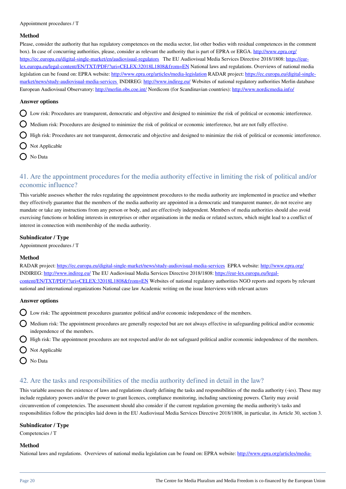#### **Method**

Please, consider the authority that has regulatory competences on the media sector, list other bodies with residual competences in the comment box). In case of concurring authorities, please, consider as relevant the authority that is part of EPRA or ERGA.<http://www.epra.org/> <https://ec.europa.eu/digital-single-market/en/audiovisual-regulators>The EU Audiovisual Media Services Directive 2018/1808: [https://eur](https://eur-lex.europa.eu/legal-content/EN/TXT/PDF/?uri=CELEX:32018L1808&from=EN)[lex.europa.eu/legal-content/EN/TXT/PDF/?uri=CELEX:32018L1808&from=EN](https://eur-lex.europa.eu/legal-content/EN/TXT/PDF/?uri=CELEX:32018L1808&from=EN) National laws and regulations. Overviews of national media legislation can be found on: EPRA website: <http://www.epra.org/articles/media-legislation>RADAR project: [https://ec.europa.eu/digital-single](https://ec.europa.eu/digital-single-market/news/study-audiovisual-media-services)[market/news/study-audiovisual-media-services](https://ec.europa.eu/digital-single-market/news/study-audiovisual-media-services) INDIREG: <http://www.indireg.eu/>Websites of national regulatory authorities Merlin database European Audiovisual Observatory:<http://merlin.obs.coe.int/>Nordicom (for Scandinavian countries): <http://www.nordicmedia.info/>

#### **Answer options**

- Low risk: Procedures are transparent, democratic and objective and designed to minimize the risk of political or economic interference.
- $\Omega$  Medium risk: Procedures are designed to minimize the risk of political or economic interference, but are not fully effective.
- High risk: Procedures are not transparent, democratic and objective and designed to minimize the risk of political or economic interference.
- Not Applicable
- No Data

# 41. Are the appointment procedures for the media authority effective in limiting the risk of political and/or economic influence?

This variable assesses whether the rules regulating the appointment procedures to the media authority are implemented in practice and whether they effectively guarantee that the members of the media authority are appointed in a democratic and transparent manner, do not receive any mandate or take any instructions from any person or body, and are effectively independent. Members of media authorities should also avoid exercising functions or holding interests in enterprises or other organisations in the media or related sectors, which might lead to a conflict of interest in connection with membership of the media authority.

#### **Subindicator / Type**

Appointment procedures / T

#### **Method**

RADAR project: <https://ec.europa.eu/digital-single-market/news/study-audiovisual-media-services> EPRA website:<http://www.epra.org/> INDIREG:<http://www.indireg.eu/> The EU Audiovisual Media Services Directive 2018/1808: [https://eur-lex.europa.eu/legal](https://eur-lex.europa.eu/legal-content/EN/TXT/PDF/?uri=CELEX:32018L1808&from=EN)[content/EN/TXT/PDF/?uri=CELEX:32018L1808&from=EN](https://eur-lex.europa.eu/legal-content/EN/TXT/PDF/?uri=CELEX:32018L1808&from=EN) Websites of national regulatory authorities NGO reports and reports by relevant national and international organizations National case law Academic writing on the issue Interviews with relevant actors

#### **Answer options**

Low risk: The appointment procedures guarantee political and/or economic independence of the members.

- $\Omega$  Medium risk: The appointment procedures are generally respected but are not always effective in safeguarding political and/or economic independence of the members.
- $\bigcirc$  High risk: The appointment procedures are not respected and/or do not safeguard political and/or economic independence of the members.
- $\bigcap$  Not Applicable
- O No Data

# 42. Are the tasks and responsibilities of the media authority defined in detail in the law?

This variable assesses the existence of laws and regulations clearly defining the tasks and responsibilities of the media authority (-ies). These may include regulatory powers and/or the power to grant licences, compliance monitoring, including sanctioning powers. Clarity may avoid circumvention of competencies. The assessment should also consider if the current regulation governing the media authority's tasks and responsibilities follow the principles laid down in the EU Audiovisual Media Services Directive 2018/1808, in particular, its Article 30, section 3.

#### **Subindicator / Type**

Competencies / T

#### **Method**

National laws and regulations. Overviews of national media legislation can be found on: EPRA website: [http://www.epra.org/articles/media-](http://www.epra.org/articles/media-legislation)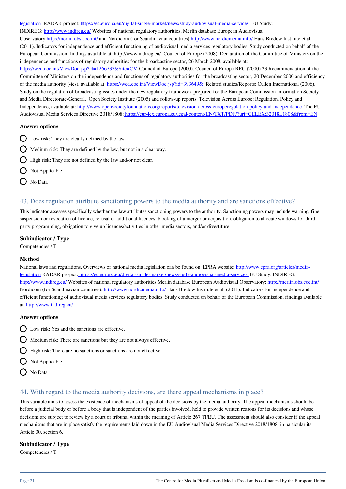[legislation](http://www.epra.org/articles/media-legislation) RADAR project: <https://ec.europa.eu/digital-single-market/news/study-audiovisual-media-services>EU Study: INDIREG:<http://www.indireg.eu/> Websites of national regulatory authorities; Merlin database European Audiovisual Observatory[:http://merlin.obs.coe.int/](http://merlin.obs.coe.int/) and Nordicom (for Scandinavian countries)[:http://www.nordicmedia.info/](http://www.nordicmedia.info/) Hans Bredow Institute et al. (2011). Indicators for independence and efficient functioning of audiovisual media services regulatory bodies. Study conducted on behalf of the European Commission, findings available at: http://www.indireg.eu/ Council of Europe (2008). Declaration of the Committee of Ministers on the independence and functions of regulatory authorities for the broadcasting sector, 26 March 2008, available at: <https://wcd.coe.int/ViewDoc.jsp?id=1266737&Site=CM> Council of Europe (2000). Council of Europe REC (2000) 23 Recommendation of the Committee of Ministers on the independence and functions of regulatory authorities for the broadcasting sector, 20 December 2000 and efficiency of the media authority (-ies), available at:<https://wcd.coe.int/ViewDoc.jsp?id=393649&>Related studies/Reports: Cullen International (2006). Study on the regulation of broadcasting issues under the new regulatory framework prepared for the European Commission Information Society and Media Directorate-General. Open Society Institute (2005) and follow-up reports. Television Across Europe: Regulation, Policy and Independence, available at: <http://www.opensocietyfoundations.org/reports/television-across-europeregulation-policy-and-independence>The EU Audiovisual Media Services Directive 2018/1808:<https://eur-lex.europa.eu/legal-content/EN/TXT/PDF/?uri=CELEX:32018L1808&from=EN>

### **Answer options**

- $\bigcap$  Low risk: They are clearly defined by the law.
- $\bigcirc$  Medium risk: They are defined by the law, but not in a clear way.
- $\bigcirc$  High risk: They are not defined by the law and/or not clear.
- $\bigcap$  Not Applicable
- No Data

# 43. Does regulation attribute sanctioning powers to the media authority and are sanctions effective?

This indicator assesses specifically whether the law attributes sanctioning powers to the authority. Sanctioning powers may include warning, fine, suspension or revocation of licence, refusal of additional licences, blocking of a merger or acquisition, obligation to allocate windows for third party programming, obligation to give up licences/activities in other media sectors, and/or divestiture.

### **Subindicator / Type**

Competencies / T

#### **Method**

National laws and regulations. Overviews of national media legislation can be found on: EPRA website: [http://www.epra.org/articles/media](http://www.epra.org/articles/media-legislation)[legislation](http://www.epra.org/articles/media-legislation) RADAR project[: https://ec.europa.eu/digital-single-market/news/study-audiovisual-media-services](http://https://ec.europa.eu/digital-single-market/news/study-audiovisual-media-services) EU Study: INDIREG: <http://www.indireg.eu/>Websites of national regulatory authorities Merlin database European Audiovisual Observatory: <http://merlin.obs.coe.int/> Nordicom (for Scandinavian countries): <http://www.nordicmedia.info/> Hans Bredow Institute et al. (2011). Indicators for independence and efficient functioning of audiovisual media services regulatory bodies. Study conducted on behalf of the European Commission, findings available at: <http://www.indireg.eu/>

#### **Answer options**

- $\bigcap$  Low risk: Yes and the sanctions are effective.
- $\bigcirc$  Medium risk: There are sanctions but they are not always effective.
- $\bigcap$  High risk: There are no sanctions or sanctions are not effective.
- $\bigcirc$  Not Applicable
- O No Data

# 44. With regard to the media authority decisions, are there appeal mechanisms in place?

This variable aims to assess the existence of mechanisms of appeal of the decisions by the media authority. The appeal mechanisms should be before a judicial body or before a body that is independent of the parties involved, held to provide written reasons for its decisions and whose decisions are subject to review by a court or tribunal within the meaning of Article 267 TFEU. The assessment should also consider if the appeal mechanisms that are in place satisfy the requirements laid down in the EU Audiovisual Media Services Directive 2018/1808, in particular its Article 30, section 6.

#### **Subindicator / Type**

Competencies / T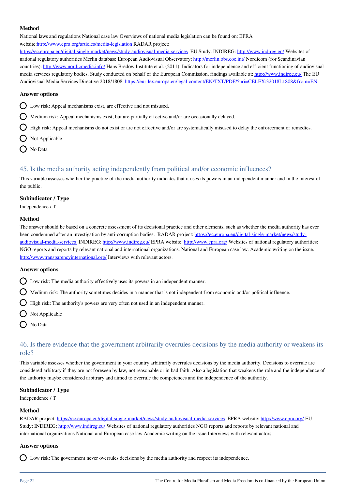### **Method**

National laws and regulations National case law Overviews of national media legislation can be found on: EPRA website[:http://www.epra.org/articles/media-legislation](http://www.epra.org/articles/media-legislation) RADAR project:

<https://ec.europa.eu/digital-single-market/news/study-audiovisual-media-services> EU Study: INDIREG:<http://www.indireg.eu/> Websites of national regulatory authorities Merlin database European Audiovisual Observatory: <http://merlin.obs.coe.int/> Nordicom (for Scandinavian countries):<http://www.nordicmedia.info/>Hans Bredow Institute et al. (2011). Indicators for independence and efficient functioning of audiovisual media services regulatory bodies. Study conducted on behalf of the European Commission, findings available at:<http://www.indireg.eu/>The EU Audiovisual Media Services Directive 2018/1808:<https://eur-lex.europa.eu/legal-content/EN/TXT/PDF/?uri=CELEX:32018L1808&from=EN>

### **Answer options**

Low risk: Appeal mechanisms exist, are effective and not misused.

 $\Omega$  Medium risk: Appeal mechanisms exist, but are partially effective and/or are occasionally delayed.

 $\Omega$  High risk: Appeal mechanisms do not exist or are not effective and/or are systematically misused to delay the enforcement of remedies.

- $\bigcap$  Not Applicable
- O No Data

# 45. Is the media authority acting independently from political and/or economic influences?

This variable assesses whether the practice of the media authority indicates that it uses its powers in an independent manner and in the interest of the public.

#### **Subindicator / Type**

Independence / T

#### **Method**

The answer should be based on a concrete assessment of its decisional practice and other elements, such as whether the media authority has ever been condemned after an investigation by anti-corruption bodies. RADAR project: [https://ec.europa.eu/digital-single-market/news/study](https://ec.europa.eu/digital-single-market/news/study-audiovisual-media-services)[audiovisual-media-services](https://ec.europa.eu/digital-single-market/news/study-audiovisual-media-services) INDIREG: <http://www.indireg.eu/> EPRA website: <http://www.epra.org/> Websites of national regulatory authorities; NGO reports and reports by relevant national and international organizations. National and European case law. Academic writing on the issue. <http://www.transparencyinternational.org/> Interviews with relevant actors.

#### **Answer options**

 $\bigcap$  Low risk: The media authority effectively uses its powers in an independent manner.

 $\Omega$  Medium risk: The authority sometimes decides in a manner that is not independent from economic and/or political influence.

High risk: The authority's powers are very often not used in an independent manner.

- $\bigcirc$  Not Applicable
- No Data

# 46. Is there evidence that the government arbitrarily overrules decisions by the media authority or weakens its role?

This variable assesses whether the government in your country arbitrarily overrules decisions by the media authority. Decisions to overrule are considered arbitrary if they are not foreseen by law, not reasonable or in bad faith. Also a legislation that weakens the role and the independence of the authority maybe considered arbitrary and aimed to overrule the competences and the independence of the authority.

#### **Subindicator / Type**

Independence / T

#### **Method**

RADAR project: <https://ec.europa.eu/digital-single-market/news/study-audiovisual-media-services> EPRA website:<http://www.epra.org/>EU Study: INDIREG:<http://www.indireg.eu/> Websites of national regulatory authorities NGO reports and reports by relevant national and international organizations National and European case law Academic writing on the issue Interviews with relevant actors

#### **Answer options**

Low risk: The government never overrules decisions by the media authority and respect its independence.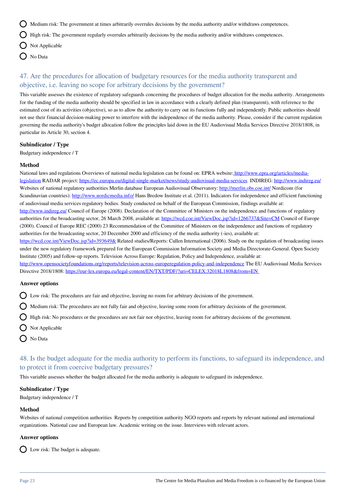$\bigcirc$  Medium risk: The government at times arbitrarily overrules decisions by the media authority and/or withdraws competences.

 $\bigcirc$  High risk: The government regularly overrules arbitrarily decisions by the media authority and/or withdraws competences.

- $\bigcirc$  Not Applicable
- O No Data

# 47. Are the procedures for allocation of budgetary resources for the media authority transparent and objective, i.e. leaving no scope for arbitrary decisions by the government?

This variable assesses the existence of regulatory safeguards concerning the procedures of budget allocation for the media authority. Arrangements for the funding of the media authority should be specified in law in accordance with a clearly defined plan (transparent), with reference to the estimated cost of its activities (objective), so as to allow the authority to carry out its functions fully and independently. Public authorities should not use their financial decision-making power to interfere with the independence of the media authority. Please, consider if the current regulation governing the media authority's budget allocation follow the principles laid down in the EU Audiovisual Media Services Directive 2018/1808, in particular its Article 30, section 4.

#### **Subindicator / Type**

Budgetary independence / T

#### **Method**

National laws and regulations Overviews of national media legislation can be found on: EPRA website: [http://www.epra.org/articles/media](http://http://www.epra.org/articles/media-legislation)[legislation](http://http://www.epra.org/articles/media-legislation) RADAR project: <https://ec.europa.eu/digital-single-market/news/study-audiovisual-media-services>INDIREG: <http://www.indireg.eu/> Websites of national regulatory authorities Merlin database European Audiovisual Observatory: <http://merlin.obs.coe.int/> Nordicom (for Scandinavian countries): <http://www.nordicmedia.info/>Hans Bredow Institute et al. (2011). Indicators for independence and efficient functioning of audiovisual media services regulatory bodies. Study conducted on behalf of the European Commission, findings available at: <http://www.indireg.eu/>Council of Europe (2008). Declaration of the Committee of Ministers on the independence and functions of regulatory authorities for the broadcasting sector, 26 March 2008, available at:<https://wcd.coe.int/ViewDoc.jsp?id=1266737&Site=CM> Council of Europe (2000). Council of Europe REC (2000) 23 Recommendation of the Committee of Ministers on the independence and functions of regulatory authorities for the broadcasting sector, 20 December 2000 and efficiency of the media authority (-ies), available at: <https://wcd.coe.int/ViewDoc.jsp?id=393649&>Related studies/Reports: Cullen International (2006). Study on the regulation of broadcasting issues under the new regulatory framework prepared for the European Commission Information Society and Media Directorate-General. Open Society Institute (2005) and follow-up reports. Television Across Europe: Regulation, Policy and Independence, available at:

<http://www.opensocietyfoundations.org/reports/television-across-europeregulation-policy-and-independence>The EU Audiovisual Media Services Directive 2018/1808: <https://eur-lex.europa.eu/legal-content/EN/TXT/PDF/?uri=CELEX:32018L1808&from=EN>

#### **Answer options**

 $\bigcirc$  Low risk: The procedures are fair and objective, leaving no room for arbitrary decisions of the government.

 $\bigcirc$  Medium risk: The procedures are not fully fair and objective, leaving some room for arbitrary decisions of the government.

 $\bigcirc$  High risk: No procedures or the procedures are not fair nor objective, leaving room for arbitrary decisions of the government.

- Not Applicable
- No Data

# 48. Is the budget adequate for the media authority to perform its functions, to safeguard its independence, and to protect it from coercive budgetary pressures?

This variable assesses whether the budget allocated for the media authority is adequate to safeguard its independence.

#### **Subindicator / Type**

Budgetary independence / T

#### **Method**

Websites of national competition authorities Reports by competition authority NGO reports and reports by relevant national and international organizations. National case and European law. Academic writing on the issue. Interviews with relevant actors.

#### **Answer options**

 $\bigcap$  Low risk: The budget is adequate.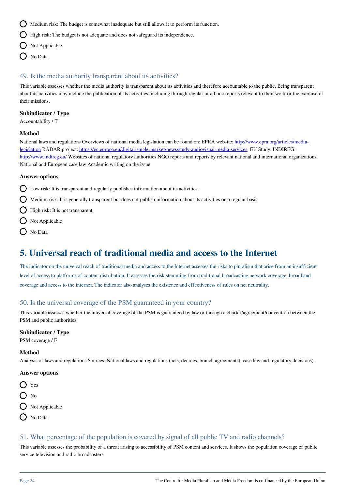$\bigcirc$  Medium risk: The budget is somewhat inadequate but still allows it to perform its function.

 $\bigcirc$  High risk: The budget is not adequate and does not safeguard its independence.

- $\bigcirc$  Not Applicable
- O No Data

### 49. Is the media authority transparent about its activities?

This variable assesses whether the media authority is transparent about its activities and therefore accountable to the public. Being transparent about its activities may include the publication of its activities, including through regular or ad hoc reports relevant to their work or the exercise of their missions.

#### **Subindicator / Type**

Accountability / T

#### **Method**

National laws and regulations Overviews of national media legislation can be found on: EPRA website: [http://www.epra.org/articles/media](http://www.epra.org/articles/media-legislation)[legislation](http://www.epra.org/articles/media-legislation) RADAR project: <https://ec.europa.eu/digital-single-market/news/study-audiovisual-media-services>EU Study: INDIREG: <http://www.indireg.eu/>Websites of national regulatory authorities NGO reports and reports by relevant national and international organizations National and European case law Academic writing on the issue

#### **Answer options**

Low risk: It is transparent and regularly publishes information about its activities.

 $\Omega$  Medium risk: It is generally transparent but does not publish information about its activities on a regular basis.

- $\bigcirc$  High risk: It is not transparent.
- $\bigcap$  Not Applicable
- O No Data

# **5. Universal reach of traditional media and access to the Internet**

The indicator on the universal reach of traditional media and access to the Internet assesses the risks to pluralism that arise from an insufficient level of access to platforms of content distribution. It assesses the risk stemming from traditional broadcasting network coverage, broadband coverage and access to the internet. The indicator also analyses the existence and effectiveness of rules on net neutrality.

# 50. Is the universal coverage of the PSM guaranteed in your country?

This variable assesses whether the universal coverage of the PSM is guaranteed by law or through a charter/agreement/convention between the PSM and public authorities.

#### **Subindicator / Type**

PSM coverage / E

#### **Method**

Analysis of laws and regulations Sources: National laws and regulations (acts, decrees, branch agreements), case law and regulatory decisions).

#### **Answer options**

- $\bigcap$  Yes
- $\bigcap$  No
- $\bigcirc$  Not Applicable
- $\bigcap$  No Data

# 51. What percentage of the population is covered by signal of all public TV and radio channels?

This variable assesses the probability of a threat arising to accessibility of PSM content and services. It shows the population coverage of public service television and radio broadcasters.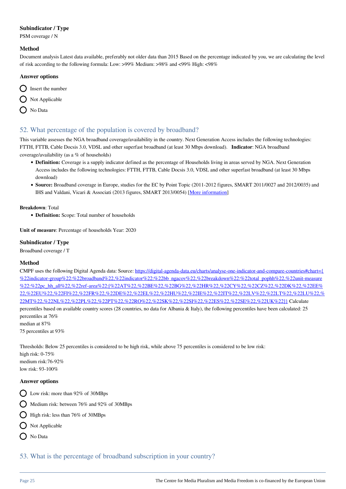# **Subindicator / Type**

PSM coverage / N

#### **Method**

Document analysis Latest data available, preferably not older data than 2015 Based on the percentage indicated by you, we are calculating the level of risk according to the following formula: Low: >99% Medium: >98% and <99% High: <98%

#### **Answer options**



# 52. What percentage of the population is covered by broadband?

This variable assesses the NGA broadband coverage/availability in the country. Next Generation Access includes the following technologies: FTTH, FTTB, Cable Docsis 3.0, VDSL and other superfast broadband (at least 30 Mbps download). **Indicator**: NGA broadband coverage/availability (as a % of households)

- **Definition:** Coverage is a supply indicator defined as the percentage of Households living in areas served by NGA. Next Generation Access includes the following technologies: FTTH, FTTB, Cable Docsis 3.0, VDSL and other superfast broadband (at least 30 Mbps download)
- **Source:** Broadband coverage in Europe, studies for the EC by Point Topic (2011-2012 figures, SMART 2011/0027 and 2012/0035) and IHS and Valdani, Vicari & Associati (2013 figures, SMART 2013/0054) [\[More information\]](http://ec.europa.eu/digital-agenda/about-fast-and-ultra-fast-internet-access)

**Breakdown**: Total

**Definition:** Scope: Total number of households

**Unit of measure**: Percentage of households Year: 2020

### **Subindicator / Type**

Broadband coverage / T

# **Method**

CMPF uses the following Digital Agenda data: Source: [https://digital-agenda-data.eu/charts/analyse-one-indicator-and-compare-countries#chart={](https://digital-agenda-data.eu/charts/analyse-one-indicator-and-compare-countries#chart={%22indicator-group%22:%22broadband%22,%22indicator%22:%22bb_ngacov%22,%22breakdown%22:%22total_pophh%22,%22unit-measure%22:%22pc_hh_all%22,%22ref-area%22:[%22AT%22,%22BE%22,%22BG%22,%22HR%22,%22CY%22,%22CZ%22,%22DK%22,%22EE%22,%22EU%22,%22FI%22,%22FR%22,%22DE%22,%22EL%22,%22HU%22,%22IE%22,%22IT%22,%22LV%22,%22LT%22,%22LU%22,%22MT%22,%22NL%22,%22PL%22,%22PT%22,%22RO%22,%22SK%22,%22SI%22,%22ES%22,%22SE%22,%22UK%22]}) [%22indicator-group%22:%22broadband%22,%22indicator%22:%22bb\\_ngacov%22,%22breakdown%22:%22total\\_pophh%22,%22unit-measure](https://digital-agenda-data.eu/charts/analyse-one-indicator-and-compare-countries#chart={%22indicator-group%22:%22broadband%22,%22indicator%22:%22bb_ngacov%22,%22breakdown%22:%22total_pophh%22,%22unit-measure%22:%22pc_hh_all%22,%22ref-area%22:[%22AT%22,%22BE%22,%22BG%22,%22HR%22,%22CY%22,%22CZ%22,%22DK%22,%22EE%22,%22EU%22,%22FI%22,%22FR%22,%22DE%22,%22EL%22,%22HU%22,%22IE%22,%22IT%22,%22LV%22,%22LT%22,%22LU%22,%22MT%22,%22NL%22,%22PL%22,%22PT%22,%22RO%22,%22SK%22,%22SI%22,%22ES%22,%22SE%22,%22UK%22]}) [%22:%22pc\\_hh\\_all%22,%22ref-area%22:\[%22AT%22,%22BE%22,%22BG%22,%22HR%22,%22CY%22,%22CZ%22,%22DK%22,%22EE%](https://digital-agenda-data.eu/charts/analyse-one-indicator-and-compare-countries#chart={%22indicator-group%22:%22broadband%22,%22indicator%22:%22bb_ngacov%22,%22breakdown%22:%22total_pophh%22,%22unit-measure%22:%22pc_hh_all%22,%22ref-area%22:[%22AT%22,%22BE%22,%22BG%22,%22HR%22,%22CY%22,%22CZ%22,%22DK%22,%22EE%22,%22EU%22,%22FI%22,%22FR%22,%22DE%22,%22EL%22,%22HU%22,%22IE%22,%22IT%22,%22LV%22,%22LT%22,%22LU%22,%22MT%22,%22NL%22,%22PL%22,%22PT%22,%22RO%22,%22SK%22,%22SI%22,%22ES%22,%22SE%22,%22UK%22]}) [22,%22EU%22,%22FI%22,%22FR%22,%22DE%22,%22EL%22,%22HU%22,%22IE%22,%22IT%22,%22LV%22,%22LT%22,%22LU%22,%](https://digital-agenda-data.eu/charts/analyse-one-indicator-and-compare-countries#chart={%22indicator-group%22:%22broadband%22,%22indicator%22:%22bb_ngacov%22,%22breakdown%22:%22total_pophh%22,%22unit-measure%22:%22pc_hh_all%22,%22ref-area%22:[%22AT%22,%22BE%22,%22BG%22,%22HR%22,%22CY%22,%22CZ%22,%22DK%22,%22EE%22,%22EU%22,%22FI%22,%22FR%22,%22DE%22,%22EL%22,%22HU%22,%22IE%22,%22IT%22,%22LV%22,%22LT%22,%22LU%22,%22MT%22,%22NL%22,%22PL%22,%22PT%22,%22RO%22,%22SK%22,%22SI%22,%22ES%22,%22SE%22,%22UK%22]}) [22MT%22,%22NL%22,%22PL%22,%22PT%22,%22RO%22,%22SK%22,%22SI%22,%22ES%22,%22SE%22,%22UK%22\]}](https://digital-agenda-data.eu/charts/analyse-one-indicator-and-compare-countries#chart={%22indicator-group%22:%22broadband%22,%22indicator%22:%22bb_ngacov%22,%22breakdown%22:%22total_pophh%22,%22unit-measure%22:%22pc_hh_all%22,%22ref-area%22:[%22AT%22,%22BE%22,%22BG%22,%22HR%22,%22CY%22,%22CZ%22,%22DK%22,%22EE%22,%22EU%22,%22FI%22,%22FR%22,%22DE%22,%22EL%22,%22HU%22,%22IE%22,%22IT%22,%22LV%22,%22LT%22,%22LU%22,%22MT%22,%22NL%22,%22PL%22,%22PT%22,%22RO%22,%22SK%22,%22SI%22,%22ES%22,%22SE%22,%22UK%22]}) Calculate percentiles based on available country scores (28 countries, no data for Albania & Italy), the following percentiles have been calculated: 25 percentiles at 76% median at 87%

75 percentiles at 93%

Thresholds: Below 25 percentiles is considered to be high risk, while above 75 percentiles is considered to be low risk: high risk: 0-75% medium risk:76-92% low risk: 93-100%

#### **Answer options**

- Low risk: more than 92% of 30MBps
- $\bigcap$  Medium risk: between 76% and 92% of 30MBps
- $\bigcirc$  High risk: less than 76% of 30MBps
- $\bigcirc$  Not Applicable
- O No Data

53. What is the percentage of broadband subscription in your country?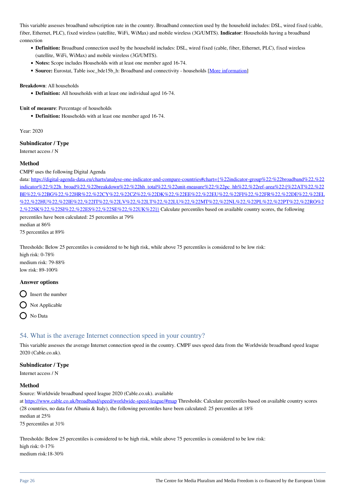This variable assesses broadband subscription rate in the country. Broadband connection used by the household includes: DSL, wired fixed (cable, fiber, Ethernet, PLC), fixed wireless (satellite, WiFi, WiMax) and mobile wireless (3G/UMTS). **Indicator**: Households having a broadband connection

- **Definition:** Broadband connection used by the household includes: DSL, wired fixed (cable, fiber, Ethernet, PLC), fixed wireless (satellite, WiFi, WiMax) and mobile wireless (3G/UMTS).
- **Notes:** Scope includes Households with at least one member aged 16-74.
- **Source:** Eurostat, Table isoc\_bde15b\_h: Broadband and connectivity households [\[More information\]](http://ec.europa.eu/eurostat/web/products-datasets/-/isoc_bde15b_h)

#### **Breakdown**: All households

**Definition:** All households with at least one individual aged 16-74.

**Unit of measure**: Percentage of households

**Definition:** Households with at least one member aged 16-74.

Year: 2020

### **Subindicator / Type**

Internet access / N

### **Method**

CMPF uses the following Digital Agenda

data: https://digital-agenda-data.eu/charts/analyse-one-indicator-and-compare-countries#chart={%22indicator-group%22:%22broadband%22.%22 [indicator%22:%22h\\_broad%22,%22breakdown%22:%22hh\\_total%22,%22unit-measure%22:%22pc\\_hh%22,%22ref-area%22:\[%22AT%22,%22](https://digital-agenda-data.eu/charts/analyse-one-indicator-and-compare-countries#chart={%22indicator-group%22:%22broadband%22,%22indicator%22:%22h_broad%22,%22breakdown%22:%22hh_total%22,%22unit-measure%22:%22pc_hh%22,%22ref-area%22:[%22AT%22,%22BE%22,%22BG%22,%22HR%22,%22CY%22,%22CZ%22,%22DK%22,%22EE%22,%22EU%22,%22FI%22,%22FR%22,%22DE%22,%22EL%22,%22HU%22,%22IE%22,%22IT%22,%22LV%22,%22LT%22,%22LU%22,%22MT%22,%22NL%22,%22PL%22,%22PT%22,%22RO%22,%22SK%22,%22SI%22,%22ES%22,%22SE%22,%22UK%22]}) [BE%22,%22BG%22,%22HR%22,%22CY%22,%22CZ%22,%22DK%22,%22EE%22,%22EU%22,%22FI%22,%22FR%22,%22DE%22,%22EL](https://digital-agenda-data.eu/charts/analyse-one-indicator-and-compare-countries#chart={%22indicator-group%22:%22broadband%22,%22indicator%22:%22h_broad%22,%22breakdown%22:%22hh_total%22,%22unit-measure%22:%22pc_hh%22,%22ref-area%22:[%22AT%22,%22BE%22,%22BG%22,%22HR%22,%22CY%22,%22CZ%22,%22DK%22,%22EE%22,%22EU%22,%22FI%22,%22FR%22,%22DE%22,%22EL%22,%22HU%22,%22IE%22,%22IT%22,%22LV%22,%22LT%22,%22LU%22,%22MT%22,%22NL%22,%22PL%22,%22PT%22,%22RO%22,%22SK%22,%22SI%22,%22ES%22,%22SE%22,%22UK%22]}) [%22,%22HU%22,%22IE%22,%22IT%22,%22LV%22,%22LT%22,%22LU%22,%22MT%22,%22NL%22,%22PL%22,%22PT%22,%22RO%2](https://digital-agenda-data.eu/charts/analyse-one-indicator-and-compare-countries#chart={%22indicator-group%22:%22broadband%22,%22indicator%22:%22h_broad%22,%22breakdown%22:%22hh_total%22,%22unit-measure%22:%22pc_hh%22,%22ref-area%22:[%22AT%22,%22BE%22,%22BG%22,%22HR%22,%22CY%22,%22CZ%22,%22DK%22,%22EE%22,%22EU%22,%22FI%22,%22FR%22,%22DE%22,%22EL%22,%22HU%22,%22IE%22,%22IT%22,%22LV%22,%22LT%22,%22LU%22,%22MT%22,%22NL%22,%22PL%22,%22PT%22,%22RO%22,%22SK%22,%22SI%22,%22ES%22,%22SE%22,%22UK%22]}) [2,%22SK%22,%22SI%22,%22ES%22,%22SE%22,%22UK%22\]}](https://digital-agenda-data.eu/charts/analyse-one-indicator-and-compare-countries#chart={%22indicator-group%22:%22broadband%22,%22indicator%22:%22h_broad%22,%22breakdown%22:%22hh_total%22,%22unit-measure%22:%22pc_hh%22,%22ref-area%22:[%22AT%22,%22BE%22,%22BG%22,%22HR%22,%22CY%22,%22CZ%22,%22DK%22,%22EE%22,%22EU%22,%22FI%22,%22FR%22,%22DE%22,%22EL%22,%22HU%22,%22IE%22,%22IT%22,%22LV%22,%22LT%22,%22LU%22,%22MT%22,%22NL%22,%22PL%22,%22PT%22,%22RO%22,%22SK%22,%22SI%22,%22ES%22,%22SE%22,%22UK%22]}) Calculate percentiles based on available country scores, the following percentiles have been calculated: 25 percentiles at 79% median at 86%

75 percentiles at 89%

Thresholds: Below 25 percentiles is considered to be high risk, while above 75 percentiles is considered to be low risk: high risk: 0-78%

medium risk: 79-88% low risk: 89-100%

#### **Answer options**

 $\bigcirc$  Insert the number

 $\bigcirc$  Not Applicable

O No Data

# 54. What is the average Internet connection speed in your country?

This variable assesses the average Internet connection speed in the country. CMPF uses speed data from the Worldwide broadband speed league 2020 (Cable.co.uk).

### **Subindicator / Type**

Internet access / N

#### **Method**

Source: Worldwide broadband speed league 2020 (Cable.co.uk). available

at <https://www.cable.co.uk/broadband/speed/worldwide-speed-league/#map> Thresholds: Calculate percentiles based on available country scores (28 countries, no data for Albania & Italy), the following percentiles have been calculated: 25 percentiles at 18% median at 25% 75 percentiles at 31%

Thresholds: Below 25 percentiles is considered to be high risk, while above 75 percentiles is considered to be low risk: high risk: 0-17% medium risk:18-30%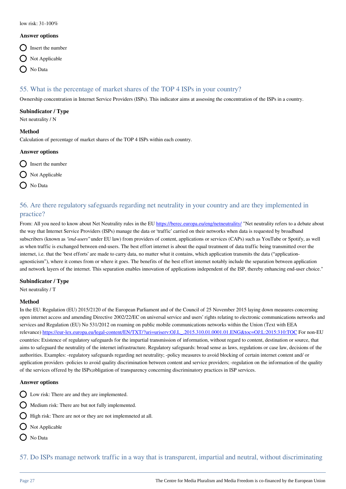#### low risk: 31-100%

#### **Answer options**

- $\bigcirc$  Insert the number
- $\bigcap$  Not Applicable
- O No Data

# 55. What is the percentage of market shares of the TOP 4 ISPs in your country?

Ownership concentration in Internet Service Providers (ISPs). This indicator aims at assessing the concentration of the ISPs in a country.

### **Subindicator / Type**

Net neutrality / N

#### **Method**

Calculation of percentage of market shares of the TOP 4 ISPs within each country.

#### **Answer options**

- $\bigcap$  Insert the number
- $\bigcirc$  Not Applicable
- O No Data

# 56. Are there regulatory safeguards regarding net neutrality in your country and are they implemented in practice?

From: All you need to know about Net Neutrality rules in the EU <https://berec.europa.eu/eng/netneutrality/> "Net neutrality refers to a debate about the way that Internet Service Providers (ISPs) manage the data or 'traffic' carried on their networks when data is requested by broadband subscribers (known as *"end-users"* under EU law) from providers of content, applications or services (CAPs) such as YouTube or Spotify, as well as when traffic is exchanged between end-users. The best effort internet is about the equal treatment of data traffic being transmitted over the internet, i.e. that the 'best efforts' are made to carry data, no matter what it contains, which application transmits the data ("applicationagnosticism"), where it comes from or where it goes. The benefits of the best effort internet notably include the separation between application and network layers of the internet. This separation enables innovation of applications independent of the ISP, thereby enhancing end-user choice."

# **Subindicator / Type**

Net neutrality / T

#### **Method**

In the EU: Regulation (EU) 2015/2120 of the European Parliament and of the Council of 25 November 2015 laying down measures concerning open internet access and amending Directive 2002/22/EC on universal service and users' rights relating to electronic communications networks and services and Regulation (EU) No 531/2012 on roaming on public mobile communications networks within the Union (Text with EEA relevance) [https://eur-lex.europa.eu/legal-content/EN/TXT/?uri=uriserv:OJ.L\\_.2015.310.01.0001.01.ENG&toc=OJ:L:2015:310:TOC](https://eur-lex.europa.eu/legal-content/EN/TXT/?uri=uriserv:OJ.L_.2015.310.01.0001.01.ENG&toc=OJ:L:2015:310:TOC) For non-EU countries: Existence of regulatory safeguards for the impartial transmission of information, without regard to content, destination or source, that aims to safeguard the neutrality of the internet infrastructure. Regulatory safeguards: broad sense as laws, regulations or case law, decisions of the authorities. Examples: -regulatory safeguards regarding net neutrality; -policy measures to avoid blocking of certain internet content and/ or application providers -policies to avoid quality discrimination between content and service providers; -regulation on the information of the quality of the services offered by the ISPs;obligation of transparency concerning discriminatory practices in ISP services.

# **Answer options**

- Low risk: There are and they are implemented.
- $\bigcirc$  Medium risk: There are but not fully implemented.
- $\bigcirc$  High risk: There are not or they are not implemneted at all.
- $\bigcap$  Not Applicable
- $\bigcap$  No Data

57. Do ISPs manage network traffic in a way that is transparent, impartial and neutral, without discriminating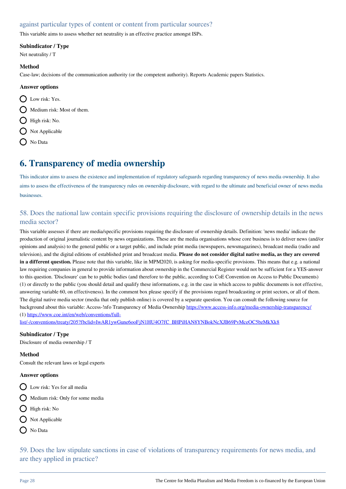# against particular types of content or content from particular sources?

This variable aims to assess whether net neutrality is an effective practice amongst ISPs.

### **Subindicator / Type**

Net neutrality / T

#### **Method**

Case-law; decisions of the communication authority (or the competent authority). Reports Academic papers Statistics.

### **Answer options**

- D Low risk: Yes.  $\bigcap$  Medium risk: Most of them.
- $\bigcap$  High risk: No.
- $\bigcap$  Not Applicable
- O No Data

# **6. Transparency of media ownership**

This indicator aims to assess the existence and implementation of regulatory safeguards regarding transparency of news media ownership. It also aims to assess the effectiveness of the transparency rules on ownership disclosure, with regard to the ultimate and beneficial owner of news media businesses.

# 58. Does the national law contain specific provisions requiring the disclosure of ownership details in the news media sector?

This variable assesses if there are media/specific provisions requiring the disclosure of ownership details. Definition: 'news media' indicate the production of original journalistic content by news organizations. These are the media organisations whose core business is to deliver news (and/or opinions and analysis) to the general public or a target public, and include print media (newspapers, newsmagazines), broadcast media (radio and television), and the digital editions of established print and broadcast media. **Please do not consider digital native media, as they are covered in a different question.** Please note that this variable, like in MPM2020, is asking for media-specific provisions. This means that e.g. a national law requiring companies in general to provide information about ownership in the Commercial Register would not be sufficient for a YES-answer to this question. 'Disclosure' can be to public bodies (and therefore to the public, according to CoE Convention on Access to Public Documents) (1) or directly to the public (you should detail and qualify these informations, e.g. in the case in which access to public documents is not effective, answering variable 60, on effectiveness). In the comment box please specify if the provisions regard broadcasting or print sectors, or all of them. The digital native media sector (media that only publish online) is covered by a separate question. You can consult the following source for background about this variable: Access-!nfo Transparency of Media Ownership <https://www.access-info.org/media-ownership-transparency/> (1) [https://www.coe.int/en/web/conventions/full-](https://www.coe.int/en/web/conventions/full-list/-/conventions/treaty/205?fbclid=IwAR1ywGune6ooFjN1HU4O7fC_BHPiHAN8YNBokNcXJB69PvMceOC5bzMkXk8)

[list/-/conventions/treaty/205?fbclid=IwAR1ywGune6ooFjN1HU4O7fC\\_BHPiHAN8YNBokNcXJB69PvMceOC5bzMkXk8](https://www.coe.int/en/web/conventions/full-list/-/conventions/treaty/205?fbclid=IwAR1ywGune6ooFjN1HU4O7fC_BHPiHAN8YNBokNcXJB69PvMceOC5bzMkXk8)

# **Subindicator / Type**

Disclosure of media ownership / T

# **Method**

Consult the relevant laws or legal experts

#### **Answer options**

- Q Low risk: Yes for all media
- $\bigcap$  Medium risk: Only for some media
- High risk: No
- $\bigcirc$  Not Applicable
- No Data

59. Does the law stipulate sanctions in case of violations of transparency requirements for news media, and are they applied in practice?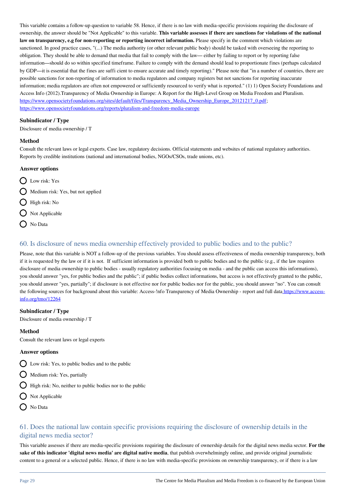This variable contains a follow-up question to variable 58. Hence, if there is no law with media-specific provisions requiring the disclosure of ownership, the answer should be "Not Applicable" to this variable. **This variable assesses if there are sanctions for violations of the national** law on transparency, e.g for non-reporting or reporting incorrect information. Please specify in the comment which violations are sanctioned. In good practice cases, "(...) The media authority (or other relevant public body) should be tasked with overseeing the reporting to obligation. They should be able to demand that media that fail to comply with the law— either by failing to report or by reporting false information—should do so within specified timeframe. Failure to comply with the demand should lead to proportionate fines (perhaps calculated by GDP—it is essential that the fines are suffi cient to ensure accurate and timely reporting)." Please note that "in a number of countries, there are possible sanctions for non-reporting of information to media regulators and company registers but not sanctions for reporting inaccurate information; media regulators are often not empowered or sufficiently resourced to verify what is reported." (1) 1) Open Society Foundations and Access Info (2012).Transparency of Media Ownership in Europe: A Report for the High-Level Group on Media Freedom and Pluralism. [https://www.opensocietyfoundations.org/sites/default/files/Transparency\\_Media\\_Ownership\\_Europe\\_20121217\\_0.pdf;](https://www.opensocietyfoundations.org/sites/default/files/Transparency_Media_Ownership_Europe_20121217_0.pdf) <https://www.opensocietyfoundations.org/reports/pluralism-and-freedom-media-europe>

#### **Subindicator / Type**

Disclosure of media ownership / T

#### **Method**

Consult the relevant laws or legal experts. Case law, regulatory decisions. Official statements and websites of national regulatory authorities. Reports by credible institutions (national and international bodies, NGOs/CSOs, trade unions, etc).

#### **Answer options**

- D Low risk: Yes
- $\bigcirc$  Medium risk: Yes, but not applied
- $\bigcap$  High risk: No
- $\bigcap$  Not Applicable
- O No Data

# 60. Is disclosure of news media ownership effectively provided to public bodies and to the public?

Please, note that this variable is NOT a follow-up of the previous variables. You should assess effectiveness of media ownership transparency, both if it is requested by the law or if it is not. If sufficient information is provided both to public bodies and to the public  $(e.g., if the law requires$ disclosure of media ownership to public bodies - usually regulatory authorities focusing on media - and the public can access this informations), you should answer "yes, for public bodies and the public"; if public bodies collect informations, but access is not effectively granted to the public, you should answer "yes, partially"; if disclosure is not effective nor for public bodies nor for the public, you should answer "no". You can consult the following sources for background about this variable: Access-!nfo Transparency of Media Ownership - report and full dat[a https://www.access](http://https://www.access-info.org/tmo/12264)[info.org/tmo/12264](http://https://www.access-info.org/tmo/12264)

#### **Subindicator / Type**

Disclosure of media ownership / T

#### **Method**

Consult the relevant laws or legal experts

#### **Answer options**

- $\bigcirc$  Low risk: Yes, to public bodies and to the public
- $\bigcirc$  Medium risk: Yes, partially
- $\bigcap$  High risk: No, neither to public bodies nor to the public
- $\bigcirc$  Not Applicable
- O No Data

# 61. Does the national law contain specific provisions requiring the disclosure of ownership details in the digital news media sector?

This variable assesses if there are media-specific provisions requiring the disclosure of ownership details for the digital news media sector. **For the sake of this indicator 'digital news media' are digital native media**, that publish overwhelmingly online, and provide original journalistic content to a general or a selected public. Hence, if there is no law with media-specific provisions on ownership transparency, or if there is a law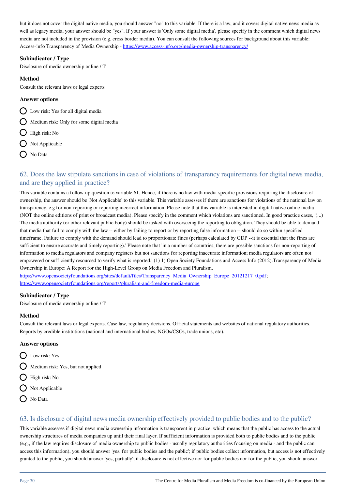but it does not cover the digital native media, you should answer "no" to this variable. If there is a law, and it covers digital native news media as well as legacy media, your answer should be "yes". If your answer is 'Only some digital media', please specify in the comment which digital news media are not included in the provision (e.g. cross border media). You can consult the following sources for background about this variable: Access-!nfo Transparency of Media Ownership - <https://www.access-info.org/media-ownership-transparency/>

#### **Subindicator / Type**

Disclosure of media ownership online / T

### **Method**

Consult the relevant laws or legal experts

### **Answer options**

O Low risk: Yes for all digital media

- $\bigcirc$  Medium risk: Only for some digital media
- $\bigcirc$  High risk: No
- $\bigcap$  Not Applicable
- ◯ No Data

# 62. Does the law stipulate sanctions in case of violations of transparency requirements for digital news media, and are they applied in practice?

This variable contains a follow-up question to variable 61. Hence, if there is no law with media-specific provisions requiring the disclosure of ownership, the answer should be 'Not Applicable' to this variable. This variable assesses if there are sanctions for violations of the national law on transparency, e.g for non-reporting or reporting incorrect information. Please note that this variable is interested in digital native online media (NOT the online editions of print or broadcast media). Please specify in the comment which violations are sanctioned. In good practice cases, '(...) The media authority (or other relevant public body) should be tasked with overseeing the reporting to obligation. They should be able to demand that media that fail to comply with the law -- either by failing to report or by reporting false information -- should do so within specified timeframe. Failure to comply with the demand should lead to proportionate fines (perhaps calculated by GDP --it is essential that the fines are sufficient to ensure accurate and timely reporting).' Please note that 'in a number of countries, there are possible sanctions for non-reporting of information to media regulators and company registers but not sanctions for reporting inaccurate information; media regulators are often not empowered or sufficiently resourced to verify what is reported.' (1) 1) Open Society Foundations and Access Info (2012).Transparency of Media Ownership in Europe: A Report for the High-Level Group on Media Freedom and Pluralism.

[https://www.opensocietyfoundations.org/sites/default/files/Transparency\\_Media\\_Ownership\\_Europe\\_20121217\\_0.pdf;](https://www.opensocietyfoundations.org/sites/default/files/Transparency_Media_Ownership_Europe_20121217_0.pdf) <https://www.opensocietyfoundations.org/reports/pluralism-and-freedom-media-europe>

#### **Subindicator / Type**

Disclosure of media ownership online / T

# **Method**

Consult the relevant laws or legal experts. Case law, regulatory decisions. Official statements and websites of national regulatory authorities. Reports by credible institutions (national and international bodies, NGOs/CSOs, trade unions, etc).

#### **Answer options**

- D Low risk: Yes
- $\bigcap$  Medium risk: Yes, but not applied
- $\bigcirc$  High risk: No
- $\bigcirc$  Not Applicable
- $\bigcap$  No Data

# 63. Is disclosure of digital news media ownership effectively provided to public bodies and to the public?

This variable assesses if digital news media ownership information is transparent in practice, which means that the public has access to the actual ownership structures of media companies up until their final layer. If sufficient information is provided both to public bodies and to the public (e.g., if the law requires disclosure of media ownership to public bodies - usually regulatory authorities focusing on media - and the public can access this information), you should answer 'yes, for public bodies and the public'; if public bodies collect information, but access is not effectively granted to the public, you should answer 'yes, partially'; if disclosure is not effective nor for public bodies nor for the public, you should answer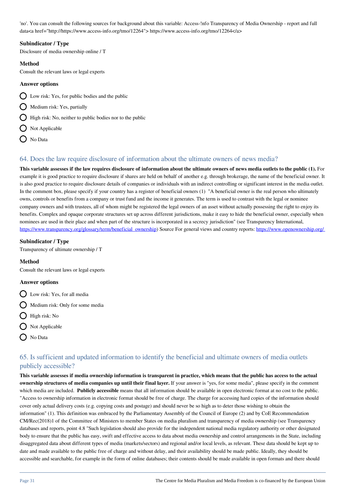'no'. You can consult the following sources for background about this variable: Access-!nfo Transparency of Media Ownership - report and full data<a href="http://https://www.access-info.org/tmo/12264"> https://www.access-info.org/tmo/12264</a>

### **Subindicator / Type**

Disclosure of media ownership online / T

### **Method**

Consult the relevant laws or legal experts

### **Answer options**

- $\bigcirc$  Low risk: Yes, for public bodies and the public
- $\bigcap$  Medium risk: Yes, partially
- $\bigcirc$  High risk: No, neither to public bodies nor to the public
- $\bigcap$  Not Applicable
- O No Data

# 64. Does the law require disclosure of information about the ultimate owners of news media?

**This variable assesses if the law requires disclosure of information about the ultimate owners of news media outlets to the public (1).** For example it is good practice to require disclosure if shares are held on behalf of another e.g. through brokerage, the name of the beneficial owner. It is also good practice to require disclosure details of companies or individuals with an indirect controlling or significant interest in the media outlet. In the comment box, please specify if your country has a register of beneficial owners (1) "A beneficial owner is the real person who ultimately owns, controls or benefits from a company or trust fund and the income it generates. The term is used to contrast with the legal or nominee company owners and with trustees, all of whom might be registered the legal owners of an asset without actually possessing the right to enjoy its benefits. Complex and opaque corporate structures set up across different jurisdictions, make it easy to hide the beneficial owner, especially when nominees are used in their place and when part of the structure is incorporated in a secrecy jurisdiction" (see Transparency International, [https://www.transparency.org/glossary/term/beneficial\\_ownership](https://www.transparency.org/glossary/term/beneficial_ownership)) Source For general views and country reports: https://www.openownership.org/

### **Subindicator / Type**

Transparency of ultimate ownership / T

#### **Method**

Consult the relevant laws or legal experts

### **Answer options**

- Low risk: Yes, for all media
- $\bigcap$  Medium risk: Only for some media
- $\bigcap$  High risk: No
- $\bigcirc$  Not Applicable
- O No Data

# 65. Is sufficient and updated information to identify the beneficial and ultimate owners of media outlets publicly accessible?

**This variable assesses if media ownership information is transparent in practice, which means that the public has access to the actual ownership structures of media companies up until their final layer.** If your answer is "yes, for some media", please specify in the comment which media are included. **Publicly accessible** means that all information should be available in open electronic format at no cost to the public. "Access to ownership information in electronic format should be free of charge. The charge for accessing hard copies of the information should cover only actual delivery costs (e.g. copying costs and postage) and should never be so high as to deter those wishing to obtain the information" (1). This definition was embraced by the Parliamentary Assembly of the Council of Europe (2) and by CoE Recommendation CM/Rec(2018)1 of the Committee of Ministers to member States on media pluralism and transparency of media ownership (see Transparency databases and reports, point 4.8 "Such legislation should also provide for the independent national media regulatory authority or other designated body to ensure that the public has easy, swift and effective access to data about media ownership and control arrangements in the State, including disaggregated data about different types of media (markets/sectors) and regional and/or local levels, as relevant. These data should be kept up to date and made available to the public free of charge and without delay, and their availability should be made public. Ideally, they should be accessible and searchable, for example in the form of online databases; their contents should be made available in open formats and there should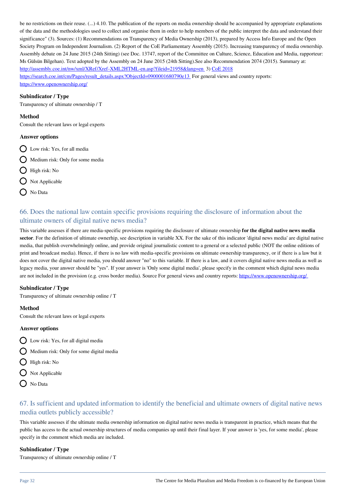be no restrictions on their reuse. (...) 4.10. The publication of the reports on media ownership should be accompanied by appropriate explanations of the data and the methodologies used to collect and organise them in order to help members of the public interpret the data and understand their significance" (3). Sources: (1) Recommendations on Transparency of Media Ownership (2013), prepared by Access Info Europe and the Open Society Program on Independent Journalism. (2) Report of the CoE Parliamentary Assembly (2015). Increasing transparency of media ownership. Assembly debate on 24 June 2015 (24th Sitting) (see Doc. 13747, report of the Committee on Culture, Science, Education and Media, rapporteur: Ms Gülsün Bilgehan). Text adopted by the Assembly on 24 June 2015 (24th Sitting).See also Recommendation 2074 (2015). Summary at: <http://assembly.coe.int/nw/xml/XRef/Xref-XML2HTML-en.asp?fileid=21958&lang=en>3) [CoE 2018](http://CoE 2018 https://search.coe.int/cm/Pages/result_details.aspx?ObjectId=0900001680790e13) [https://search.coe.int/cm/Pages/result\\_details.aspx?ObjectId=0900001680790e13](http://CoE 2018 https://search.coe.int/cm/Pages/result_details.aspx?ObjectId=0900001680790e13) For general views and country reports: <https://www.openownership.org/>

**Subindicator / Type**

Transparency of ultimate ownership / T

#### **Method**

Consult the relevant laws or legal experts

#### **Answer options**

- Low risk: Yes, for all media
- $\bigcirc$  Medium risk: Only for some media
- $\bigcirc$  High risk: No
- $\bigcirc$  Not Applicable
- $\bigcap$  No Data

# 66. Does the national law contain specific provisions requiring the disclosure of information about the ultimate owners of digital native news media?

This variable assesses if there are media-specific provisions requiring the disclosure of ultimate ownership **for the digital native news media sector**. For the definition of ultimate ownerhip, see description in variable XX. For the sake of this indicator 'digital news media' are digital native media, that publish overwhelmingly online, and provide original journalistic content to a general or a selected public (NOT the online editions of print and broadcast media). Hence, if there is no law with media-specific provisions on ultimate ownership transparency, or if there is a law but it does not cover the digital native media, you should answer "no" to this variable. If there is a law, and it covers digital native news media as well as legacy media, your answer should be "yes". If your answer is 'Only some digital media', please specify in the comment which digital news media are not included in the provision (e.g. cross border media). Source For general views and country reports: https://www.openownership.org/

#### **Subindicator / Type**

Transparency of ultimate ownership online / T

#### **Method**

Consult the relevant laws or legal experts

#### **Answer options**

- $\bigcirc$  Low risk: Yes, for all digital media
- $\bigcirc$  Medium risk: Only for some digital media
- $\bigcirc$  High risk: No
- $\bigcap$  Not Applicable
- O No Data

# 67. Is sufficient and updated information to identify the beneficial and ultimate owners of digital native news media outlets publicly accessible?

This variable assesses if the ultimate media ownership information on digital native news media is transparent in practice, which means that the public has access to the actual ownership structures of media companies up until their final layer. If your answer is 'yes, for some media', please specify in the comment which media are included.

#### **Subindicator / Type**

Transparency of ultimate ownership online / T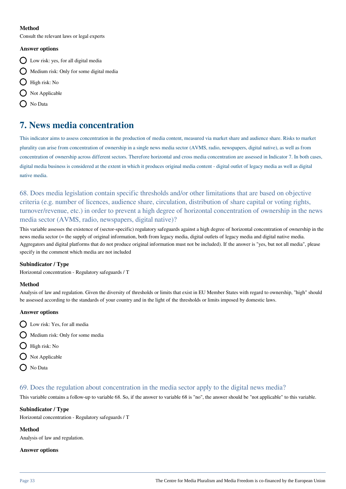### **Method**

Consult the relevant laws or legal experts

#### **Answer options**

- Low risk: yes, for all digital media
- $\bigcap$  Medium risk: Only for some digital media
- $\bigcirc$  High risk: No
- $\bigcap$  Not Applicable
- No Data

# **7. News media concentration**

This indicator aims to assess concentration in the production of media content, measured via market share and audience share. Risks to market plurality can arise from concentration of ownership in a single news media sector (AVMS, radio, newspapers, digital native), as well as from concentration of ownership across different sectors. Therefore horizontal and cross media concentration are assessed in Indicator 7. In both cases, digital media business is considered at the extent in which it produces original media content - digital outlet of legacy media as well as digital native media.

68. Does media legislation contain specific thresholds and/or other limitations that are based on objective criteria (e.g. number of licences, audience share, circulation, distribution of share capital or voting rights, turnover/revenue, etc.) in order to prevent a high degree of horizontal concentration of ownership in the news media sector (AVMS, radio, newspapers, digital native)?

This variable assesses the existence of (sector-specific) regulatory safeguards against a high degree of horizontal concentration of ownership in the news media sector (= the supply of original information, both from legacy media, digital outlets of legacy media and digital native media. Aggregators and digital platforms that do not produce original information must not be included). If the answer is "yes, but not all media", please specify in the comment which media are not included

#### **Subindicator / Type**

Horizontal concentration - Regulatory safeguards / T

#### **Method**

Analysis of law and regulation. Given the diversity of thresholds or limits that exist in EU Member States with regard to ownership, "high" should be assessed according to the standards of your country and in the light of the thresholds or limits imposed by domestic laws.

#### **Answer options**

- Low risk: Yes, for all media
- $\bigcap$  Medium risk: Only for some media
- $\bigcirc$  High risk: No
- $\bigcirc$  Not Applicable
- $\bigcap$  No Data

# 69. Does the regulation about concentration in the media sector apply to the digital news media?

This variable contains a follow-up to variable 68. So, if the answer to variable 68 is "no", the answer should be "not applicable" to this variable.

### **Subindicator / Type**

Horizontal concentration - Regulatory safeguards / T

#### **Method**

Analysis of law and regulation.

#### **Answer options**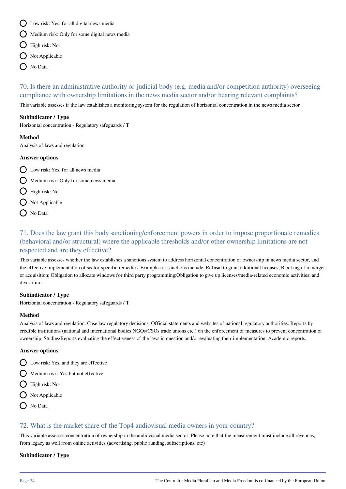- $\bigcap$  Low risk: Yes, for all digital news media
- $\bigcirc$  Medium risk: Only for some digital news media
- $\bigcirc$  High risk: No
- Not Applicable
- $\bigcap$  No Data

70. Is there an administrative authority or judicial body (e.g. media and/or competition authority) overseeing compliance with ownership limitations in the news media sector and/or hearing relevant complaints?

This variable assesses if the law establishes a monitoring system for the regulation of horizontal concentration in the news media sector

### **Subindicator / Type**

Horizontal concentration - Regulatory safeguards / T

#### **Method**

Analysis of laws and regulation

### **Answer options**

- $\bigcap$  Low risk: Yes, for all news media
- $\bigcirc$  Medium risk: Only for some news media
- $\bigcirc$  High risk: No
- $\bigcirc$  Not Applicable
- O No Data

# 71. Does the law grant this body sanctioning/enforcement powers in order to impose proportionate remedies (behavioral and/or structural) where the applicable thresholds and/or other ownership limitations are not respected and are they effective?

This variable assesses whether the law establishes a sanctions system to address horizontal concentration of ownership in news media sector, and the effective implementation of sector-specific remedies. Examples of sanctions include: Refusal to grant additional licenses; Blocking of a merger or acquisition; Obligation to allocate windows for third party programming;Obligation to give up licenses/media-related economic activities; and divestiture.

# **Subindicator / Type**

Horizontal concentration - Regulatory safeguards / T

# **Method**

Analysis of laws and regulation. Case law regulatory decisions. Official statements and websites of national regulatory authorities. Reports by credible institutions (national and international bodies NGOs/CSOs trade unions etc.) on the enforcement of measures to prevent concentration of ownership. Studies/Reports evaluating the effectiveness of the laws in question and/or evaluating their implementation. Academic reports.

# **Answer options**

 $\bigcirc$  Low risk: Yes, and they are effective

 $\bigcap$  Medium risk: Yes but not effective

- $\bigcirc$  High risk: No
- $\bigcirc$  Not Applicable
- $\bigcap$  No Data

# 72. What is the market share of the Top4 audiovisual media owners in your country?

This variable assesses concentration of ownership in the audiovisual media sector. Please note that the measurement must include all revenues, from legacy as well from online activities (advertising, public funding, subscriptions, etc)

#### **Subindicator / Type**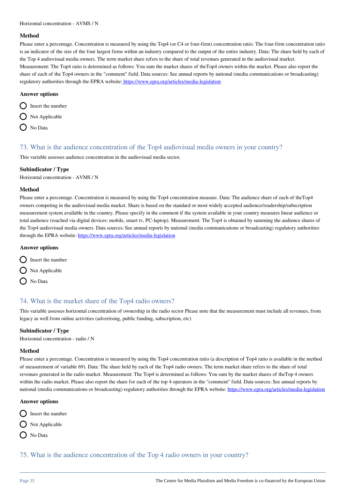#### **Method**

Please enter a percentage. Concentration is measured by using the Top4 (or C4 or four-firm) concentration ratio. The four-firm concentration ratio is an indicator of the size of the four largest firms within an industry compared to the output of the entire industry. Data: The share held by each of the Top 4 audiovisual media owners. The term market share refers to the share of total revenues generated in the audiovisual market. Measurement: The Top4 ratio is determined as follows: You sum the market shares of theTop4 owners within the market. Please also report the share of each of the Top4 owners in the "comment" field. Data sources: See annual reports by national (media communications or broadcasting) regulatory authorities through the EPRA website[: https://www.epra.org/articles/media-legislation](http://https://www.epra.org/articles/media-legislation)

#### **Answer options**

 $\bigcap$  Insert the number

 $\bigcap$  Not Applicable

 $\bigcap$  No Data

### 73. What is the audience concentration of the Top4 audiovisual media owners in your country?

This variable assesses audience concentration in the audiovisual media sector.

#### **Subindicator / Type**

Horizontal concentration - AVMS / N

#### **Method**

Please enter a percentage. Concentration is measured by using the Top4 concentration measure. Data: The audience share of each of theTop4 owners competing in the audiovisual media market. Share is based on the standard or most widely accepted audience/readership/subscription measurement system available in the country. Please specify in the comment if the system available in your country measures linear audience or total audience (reached via digital devices: mobile, smart tv, PC-laptop). Measurement: The Top4 is obtained by summing the audience shares of the Top4 audiovisual media owners. Data sources: See annual reports by national (media communications or broadcasting) regulatory authorities through the EPRA website:<https://www.epra.org/articles/media-legislation>

#### **Answer options**

 $\bigcirc$  Insert the number

 $\bigcap$  Not Applicable

O No Data

# 74. What is the market share of the Top4 radio owners?

This variable assesses horizontal concentration of ownership in the radio sector Please note that the measurement must include all revenues, from legacy as well from online activities (advertising, public funding, subscription, etc)

#### **Subindicator / Type**

Horizontal concentration - radio / N

#### **Method**

Please enter a percentage. Concentration is measured by using the Top4 concentration ratio (a description of Top4 ratio is available in the method of measurement of variable 69). Data: The share held by each of the Top4 radio owners. The term market share refers to the share of total revenues generated in the radio market. Measurement: The Top4 is determined as follows: You sum by the market shares of theTop 4 owners within the radio market. Please also report the share for each of the top 4 operators in the "comment" field. Data sources: See annual reports by national (media communications or broadcasting) regulatory authorities through the EPRA website: <https://www.epra.org/articles/media-legislation>

#### **Answer options**

- $\bigcirc$  Insert the number
- $\bigcirc$  Not Applicable
- $\bigcap$  No Data
- 75. What is the audience concentration of the Top 4 radio owners in your country?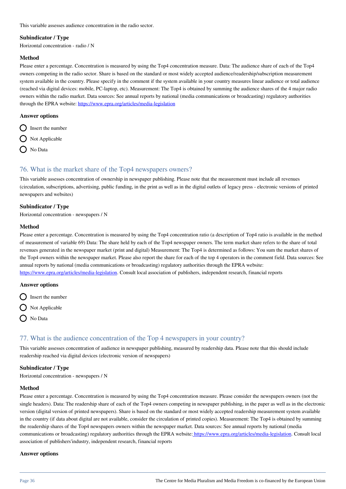This variable assesses audience concentration in the radio sector.

#### **Subindicator / Type**

Horizontal concentration - radio / N

#### **Method**

Please enter a percentage. Concentration is measured by using the Top4 concentration measure. Data: The audience share of each of the Top4 owners competing in the radio sector. Share is based on the standard or most widely accepted audience/readership/subscription measurement system available in the country. Please specify in the comment if the system available in your country measures linear audience or total audience (reached via digital devices: mobile, PC-laptop, etc). Measurement: The Top4 is obtained by summing the audience shares of the 4 major radio owners within the radio market. Data sources: See annual reports by national (media communications or broadcasting) regulatory authorities through the EPRA website:<https://www.epra.org/articles/media-legislation>

#### **Answer options**

- $\bigcirc$  Insert the number
- $\bigcap$  Not Applicable
- O No Data

# 76. What is the market share of the Top4 newspapers owners?

This variable assesses concentration of ownership in newspaper publishing. Please note that the measurement must include all revenues (circulation, subscriptions, advertising, public funding, in the print as well as in the digital outlets of legacy press - electronic versions of printed newspapers and websites)

#### **Subindicator / Type**

Horizontal concentration - newspapers / N

#### **Method**

Please enter a percentage. Concentration is measured by using the Top4 concentration ratio (a description of Top4 ratio is available in the method of measurement of variable 69) Data: The share held by each of the Top4 newspaper owners. The term market share refers to the share of total revenues generated in the newspaper market (print and digital) Measurement: The Top4 is determined as follows: You sum the market shares of the Top4 owners within the newspaper market. Please also report the share for each of the top 4 operators in the comment field. Data sources: See annual reports by national (media communications or broadcasting) regulatory authorities through the EPRA website:

[https://www.epra.org/articles/media-legislation.](https://www.epra.org/articles/media-legislation) Consult local association of publishers, independent research, financial reports

#### **Answer options**

- $\bigcap$  Insert the number
- $\bigcirc$  Not Applicable
- $\bigcap$  No Data

# 77. What is the audience concentration of the Top 4 newspapers in your country?

This variable assesses concentration of audience in newspaper publishing, measured by readership data. Please note that this should include readership reached via digital devices (electronic version of newspapers)

#### **Subindicator / Type**

Horizontal concentration - newspapers / N

#### **Method**

Please enter a percentage. Concentration is measured by using the Top4 concentration measure. Please consider the newspapers owners (not the single headers). Data: The readership share of each of the Top4 owners competing in newspaper publishing, in the paper as well as in the electronic version (digital version of printed newspapers). Share is based on the standard or most widely accepted readership measurement system available in the country (if data about digital are not available, consider the circulation of printed copies). Measurement: The Top4 is obtained by summing the readership shares of the Top4 newspapers owners within the newspaper market. Data sources: See annual reports by national (media communications or broadcasting) regulatory authorities through the EPRA website: [https://www.epra.org/articles/media-legislation](http://https://www.epra.org/articles/media-legislation). Consult local association of publishers'industry, independent research, financial reports

#### **Answer options**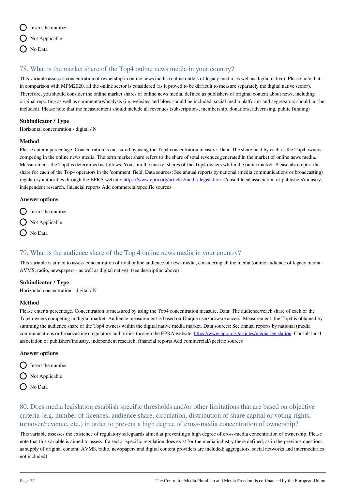

# 78. What is the market share of the Top4 online news media in your country?

This variable assesses concentration of ownership in online news media (online outlets of legacy media as well as digital native). Please note that, in comparison with MPM2020, all the online sector is considered (as it proved to be difficult to measure separately the digital native sector). Therefore, you should consider the online market shares of online news media, defined as publishers of original content about news, including original reporting as well as commentary/analysis (i.e. websites and blogs should be included, social media platforms and aggregators should not be included). Please note that the measurement should include all revenues (subscriptions, membership, donations, advertising, public funding)

### **Subindicator / Type**

Horizontal concentration - digital / N

### **Method**

Please enter a percentage. Concentration is measured by using the Top4 concentration measure. Data: The share held by each of the Top4 owners competing in the online news media. The term market share refers to the share of total revenues generated in the market of online news media. Measurement: the Top4 is determined as follows: You sum the market shares of the Top4 owners whitin the onine market. Please also report the share for each of the Top4 operators in the 'comment' field. Data sources: See annual reports by national (media communications or broadcasting) regulatory authorities through the EPRA website: <https://www.epra.org/articles/media-legislation>. Consult local association of publishers'industry, independent research, financial reports Add commercial/specific sources

### **Answer options**

- $\bigcirc$  Insert the number
- $\bigcirc$  Not Applicable
- $\bigcap$  No Data

# 79. What is the audience share of the Top 4 online news media in your country?

This variable is aimed to assess concentration of total online audience of news media, considering all the media (online audience of legacy media - AVMS, radio, newspapers - as well as digital native). (see description above)

### **Subindicator / Type**

Horizontal concentration - digital / N

### **Method**

Please enter a percentage. Concentration is measured by using the Top4 concentration measure. Data: The audience/reach share of each of the Top4 owners competing in digital market. Audience measurement is based on Unique user/browsre access. Measurement: the Top4 is obtained by summing the audience share of the Top4 owners within the digital native media market. Data sources: See annual reports by national (media communications or broadcasting) regulatory authorities through the EPRA website: <https://www.epra.org/articles/media-legislation>. Consult local association of publishers'industry, independent research, financial reports Add commercial/specific sources

### **Answer options**

- $\bigcirc$  Insert the number
- $\bigcirc$  Not Applicable
- O No Data

80. Does media legislation establish specific thresholds and/or other limitations that are based on objective criteria (e.g. number of licences, audience share, circulation, distribution of share capital or voting rights, turnover/revenue, etc.) in order to prevent a high degree of cross-media concentration of ownership?

This variable assesses the existence of regulatory safeguards aimed at preventing a high degree of cross-media concentration of ownership. Please note that this variable is aimed to assess if a sector-specific regulation does exist for the media industry (here defined, as in the previous questions, as supply of original content: AVMS, radio, newspapers and digital content providers are included; aggregators, social networks and intermediaries not included)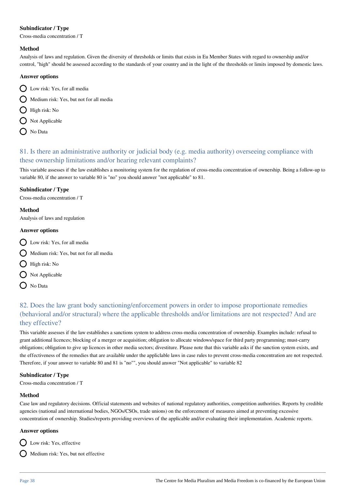### **Subindicator / Type**

Cross-media concentration / T

### **Method**

Analysis of laws and regulation. Given the diversity of thresholds or limits that exists in Eu Member States with regard to ownership and/or control, "high" should be assessed according to the standards of your country and in the light of the thresholds or limits imposed by domestic laws.

### **Answer options**

- Low risk: Yes, for all media
- $\bigcap$  Medium risk: Yes, but not for all media
- High risk: No
- $\bigcirc$  Not Applicable
- O No Data

# 81. Is there an administrative authority or judicial body (e.g. media authority) overseeing compliance with these ownership limitations and/or hearing relevant complaints?

This variable assesses if the law establishes a monitoring system for the regulation of cross-media concentration of ownership. Being a follow-up to variable 80, if the answer to variable 80 is "no" you should answer "not applicable" to 81.

### **Subindicator / Type**

Cross-media concentration / T

### **Method**

Analysis of laws and regulation

### **Answer options**

- Low risk: Yes, for all media
- Medium risk: Yes, but not for all media
- **C** High risk: No
- $\bigcirc$  Not Applicable
- $\bigcap$  No Data

# 82. Does the law grant body sanctioning/enforcement powers in order to impose proportionate remedies (behavioral and/or structural) where the applicable thresholds and/or limitations are not respected? And are they effective?

This variable assesses if the law establishes a sanctions system to address cross-media concentration of ownership. Examples include: refusal to grant additional licences; blocking of a merger or acquisition; obligation to allocate windows/space for third party programming; must-carry obligations; obligation to give up licences in other media sectors; divestiture. Please note that this variable asks if the sanction system exists, and the effectiveness of the remedies that are available under the appliclable laws in case rules to prevent cross-media concentration are not respected. Therefore, if your answer to variable 80 and 81 is "no"", you should answer "Not applicable" to variable 82

### **Subindicator / Type**

Cross-media concentration / T

### **Method**

Case law and regulatory decisions. Official statements and websites of national regulatory authorities, competition authorities. Reports by credible agencies (national and international bodies, NGOs/CSOs, trade unions) on the enforcement of measures aimed at preventing excessive concentration of ownership. Studies/reports providing overviews of the applicable and/or evaluating their implementation. Academic reports.

### **Answer options**

D Low risk: Yes, effective

Medium risk: Yes, but not effective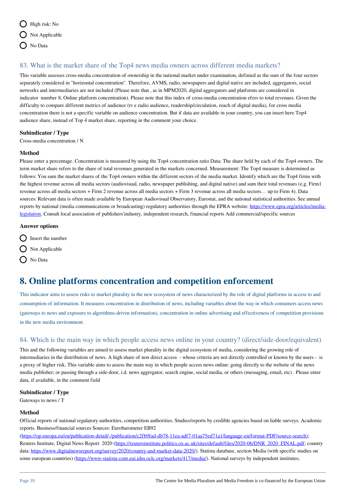

# 83. What is the market share of the Top4 news media owners across different media markets?

This variable assesses cross-media concentration of ownership in the national market under examination, definied as the sum of the four sectors separately considered in "horizontal concentration". Therefore, AVMS, radio, newspapers and digital native are included, aggregators, social networks and intermediaries are not included (Please note that , as in MPM2020, digital aggregators and platforms are considered in indicator number 8, Online platform concentration). Please note that this index of cross-media concentration efers to total revenues. Given the difficulty to compare different metrics of audience (tv e radio audience, readership/circulation, reach of digital media), for cross media concentration there is not a specific variable on audience concentration. But if data are available in your country, you can insert here Top4 audience share, instead of Top 4 market share, reporting in the comment your choice.

#### **Subindicator / Type**

Cross-media concentration / N

#### **Method**

Please enter a percentage. Concentration is measured by using the Top4 concentration ratio Data: The share held by each of the Top4 owners. The term market share refers to the share of total revenues generated in the markets concerned. Measurement: The Top4 measure is determined as follows: You sum the market shares of the Top4 owners within the different sectors of the media market. Identify which are the Top4 firms with the highest revenue across all media sectors (audiovisual, radio, newspaper publishing, and digital native) and sum their total revenues (e.g. Firm1 revenue across all media sectors + Firm 2 revenue across all media sectors + Firm 3 revenue across all media sectors… up to Firm 4). Data sources: Relevant data is often made available by European Audiovisual Observatory, Eurostat, and the national statistical authorities. See annual reports by national (media communications or broadcasting) regulatory authorities through the EPRA website: [https://www.epra.org/articles/media](https://www.epra.org/articles/media-legislation)[legislation](https://www.epra.org/articles/media-legislation). Consult local association of publishers'industry, independent research, financial reports Add commercial/specific sources

#### **Answer options**

- $\bigcirc$  Insert the number
- $\bigcap$  Not Applicable
- $\bigcap$  No Data

# **8. Online platforms concentration and competition enforcement**

This indicator aims to assess risks to market plurality in the new ecosystem of news characterized by the role of digital platforms in access to and consumption of information. It measures concentration in distribution of news, including variables about the way in which consumers access news (gateways to news and exposure to algorithms-driven information), concentration in online advertising and effectiveness of competition provisions in the new media environment.

# 84. Which is the main way in which people access news online in your country? (direct/side-door/equivalent)

This and the following variables are aimed to assess market plurality in the digital ecosystem of media, considering the growing role of intermediaries in the distribution of news. A high share of non direct access - whose criteria are not directly controlled or known by the users - is a proxy of higher risk. This variable aims to assess the main way in which people access news online: going directly to the website of the news media publisher; or passing through a side-door, i.d. news aggregator, search engine, social media, or others (messaging, email, etc) . Please enter data, if available, in the comment field

#### **Subindicator / Type**

Gateways to news / T

### **Method**

Official reports of national regulatory authorities, competition authorities. Studies/reports by credible agencies based on liable surveys. Academic reports. Business/financial sources Sources: Eurobarometer EB92

[\(https://op.europa.eu/en/publication-detail/-/publication/c2fb9fad-db78-11ea-adf7-01aa75ed71a1/language-en/format-PDF/source-search\)](https://op.europa.eu/en/publication-detail/-/publication/c2fb9fad-db78-11ea-adf7-01aa75ed71a1/language-en/format-PDF/source-search); Reuters Institute, Digital News Report 2020 ([https://reutersinstitute.politics.ox.ac.uk/sites/default/files/2020-06/DNR\\_2020\\_FINAL.pdf](https://reutersinstitute.politics.ox.ac.uk/sites/default/files/2020-06/DNR_2020_FINAL.pdf); country data: [https://www.digitalnewsreport.org/survey/2020/country-and-market-data-2020/\)](https://www.digitalnewsreport.org/survey/2020/country-and-market-data-2020/). Statista database, section Media (with specific studies on some european countries) (<https://www-statista-com.eui.idm.oclc.org/markets/417/media/>). National surveys by independent institutes;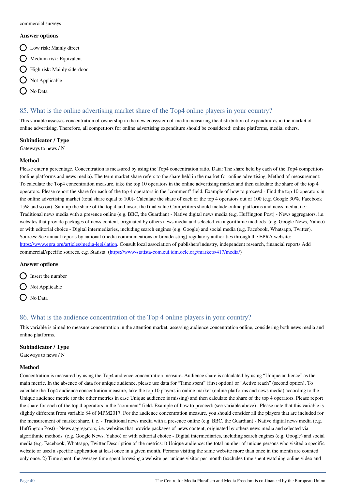#### **Answer options**

- Q Low risk: Mainly direct
- $\bigcirc$  Medium risk: Equivalent
- High risk: Mainly side-door
- $\bigcap$  Not Applicable
- No Data

# 85. What is the online advertising market share of the Top4 online players in your country?

This variable assesses concentration of ownership in the new ecosystem of media measuring the distribution of expenditures in the market of online advertising. Therefore, all competitors for online advertising expenditure should be considered: online platforms, media, others.

### **Subindicator / Type**

Gateways to news / N

### **Method**

Please enter a percentage. Concentration is measured by using the Top4 concentration ratio. Data: The share held by each of the Top4 competitors (online platforms and news media). The term market share refers to the share held in the market for online advertising. Method of measurement: To calculate the Top4 concentration measure, take the top 10 operators in the online advertising market and then calculate the share of the top 4 operators. Please report the share for each of the top 4 operators in the "comment" field. Example of how to proceed:- Find the top 10 operators in the online advertising market (total share equal to 100)- Calculate the share of each of the top 4 operators out of 100 (e.g. Google 30%, Facebook 15% and so on)- Sum up the share of the top 4 and insert the final value Competitors should include online platforms and news media, i.e.: - Traditional news media with a presence online (e.g. BBC, the Guardian) - Native digital news media (e.g. Huffington Post) - News aggregators, i.e. websites that provide packages of news content, originated by others news media and selected via algorithmic methods (e.g. Google News, Yahoo) or with editorial choice - Digital intermediaries, including search engines (e.g. Google) and social media (e.g. Facebook, Whatsapp, Twitter). Sources: See annual reports by national (media communications or broadcasting) regulatory authorities through the EPRA website: [https://www.epra.org/articles/media-legislation.](https://www.epra.org/articles/media-legislation) Consult local association of publishers'industry, independent research, financial reports Add commercial/specific sources. e.g. Statista (<https://www-statista-com.eui.idm.oclc.org/markets/417/media/>)

### **Answer options**

 $\bigcap$  Insert the number

- $\bigcap$  Not Applicable
- O No Data

### 86. What is the audience concentration of the Top 4 online players in your country?

This variable is aimed to measure concentration in the attention market, assessing audience concentration online, considering both news media and online platforms.

### **Subindicator / Type**

Gateways to news / N

#### **Method**

Concentration is measured by using the Top4 audience concentration measure. Audience share is calculated by using "Unique audience" as the main metric. In the absence of data for unique audience, please use data for "Time spent" (first option) or "Active reach" (second option). To calculate the Top4 audience concentration measure, take the top 10 players in online market (online platforms and news media) according to the Unique audience metric (or the other metrics in case Unique audience is missing) and then calculate the share of the top 4 operators. Please report the share for each of the top 4 operators in the "comment" field. Example of how to proceed: (see variable above) . Please note that this variable is slightly different from variable 84 of MPM2017. For the audience concentration measure, you should consider all the players that are included for the measurement of market share, i. e. - Traditional news media with a presence online (e.g. BBC, the Guardian) - Native digital news media (e.g. Huffington Post) - News aggregators, i.e. websites that provide packages of news content, originated by others news media and selected via algorithmic methods (e.g. Google News, Yahoo) or with editorial choice - Digital intermediaries, including search engines (e.g. Google) and social media (e.g. Facebook, Whatsapp, Twitter Description of the metrics:1) Unique audience: the total number of unique persons who visited a specific website or used a specific application at least once in a given month. Persons visiting the same website more than once in the month are counted only once. 2) Time spent: the average time spent browsing a website per unique visitor per month (excludes time spent watching online video and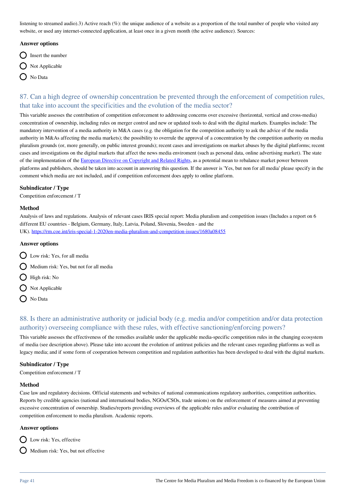listening to streamed audio).3) Active reach (%): the unique audience of a website as a proportion of the total number of people who visited any website, or used any internet-connected application, at least once in a given month (the active audience). Sources:

#### **Answer options**

- $\bigcirc$  Insert the number
- $\bigcap$  Not Applicable
- No Data

# 87. Can a high degree of ownership concentration be prevented through the enforcement of competition rules, that take into account the specificities and the evolution of the media sector?

This variable assesses the contribution of competition enforcement to addressing concerns over excessive (horizontal, vertical and cross-media) concentration of ownership, including rules on merger control and new or updated tools to deal with the digital markets. Examples include: The mandatory intervention of a media authority in M&A cases (e.g. the obligation for the competition authority to ask the advice of the media authority in M&As affecting the media markets); the possibility to overrule the approval of a concentration by the competition authority on media pluralism grounds (or, more generally, on public interest grounds); recent cases and investigations on market abuses by the digital platforms; recent cases and investigations on the digital markets that affect the news media enviroment (such as personal data, online advertising market). The state of the implementation of the [European Directive on Copyright and Related Rights,](https://eur-lex.europa.eu/eli/dir/2019/790/oj) as a potential mean to rebalance market power between platforms and publishers, should be taken into account in answering this question. If the answer is 'Yes, but non for all media' please specify in the comment which media are not included, and if competition enforcement does apply to online platform.

### **Subindicator / Type**

Competition enforcement / T

#### **Method**

Analysis of laws and regulations. Analysis of relevant cases IRIS special report: Media pluralism and competition issues (Includes a report on 6 different EU countries - Belgium, Germany, Italy, Latvia, Poland, Slovenia, Sweden - and the UK).<https://rm.coe.int/iris-special-1-2020en-media-pluralism-and-competition-issues/1680a08455>

# **Answer options**

- Low risk: Yes, for all media
- Medium risk: Yes, but not for all media
- $\bigcap$  High risk: No
- $\bigcirc$  Not Applicable
- No Data

# 88. Is there an administrative authority or judicial body (e.g. media and/or competition and/or data protection authority) overseeing compliance with these rules, with effective sanctioning/enforcing powers?

This variable assesses the effectiveness of the remedies available under the applicable media-specific competition rules in the changing ecosystem of media (see description above). Please take into account the evolution of antitrust policies and the relevant cases regarding platforms as well as legacy media; and if some form of cooperation between competition and regulation authorities has been developed to deal with the digital markets.

#### **Subindicator / Type**

Competition enforcement / T

#### **Method**

Case law and regulatory decisions. Official statements and websites of national communications regulatory authorities, competition authorities. Reports by credible agencies (national and international bodies, NGOs/CSOs, trade unions) on the enforcement of measures aimed at preventing excessive concentration of ownership. Studies/reports providing overviews of the applicable rules and/or evaluating the contribution of competition enforcement to media pluralism. Academic reports.

#### **Answer options**

 $\bigcap$  Low risk: Yes, effective

 $\bigcirc$  Medium risk: Yes, but not effective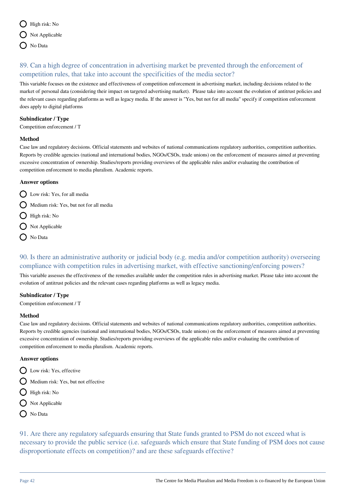

# 89. Can a high degree of concentration in advertising market be prevented through the enforcement of competition rules, that take into account the specificities of the media sector?

This variable focuses on the existence and effectiveness of competition enforcement in advertising market, including decisions related to the market of personal data (considering their impact on targeted advertising market). Please take into account the evolution of antitrust policies and the relevant cases regarding platforms as well as legacy media. If the answer is "Yes, but not for all media" specify if competition enforcement does apply to digital platforms

### **Subindicator / Type**

Competition enforcement / T

### **Method**

Case law and regulatory decisions. Official statements and websites of national communications regulatory authorities, competition authorities. Reports by credible agencies (national and international bodies, NGOs/CSOs, trade unions) on the enforcement of measures aimed at preventing excessive concentration of ownership. Studies/reports providing overviews of the applicable rules and/or evaluating the contribution of competition enforcement to media pluralism. Academic reports.

### **Answer options**

- Low risk: Yes, for all media
- $\bigcirc$  Medium risk: Yes, but not for all media
- $\bigcap$  High risk: No
- $\bigcirc$  Not Applicable
- O No Data

# 90. Is there an administrative authority or judicial body (e.g. media and/or competition authority) overseeing compliance with competition rules in advertising market, with effective sanctioning/enforcing powers?

This variable assesses the effectiveness of the remedies available under the competition rules in advertising market. Please take into account the evolution of antitrust policies and the relevant cases regarding platforms as well as legacy media.

### **Subindicator / Type**

Competition enforcement / T

### **Method**

Case law and regulatory decisions. Official statements and websites of national communications regulatory authorities, competition authorities. Reports by credible agencies (national and international bodies, NGOs/CSOs, trade unions) on the enforcement of measures aimed at preventing excessive concentration of ownership. Studies/reports providing overviews of the applicable rules and/or evaluating the contribution of competition enforcement to media pluralism. Academic reports.

### **Answer options**

- **Q** Low risk: Yes, effective
- Medium risk: Yes, but not effective
- $\bigcirc$  High risk: No
- O Not Applicable
- O No Data

91. Are there any regulatory safeguards ensuring that State funds granted to PSM do not exceed what is necessary to provide the public service (i.e. safeguards which ensure that State funding of PSM does not cause disproportionate effects on competition)? and are these safeguards effective?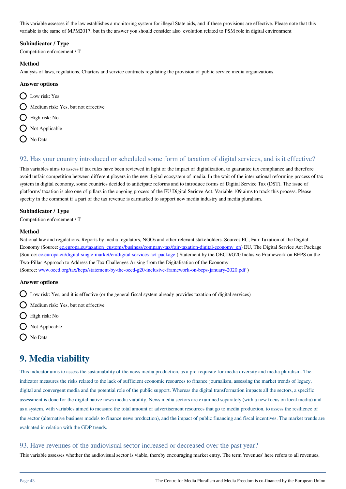This variable assesses if the law establishes a monitoring system for illegal State aids, and if these provisions are effective. Please note that this variable is the same of MPM2017, but in the answer you should consider also evolution related to PSM role in digital environment

### **Subindicator / Type**

Competition enforcement / T

### **Method**

Analysis of laws, regulations, Charters and service contracts regulating the provision of public service media organizations.

### **Answer options**

- D Low risk: Yes
- $\bigcap$  Medium risk: Yes, but not effective
- $\bigcirc$  High risk: No
- $\bigcap$  Not Applicable
- O No Data

# 92. Has your country introduced or scheduled some form of taxation of digital services, and is it effective?

This variables aims to assess if tax rules have been reviewed in light of the impact of digitalization, to guarantee tax compliance and therefore avoid unfair competition between different players in the new digital ecosystem of media. In the wait of the international reforming process of tax system in digital economy, some countries decided to anticipate reforms and to introduce forms of Digital Service Tax (DST). The issue of platforms' taxation is also one of pillars in the ongoing process of the EU Digital Sericve Act. Variable 109 aims to track this process. Please specify in the comment if a part of the tax revenue is earmarked to support new media industry and media pluralism.

### **Subindicator / Type**

Competition enforcement / T

### **Method**

National law and regulations. Reports by media regulators, NGOs and other relevant stakeholders. Sources EC, Fair Taxation of the Digital Economy (Source: [ec.europa.eu/taxation\\_customs/business/company-tax/fair-taxation-digital-economy\\_en\)](http://ec.europa.eu/taxation_customs/business/company-tax/fair-taxation-digital-economy_en) EU, The Digital Service Act Package (Source: ec.europa.eu/digital-single-market/en/digital-services-act-package) Statement by the OECD/G20 Inclusive Framework on BEPS on the Two-Pillar Approach to Address the Tax Challenges Arising from the Digitalisation of the Economy (Source: [www.oecd.org/tax/beps/statement-by-the-oecd-g20-inclusive-framework-on-beps-january-2020.pdf](http://www.oecd.org/tax/beps/statement-by-the-oecd-g20-inclusive-framework-on-beps-january-2020.pdf) )

### **Answer options**

- Low risk: Yes, and it is effective (or the general fiscal system already provides taxation of digital services)
- $\bigcap$  Medium risk: Yes, but not effective
- $\bigcirc$  High risk: No
- $\bigcirc$  Not Applicable
- ◯ No Data

# **9. Media viability**

This indicator aims to assess the sustainability of the news media production, as a pre-requisite for media diversity and media pluralism. The indicator measures the risks related to the lack of sufficient economic resources to finance journalism, assessing the market trends of legacy, digital and convergent media and the potential role of the public support. Whereas the digital transformation impacts all the sectors, a specific assessment is done for the digital native news media viability. News media sectors are examined separately (with a new focus on local media) and as a system, with variables aimed to measure the total amount of advertisement resources that go to media production, to assess the resilience of the sector (alternative business models to finance news production), and the impact of public financing and fiscal incentives. The market trends are evaluated in relation with the GDP trends.

### 93. Have revenues of the audiovisual sector increased or decreased over the past year?

This variable assesses whether the audiovisual sector is viable, thereby encouraging market entry. The term 'revenues' here refers to all revenues,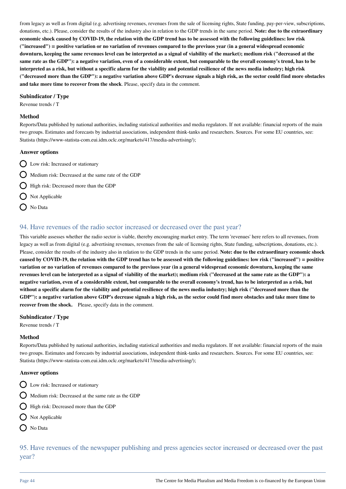from legacy as well as from digital (e.g. advertising revenues, revenues from the sale of licensing rights, State funding, pay-per-view, subscriptions, donations, etc.). Please, consider the results of the industry also in relation to the GDP trends in the same period. **Note: due to the extraordinary economic shock caused by COVID-19, the relation with the GDP trend has to be assessed with the following guidelines: low risk ("increased") = positive variation or no variation of revenues compared to the previuos year (in a general widespread economic downturn, keeping the same revenues level can be interpreted as a signal of viability of the market); medium risk ("decreased at the same rate as the GDP"): a negative variation, even of a considerable extent, but comparable to the overall economy's trend, has to be interpreted as a risk, but without a specific alarm for the viability and potential resilience of the news media industry; high risk ("decreased more than the GDP"): a negative variation above GDP's decrease signals a high risk, as the sector could find more obstacles and take more time to recover from the shock**. Please, specify data in the comment.

### **Subindicator / Type**

Revenue trends / T

#### **Method**

Reports/Data published by national authorities, including statistical authorities and media regulators. If not available: financial reports of the main two groups. Estimates and forecasts by industrial associations, independent think-tanks and researchers. Sources. For some EU countries, see: Statista (https://www-statista-com.eui.idm.oclc.org/markets/417/media-advertising/);

#### **Answer options**

- D Low risk: Increased or stationary
- Medium risk: Decreased at the same rate of the GDP

High risk: Decreased more than the GDP

- $\bigcap$  Not Applicable
- $\bigcap$  No Data

## 94. Have revenues of the radio sector increased or decreased over the past year?

This variable assesses whether the radio sector is viable, thereby encouraging market entry. The term 'revenues' here refers to all revenues, from legacy as well as from digital (e.g. advertising revenues, revenues from the sale of licensing rights, State funding, subscriptions, donations, etc.). Please, consider the results of the industry also in relation to the GDP trends in the same period. **Note: due to the extraordinary economic shock caused by COVID-19, the relation with the GDP trend has to be assessed with the following guidelines: low risk ("increased") = positive variation or no variation of revenues compared to the previuos year (in a general widespread economic downturn, keeping the same revenues level can be interpreted as a signal of viability of the market); medium risk ("decreased at the same rate as the GDP"): a negative variation, even of a considerable extent, but comparable to the overall economy's trend, has to be interpreted as a risk, but without a specific alarm for the viability and potential resilience of the news media industry; high risk ("decreased more than the GDP"): a negative variation above GDP's decrease signals a high risk, as the sector could find more obstacles and take more time to recover from the shock.** Please, specify data in the comment.

### **Subindicator / Type**

Revenue trends / T

### **Method**

Reports/Data published by national authorities, including statistical authorities and media regulators. If not available: financial reports of the main two groups. Estimates and forecasts by industrial associations, independent think-tanks and researchers. Sources. For some EU countries, see: Statista (https://www-statista-com.eui.idm.oclc.org/markets/417/media-advertising/);

#### **Answer options**

- $\bigcap$  Low risk: Increased or stationary
- Medium risk: Decreased at the same rate as the GDP
- High risk: Decreased more than the GDP
- $\bigcap$  Not Applicable
- O No Data

95. Have revenues of the newspaper publishing and press agencies sector increased or decreased over the past year?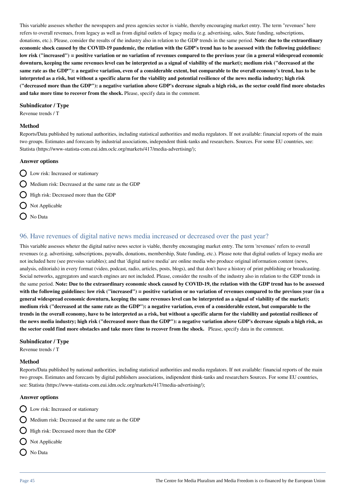This variable assesses whether the newspapers and press agencies sector is viable, thereby encouraging market entry. The term "revenues" here refers to overall revenues, from legacy as well as from digital outlets of legacy media (e.g. advertising, sales, State funding, subscriptions, donations, etc.). Please, consider the results of the industry also in relation to the GDP trends in the same period. **Note: due to the extraordinary economic shock caused by the COVID-19 pandemic, the relation with the GDP's trend has to be assessed with the following guidelines: low risk ("increased") = positive variation or no variation of revenues compared to the previuos year (in a general widespread economic downturn, keeping the same revenues level can be interpreted as a signal of viability of the market); medium risk ("decreased at the same rate as the GDP"): a negative variation, even of a considerable extent, but comparable to the overall economy's trend, has to be interpreted as a risk, but without a specific alarm for the viability and potential resilience of the news media industry; high risk ("decreased more than the GDP"): a negative variation above GDP's decrease signals a high risk, as the sector could find more obstacles and take more time to recover from the shock.** Please, specify data in the comment.

#### **Subindicator / Type**

Revenue trends / T

#### **Method**

Reports/Data published by national authorities, including statistical authorities and media regulators. If not available: financial reports of the main two groups. Estimates and forecasts by industrial associations, independent think-tanks and researchers. Sources. For some EU countries, see: Statista (https://www-statista-com.eui.idm.oclc.org/markets/417/media-advertising/);

### **Answer options**

 $\bigcirc$  Low risk: Increased or stationary

 $\bigcap$  Medium risk: Decreased at the same rate as the GDP

High risk: Decreased more than the GDP

- $\bigcirc$  Not Applicable
- O No Data

## 96. Have revenues of digital native news media increased or decreased over the past year?

This variable assesses wheter the digital native news sector is viable, thereby encouraging market entry. The term 'revenues' refers to overall revenues (e.g. advertising, subscriptions, paywalls, donations, membership, State funding, etc.). Please note that digital outlets of legacy media are not included here (see prevoius variables); and that 'digital native media' are online media who produce original information content (news, analysis, editorials) in every format (video, podcast, radio, articles, posts, blogs), and that don't have a history of print publishing or broadcasting. Social networks, aggregators and search engines are not included. Please, consider the results of the industry also in relation to the GDP trends in the same period. **Note: Due to the extraordinary economic shock caused by COVID-19, the relation with the GDP trend has to be assessed with the following guidelines: low risk ("increased") = positive variation or no variation of revenues compared to the previuos year (in a general widespread economic downturn, keeping the same revenues level can be interpreted as a signal of viability of the market); medium risk ("decreased at the same rate as the GDP"): a negative variation, even of a considerable extent, but comparable to the trends in the overall economy, have to be interpreted as a risk, but without a specific alarm for the viability and potential resilience of the news media industry; high risk ("decreased more than the GDP"): a negative variation above GDP's decrease signals a high risk, as the sector could find more obstacles and take more time to recover from the shock.** Please, specify data in the comment.

#### **Subindicator / Type**

Revenue trends / T

#### **Method**

Reports/Data published by national authorities, including statistical authorities and media regulators. If not available: financial reports of the main two groups. Estimates and forecasts by digital publishers associations, indipendent think-tanks and researchers Sources. For some EU countries, see: Statista (https://www-statista-com.eui.idm.oclc.org/markets/417/media-advertising/);

#### **Answer options**

Q Low risk: Increased or stationary

 $\bigcap$  Medium risk: Decreased at the same rate as the GDP

 $\bigcirc$  High risk: Decreased more than the GDP

- $\bigcirc$  Not Applicable
- No Data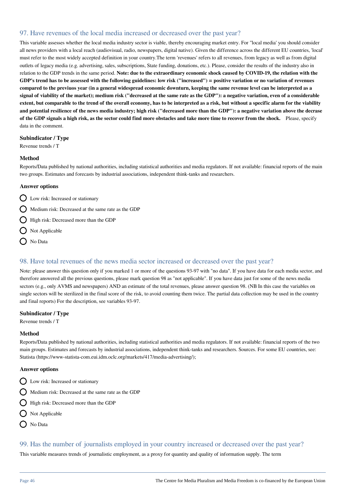# 97. Have revenues of the local media increased or decreased over the past year?

This variable assesses whether the local media industry sector is viable, thereby encouraging market entry. For ''local media' you should consider all news providers with a local reach (audiovisual, radio, newspapers, digital native). Given the difference across the different EU countries, 'local' must refer to the most widely accepted definition in your country.The term 'revenues' refers to all revenues, from legacy as well as from digital outlets of legacy media (e.g. advertising, sales, subscriptions, State funding, donations, etc.). Please, consider the results of the industry also in relation to the GDP trends in the same period. **Note: due to the extraordinary economic shock caused by COVID-19, the relation with the GDP's trend has to be assessed with the following guidelines: low risk ("increased") = positive variation or no variation of revenues compared to the previuos year (in a general widespread economic downturn, keeping the same revenue level can be interpreted as a signal of viability of the market); medium risk ("decreased at the same rate as the GDP"): a negative variation, even of a considerable extent, but comparable to the trend of the overall economy, has to be interpreted as a risk, but without a specific alarm for the viability and potential resilience of the news media industry; high risk ("decreased more than the GDP"): a negative variation above the decrase of the GDP signals a high risk, as the sector could find more obstacles and take more time to recover from the shock.** Please, specify data in the comment.

### **Subindicator / Type**

Revenue trends / T

#### **Method**

Reports/Data published by national authorities, including statistical authorities and media regulators. If not available: financial reports of the main two groups. Estimates and forecasts by industrial associations, independent think-tanks and researchers.

#### **Answer options**

- Low risk: Increased or stationary
- $\bigcirc$  Medium risk: Decreased at the same rate as the GDP
- $\bigcap$  High risk: Decreased more than the GDP
- $\bigcirc$  Not Applicable
- $\bigcap$  No Data

### 98. Have total revenues of the news media sector increased or decreased over the past year?

Note: please answer this question only if you marked 1 or more of the questions 93-97 with "no data". If you have data for each media sector, and therefore answered all the previous questions, please mark question 98 as "not applicable". If you have data just for some of the news media sectors (e.g., only AVMS and newspapers) AND an estimate of the total revenues, please answer question 98. (NB In this case the variables on single sectors will be sterilized in the final score of the risk, to avoid counting them twice. The partial data collection may be used in the country and final reports) For the description, see variables 93-97.

#### **Subindicator / Type**

Revenue trends / T

#### **Method**

Reports/Data published by national authorities, including statistical authorities and media regulators. If not available: financial reports of the two main groups. Estimates and forecasts by industrial associations, independent think-tanks and researchers. Sources. For some EU countries, see: Statista (https://www-statista-com.eui.idm.oclc.org/markets/417/media-advertising/);

#### **Answer options**

- Q Low risk: Increased or stationary
- Medium risk: Decreased at the same rate as the GDP
- High risk: Decreased more than the GDP
- $\bigcirc$  Not Applicable
- O No Data

# 99. Has the number of journalists employed in your country increased or decreased over the past year?

This variable measures trends of journalistic employment, as a proxy for quantity and quality of information supply. The term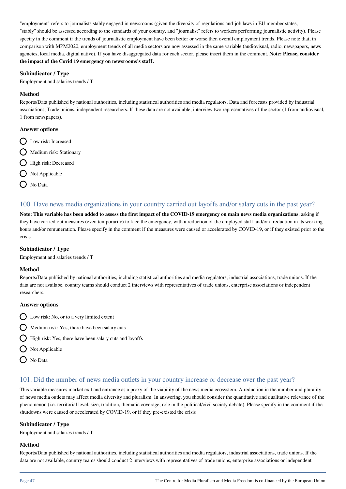"employment" refers to journalists stably engaged in newsrooms (given the diversity of regulations and job laws in EU member states, "stably" should be assessed according to the standards of your country, and "journalist" refers to workers performing journalistic activity). Please specify in the comment if the trends of journalistic employment have been better or worse then overall employment trends. Please note that, in comparison with MPM2020, employment trends of all media sectors are now assessed in the same variable (audiovisual, radio, newspapers, news agencies, local media, digital native). If you have disaggregated data for each sector, please insert them in the comment. **Note: Please, consider the impact of the Covid 19 emergency on newsrooms's staff.** 

### **Subindicator / Type**

Employment and salaries trends / T

### **Method**

Reports/Data published by national authorities, including statistical authorities and media regulators. Data and forecasts provided by industrial associations, Trade unions, independent researchers. If these data are not available, interview two representatives of the sector (1 from audiovisual, 1 from newspapers).

### **Answer options**

- **Q** Low risk: Increased
- $\bigcap$  Medium risk: Stationary
- **C** High risk: Decreased
- Not Applicable
- ◯ No Data

## 100. Have news media organizations in your country carried out layoffs and/or salary cuts in the past year?

**Note: This variable has been added to assess the first impact of the COVID-19 emergency on main news media organizations**, asking if they have carried out measures (even temporarily) to face the emergency, with a reduction of the employed staff and/or a reduction in its working hours and/or remuneration. Please specify in the comment if the measures were caused or accelerated by COVID-19, or if they existed prior to the crisis.

### **Subindicator / Type**

Employment and salaries trends / T

### **Method**

Reports/Data published by national authorities, including statistical authorities and media regulators, industrial associations, trade unions. If the data are not availabe, country teams should conduct 2 interviews with representatives of trade unions, enterprise associations or independent researchers.

### **Answer options**

- $\bigcirc$  Low risk: No, or to a very limited extent
- $\bigcap$  Medium risk: Yes, there have been salary cuts
- **High risk: Yes, there have been salary cuts and layoffs**
- $\bigcirc$  Not Applicable
- O No Data

# 101. Did the number of news media outlets in your country increase or decrease over the past year?

This variable measures market exit and entrance as a proxy of the viability of the news media ecosystem. A reduction in the number and plurality of news media outlets may affect media diversity and pluralism. In answering, you should consider the quantitative and qualitative relevance of the phenomenon (i.e. territorial level, size, tradition, thematic coverage, role in the political/civil society debate). Please specify in the comment if the shutdowns were caused or accelerated by COVID-19, or if they pre-existed the crisis

### **Subindicator / Type**

Employment and salaries trends / T

### **Method**

Reports/Data published by national authorities, including statistical authorities and media regulators, industrial associations, trade unions. If the data are not available, country teams should conduct 2 interviews with representatives of trade unions, enterprise associations or independent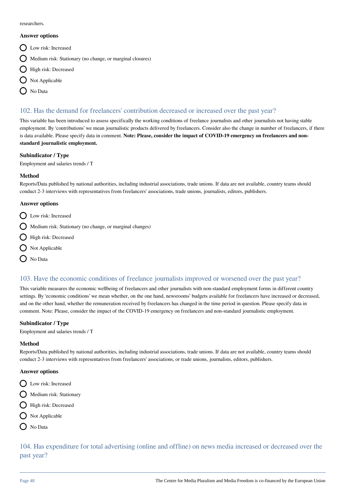researchers.

#### **Answer options**

- Q Low risk: Increased
- Medium risk: Stationary (no change, or marginal closures)
- High risk: Decreased
- $\bigcirc$  Not Applicable
- > No Data

# 102. Has the demand for freelancers' contribution decreased or increased over the past year?

This variable has been introduced to assess specifically the working conditions of freelance journalists and other journalists not having stable employment. By 'contributions' we mean journalistic products delivered by freelancers. Consider also the change in number of freelancers, if there is data available. Please specify data in comment. **Note: Please, consider the impact of COVID-19 emergency on freelancers and nonstandard journalistic employment.**

### **Subindicator / Type**

Employment and salaries trends / T

### **Method**

Reports/Data published by national authorities, including industrial associations, trade unions. If data are not available, country teams should conduct 2-3 interviews with representatives from freelancers' associations, trade unions, journalists, editors, publishers.

### **Answer options**

- Low risk: Increased
- $\bigcirc$  Medium risk: Stationary (no change, or marginal changes)
- **O** High risk: Decreased
- $\bigcirc$  Not Applicable
- O No Data

# 103. Have the economic conditions of freelance journalists improved or worsened over the past year?

This variable measures the economic wellbeing of freelancers and other journalists with non-standard employment forms in different country settings. By 'economic conditions' we mean whether, on the one hand, newsrooms' budgets available for freelancers have increased or decreased, and on the other hand, whether the remuneration received by freelancers has changed in the time period in question. Please specify data in comment. Note: Please, consider the impact of the COVID-19 emergency on freelancers and non-standard journalistic employment.

### **Subindicator / Type**

Employment and salaries trends / T

### **Method**

Reports/Data published by national authorities, including industrial associations, trade unions. If data are not available, country teams should conduct 2-3 interviews with representatives from freelancers' associations, or trade unions, journalists, editors, publishers.

### **Answer options**

- Q Low risk: Increased
- $\bigcirc$  Medium risk: Stationary
- High risk: Decreased
- $\bigcirc$  Not Applicable
- ( No Data

104. Has expenditure for total advertising (online and offline) on news media increased or decreased over the past year?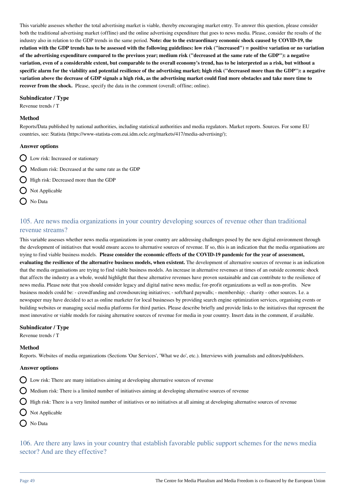This variable assesses whether the total advertising market is viable, thereby encouraging market entry. To answer this question, please consider both the traditional advertising market (offline) and the online advertising expenditure that goes to news media. Please, consider the results of the industry also in relation to the GDP trends in the same period. **Note: due to the extraordinary economic shock caused by COVID-19, the relation with the GDP trends has to be assessed with the following guidelines: low risk ("increased") = positive variation or no variation of the advertising expenditure compared to the previuos year; medium risk ("decreased at the same rate of the GDP"): a negative variation, even of a considerable extent, but comparable to the overall economy's trend, has to be interpreted as a risk, but without a specific alarm for the viability and potential resilience of the advertising market; high risk ("decreased more than the GDP"): a negative variation above the decrease of GDP signals a high risk, as the advertising market could find more obstacles and take more time to recover from the shock.** Please, specify the data in the comment (overall; offline; online).

### **Subindicator / Type**

Revenue trends / T

#### **Method**

Reports/Data published by national authorities, including statistical authorities and media regulators. Market reports. Sources. For some EU countries, see: Statista (https://www-statista-com.eui.idm.oclc.org/markets/417/media-advertising/);

#### **Answer options**

- Low risk: Increased or stationary
- Medium risk: Decreased at the same rate as the GDP
- High risk: Decreased more than the GDP
- $\bigcap$  Not Applicable
- O No Data

# 105. Are news media organizations in your country developing sources of revenue other than traditional revenue streams?

This variable assesses whether news media organizations in your country are addressing challenges posed by the new digital environment through the development of initiatives that would ensure access to alternative sources of revenue. If so, this is an indication that the media organisations are trying to find viable business models. **Please consider the economic effects of the COVID-19 pandemic for the year of assessment, evaluating the resilience of the alternative business models, when existent.** The development of alternative sources of revenue is an indication that the media organisations are trying to find viable business models. An increase in alternative revenues at times of an outside economic shock that affects the industry as a whole, would highlight that these alternative revenues have proven sustainable and can contribute to the resilience of news media. Please note that you should consider legacy and digital native news media; for-profit organizations as well as non-profits. New business models could be: - crowdfunding and crowdsourcing initiatives; - soft/hard paywalls; - membership; - charity - other sources. I.e. a newspaper may have decided to act as online marketer for local businesses by providing search engine optimization services, organising events or building websites or managing social media platforms for third parties. Please describe briefly and provide links to the initiatives that represent the most innovative or viable models for raising alternative sources of revenue for media in your country. Insert data in the comment, if available.

#### **Subindicator / Type**

Revenue trends / T

#### **Method**

Reports. Websites of media organizations (Sections 'Our Services', 'What we do', etc.). Interviews with journalists and editors/publishers.

#### **Answer options**

- $\bigcap$  Low risk: There are many initiatives aiming at developing alternative sources of revenue
- $\bigcirc$  Medium risk: There is a limited number of initiatives aiming at developing alternative sources of revenue
- $\bigcirc$  High risk: There is a very limited number of initiatives or no initiatives at all aiming at developing alternative sources of revenue
- $\bigcap$  Not Applicable
- O No Data

106. Are there any laws in your country that establish favorable public support schemes for the news media sector? And are they effective?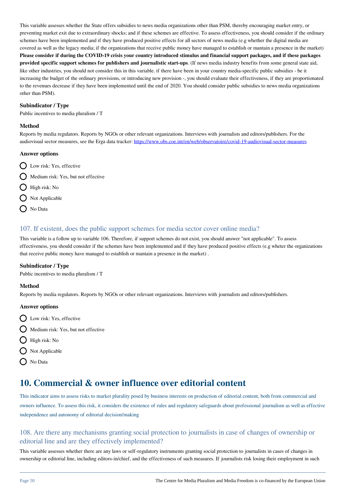This variable assesses whether the State offers subsidies to news media organizations other than PSM, thereby encouraging market entry, or preventing market exit due to extraordinary shocks; and if these schemes are effective. To assess effectiveness, you should consider if the ordinary schemes have been implemented and if they have produced positive effects for all sectors of news media (e.g whether the digital media are covered as well as the legacy media; if the organizations that receive public money have managed to establish or mantain a presence in the market) **Please consider if during the COVID-19 crisis your country introduced stimulus and financial support packages, and if these packages provided specific support schemes for publishers and journalistic start-ups**. (If news media industry benefits from some general state aid, like other industries, you should not consider this in this variable. if there have been in your country media-specific public subsidies - be it increasing the budget of the ordinary provisions, or introducing new provision -, you should evaluate their effectiveness, if they are proportionated to the revenues decrease if they have been implemented until the end of 2020. You should consider public subsidies to news media organizations other than PSM).

### **Subindicator / Type**

Public incentives to media pluralism / T

### **Method**

Reports by media regulators. Reports by NGOs or other relevant organizations. Interviews with journalists and editors/publishers. For the audiovisual sector measures, see the Erga data tracker: <https://www.obs.coe.int/en/web/observatoire/covid-19-audiovisual-sector-measures>

### **Answer options**

- **Q** Low risk: Yes, effective
- $\bigcirc$  Medium risk: Yes, but not effective
- $\bigcirc$  High risk: No
- Not Applicable
- $\bigcap$  No Data

# 107. If existent, does the public support schemes for media sector cover online media?

This variable is a follow up to variable 106. Therefore, if support schemes do not exist, you should answer "not applicable". To assess effectiveness, you should consider if the schemes have been implemented and if they have produced positive effects (e.g wheter the organizations that receive public money have managed to establish or mantain a presence in the market) .

### **Subindicator / Type**

Public incentives to media pluralism / T

### **Method**

Reports by media regulators. Reports by NGOs or other relevant organizations. Interviews with journalists and editors/publishers.

### **Answer options**

- Q Low risk: Yes, effective
- $\bigcap$  Medium risk: Yes, but not effective
- $\bigcap$  High risk: No
- $\bigcirc$  Not Applicable
- O No Data

# **10. Commercial & owner influence over editorial content**

This indicator aims to assess risks to market plurality posed by business interests on production of editorial content, both from commercial and owners influence. To assess this risk, it considers the existence of rules and regulatory safeguards about professional journalism as well as effective independence and autonomy of editorial decision/making

# 108. Are there any mechanisms granting social protection to journalists in case of changes of ownership or editorial line and are they effectively implemented?

This variable assesses whether there are any laws or self-regulatory instruments granting social protection to journalists in cases of changes in ownership or editorial line, including editors-in/chief, and the effectiveness of such measures. If journalists risk losing their employment in such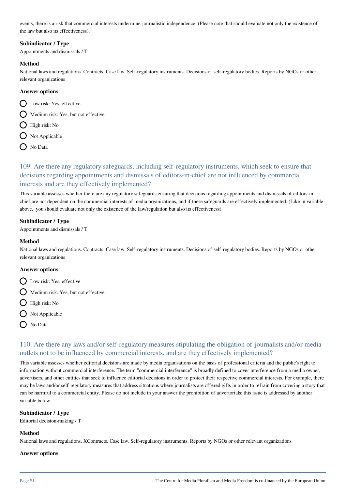events, there is a risk that commercial interests undermine journalistic independence. (Please note that should evaluate not only the existence of the law but also its effectiveness).

### **Subindicator / Type**

Appointments and dismissals / T

### **Method**

National laws and regulations. Contracts. Case law. Self-regulatory instruments. Decisions of self-regulatory bodies. Reports by NGOs or other relevant organizations

### **Answer options**

- **Q** Low risk: Yes, effective
- $\bigcirc$  Medium risk: Yes, but not effective
- $\bigcap$  High risk: No
- $\bigcirc$  Not Applicable
- $\bigcap$  No Data

109. Are there any regulatory safeguards, including self-regulatory instruments, which seek to ensure that decisions regarding appointments and dismissals of editors-in-chief are not influenced by commercial interests and are they effectively implemented?

This variable assesses whether there are any regulatory safeguards ensuring that decisions regarding appointments and dismissals of editors-inchief are not dependent on the commercial interests of media organizations, and if these safeguards are effectively implemented. (Like in variable above, you should evaluate not only the existence of the law/regulation but also its effectiveness)

### **Subindicator / Type**

Appointments and dismissals / T

### **Method**

National laws and regulations. Contracts. Case law. Self-regulatory instruments. Decisions of self-regulatory bodies. Reports by NGOs or other relevant organizations

### **Answer options**

D Low risk: Yes, effective

 $\bigcap$  Medium risk: Yes, but not effective

- $\bigcap$  High risk: No
- $\bigcirc$  Not Applicable
- No Data

# 110. Are there any laws and/or self-regulatory measures stipulating the obligation of journalists and/or media outlets not to be influenced by commercial interests, and are they effectively implemented?

This variable assesses whether editorial decisions are made by media organisations on the basis of professional criteria and the public's right to information without commercial interference. The term "commercial interference" is broadly defined to cover interference from a media owner, advertisers, and other entities that seek to influence editorial decisions in order to protect their respective commercial interests. For example, there may be laws and/or self-regulatory measures that address situations where journalists are offered gifts in order to refrain from covering a story that can be harmful to a commercial entity. Please do not include in your answer the prohibition of advertorials; this issue is addressed by another variable below.

### **Subindicator / Type**

Editorial decision-making / T

### **Method**

National laws and regulations. XContracts. Case law. Self-regulatory instruments. Reports by NGOs or other relevant organizations

#### **Answer options**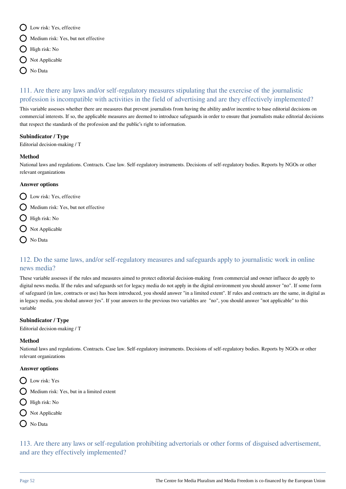- D Low risk: Yes, effective
- $\bigcirc$  Medium risk: Yes, but not effective
- $\bigcap$  High risk: No
- $\bigcirc$  Not Applicable
- **O** No Data

# 111. Are there any laws and/or self-regulatory measures stipulating that the exercise of the journalistic profession is incompatible with activities in the field of advertising and are they effectively implemented?

This variable assesses whether there are measures that prevent journalists from having the ability and/or incentive to base editorial decisions on commercial interests. If so, the applicable measures are deemed to introduce safeguards in order to ensure that journalists make editorial decisions that respect the standards of the profession and the public's right to information.

### **Subindicator / Type**

Editorial decision-making / T

### **Method**

National laws and regulations. Contracts. Case law. Self-regulatory instruments. Decisions of self-regulatory bodies. Reports by NGOs or other relevant organizations

### **Answer options**

- O Low risk: Yes, effective
- $\bigcap$  Medium risk: Yes, but not effective
- $\bigcirc$  High risk: No
- O Not Applicable
- $\bigcap$  No Data

# 112. Do the same laws, and/or self-regulatory measures and safeguards apply to journalistic work in online news media?

These variable assesses if the rules and measures aimed to protect editorial decision-making from commercial and owner influece do apply to digital news media. If the rules and safeguards set for legacy media do not apply in the digital environment you should answer "no". If some form of safeguard (in law, contracts or use) has been introduced, you should answer "in a limited extent". If rules and contracts are the same, in digital as in legacy media, you sholud answer ÿes". If your answers to the previous two variables are "no", you should answer "not applicable" to this variable

### **Subindicator / Type**

Editorial decision-making / T

### **Method**

National laws and regulations. Contracts. Case law. Self-regulatory instruments. Decisions of self-regulatory bodies. Reports by NGOs or other relevant organizations

### **Answer options**

- **Q** Low risk: Yes
- $\bigcap$  Medium risk: Yes, but in a limited extent
- High risk: No
- $\bigcirc$  Not Applicable
- O No Data

113. Are there any laws or self-regulation prohibiting advertorials or other forms of disguised advertisement, and are they effectively implemented?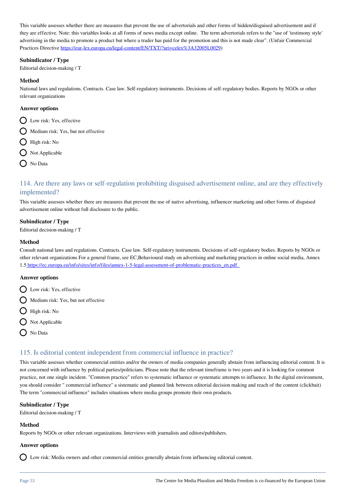This variable assesses whether there are measures that prevent the use of advertorials and other forms of hidden/disguised advertisement and if they are effective. Note: this variables looks at all forms of news media except online. The term advertorials refers to the "use of 'testimony style' advertising in the media to promote a product but where a trader has paid for the promotion and this is not made clear". (Unfair Commercial Practices Directive<https://eur-lex.europa.eu/legal-content/EN/TXT/?uri=celex%3A32005L0029>)

#### **Subindicator / Type**

Editorial decision-making / T

#### **Method**

National laws and regulations. Contracts. Case law. Self-regulatory instruments. Decisions of self-regulatory bodies. Reports by NGOs or other relevant organizations

#### **Answer options**

- D Low risk: Yes, effective
- $\bigcap$  Medium risk: Yes, but not effective
- High risk: No
- $\bigcap$  Not Applicable
- $\bigcap$  No Data

# 114. Are there any laws or self-regulation prohibiting disguised advertisement online, and are they effectively implemented?

This variable assesses whether there are measures that prevent the use of native advertising, influencer marketing and other forms of disguised advertisement online without full disclosure to the public.

#### **Subindicator / Type**

Editorial decision-making / T

#### **Method**

Consult national laws and regulations. Contracts. Case law. Self-regulatory instruments. Decisions of self-regulatory bodies. Reports by NGOs or other relevant organizations For a general frame, see EC,Behavioural study on advertising and marketing practices in online social media, Annex 1.[5 https://ec.europa.eu/info/sites/info/files/annex-1-5-legal-assessment-of-problematic-practices\\_en.pdf.](http://https://ec.europa.eu/info/sites/info/files/annex-1-5-legal-assessment-of-problematic-practices_en.pdf.) 

#### **Answer options**

- D Low risk: Yes, effective
- $\bigcirc$  Medium risk: Yes, but not effective
- $\bigcap$  High risk: No
- $\bigcap$  Not Applicable
- O No Data

### 115. Is editorial content independent from commercial influence in practice?

This variable assesses whether commercial entities and/or the owners of media companies generally abstain from influencing editorial content. It is not concerned with influence by political parties/politicians. Please note that the relevant timeframe is two years and it is looking for common practice, not one single incident. "Common practice" refers to systematic influence or systematic attempts to influence. In the digital environment, you should consider " commercial influence" a sistematic and planned link between editorial decision making and reach of the content (clickbait) The term "commercial influence" includes situations where media groups promote their own products.

#### **Subindicator / Type**

Editorial decision-making / T

#### **Method**

Reports by NGOs or other relevant organizations. Interviews with journalists and editors/publishers.

#### **Answer options**

Low risk: Media owners and other commercial entities generally abstain from influencing editorial content.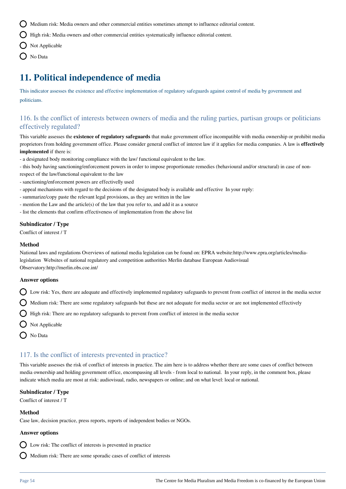Medium risk: Media owners and other commercial entities sometimes attempt to influence editorial content.

 $\bigcap$  High risk: Media owners and other commercial entities systematically influence editorial content.

- $\bigcirc$  Not Applicable
- O No Data

# **11. Political independence of media**

This indicator assesses the existence and effective implementation of regulatory safeguards against control of media by government and politicians.

# 116. Is the conflict of interests between owners of media and the ruling parties, partisan groups or politicians effectively regulated?

This variable assesses the **existence of regulatory safeguards** that make government office incompatible with media ownership or prohibit media proprietors from holding government office. Please consider general conflict of interest law if it applies for media companies. A law is **effectively implemented** if there is:

- a designated body monitoring compliance with the law/ functional equivalent to the law.
- this body having sanctioning/enforcement powers in order to impose proportionate remedies (behavioural and/or structural) in case of nonrespect of the law/functional equivalent to the law
- sanctioning/enforcement powers are effectivelly used
- appeal mechanisms with regard to the decisions of the designated body is available and effective In your reply:
- summarize/copy paste the relevant legal provisions, as they are written in the law
- mention the Law and the article(s) of the law that you refer to, and add it as a source
- list the elements that confirm effectiveness of implementation from the above list

### **Subindicator / Type**

Conflict of interest / T

#### **Method**

National laws and regulations Overviews of national media legislation can be found on: EPRA website:http://www.epra.org/articles/medialegislation Websites of national regulatory and competition authorities Merlin database European Audiovisual Observatory:http://merlin.obs.coe.int/

### **Answer options**

 $\bigcirc$  Low risk: Yes, there are adequate and effectively implemented regulatory safeguards to prevent from conflict of interest in the media sector

 $\bigcirc$  Medium risk: There are some regulatory safeguards but these are not adequate for media sector or are not implemented effectively

- High risk: There are no regulatory safeguards to prevent from conflict of interest in the media sector
- $\bigcirc$  Not Applicable
- O No Data

### 117. Is the conflict of interests prevented in practice?

This variable assesses the risk of conflict of interests in practice. The aim here is to address whether there are some cases of conflict between media ownership and holding government office, encompassing all levels - from local to national. In your reply, in the comment box, please indicate which media are most at risk: audiovisual, radio, newspapers or online; and on what level: local or national.

#### **Subindicator / Type**

Conflict of interest / T

#### **Method**

Case law, decision practice, press reports, reports of independent bodies or NGOs.

#### **Answer options**

 $\sum$  Low risk: The conflict of interests is prevented in practice

Medium risk: There are some sporadic cases of conflict of interests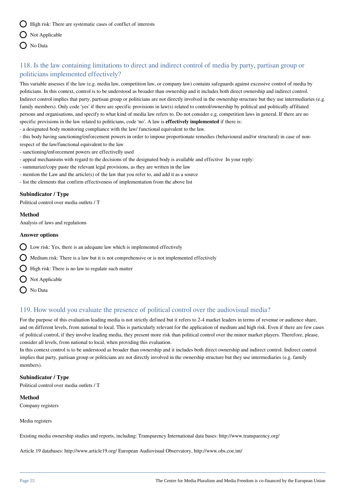$\bigcirc$  High risk: There are systematic cases of conflict of interests

- $\bigcap$  Not Applicable
- O No Data

# 118. Is the law containing limitations to direct and indirect control of media by party, partisan group or politicians implemented effectively?

This variable assesses if the law (e.g. media law, competition law, or company law) contains safeguards against excessive control of media by politicians. In this context, control is to be understood as broader than ownership and it includes both direct ownership and indirect control. Indirect control implies that party, partisan group or politicians are not directly involved in the ownership structure but they use intermediaries (e.g. family members). Only code 'yes' if there are specific provisions in law(s) related to control/ownership by political and politically affiliated persons and organisations, and specify to what kind of media law refers to. Do not consider e.g. competition laws in general. If there are no specific provisions in the law related to politicians, code 'no'. A law is **effectively implemented** if there is:

- a designated body monitoring compliance with the law/ functional equivalent to the law.

- this body having sanctioning/enforcement powers in order to impose proportionate remedies (behavioural and/or structural) in case of nonrespect of the law/functional equivalent to the law

- sanctioning/enforcement powers are effectivelly used
- appeal mechanisms with regard to the decisions of the designated body is available and effective In your reply:
- summarize/copy paste the relevant legal provisions, as they are written in the law
- mention the Law and the article(s) of the law that you refer to, and add it as a source

- list the elements that confirm effectiveness of implementation from the above list

### **Subindicator / Type**

Political control over media outlets / T

### **Method**

Analysis of laws and regulations

### **Answer options**

- $\bigcirc$  Low risk: Yes, there is an adequate law which is implemented effectively
- $\bigcap$  Medium risk: There is a law but it is not comprehensive or is not implemented effectively
- $\bigcirc$  High risk: There is no law to regulate such matter
- $\bigcirc$  Not Applicable
- $\bigcap$  No Data

# 119. How would you evaluate the presence of political control over the audiovisual media?

For the purpose of this evaluation leading media is not strictly defined but it refers to 2-4 market leaders in terms of revenue or audience share, and on different levels, from national to local. This is particularly relevant for the application of medium and high risk. Even if there are few cases of political control, if they involve leading media, they present more risk than political control over the minor market players. Therefore, please, consider all levels, from national to local, when providing this evaluation.

In this context control is to be understood as broader than ownership and it includes both direct ownership and indirect control. Indirect control implies that party, partisan group or politicians are not directly involved in the ownership structure but they use intermediaries (e.g. family members).

### **Subindicator / Type**

Political control over media outlets / T

### **Method**

Company registers

Media registers

Existing media ownership studies and reports, including: Transparency International data bases: http://www.transparency.org/

Article 19 databases: http://www.article19.org/ European Audiovisual Observatory, http://www.obs.coe.int/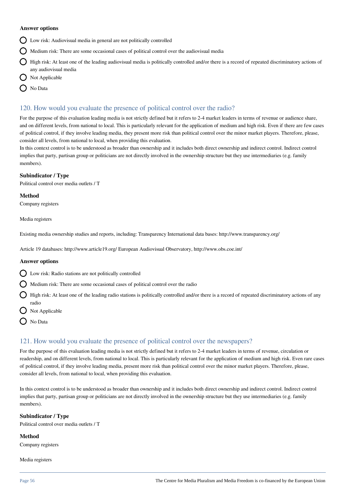#### **Answer options**

- Low risk: Audiovisual media in general are not politically controlled
- $\bigcirc$  Medium risk: There are some occasional cases of political control over the audiovisual media
- $\bigcap$  High risk: At least one of the leading audiovisual media is politically controlled and/or there is a record of repeated discriminatory actions of any audiovisual media
- $\bigcup$  Not Applicable
- $\bigcap$  No Data

# 120. How would you evaluate the presence of political control over the radio?

For the purpose of this evaluation leading media is not strictly defined but it refers to 2-4 market leaders in terms of revenue or audience share, and on different levels, from national to local. This is particularly relevant for the application of medium and high risk. Even if there are few cases of political control, if they involve leading media, they present more risk than political control over the minor market players. Therefore, please, consider all levels, from national to local, when providing this evaluation.

In this context control is to be understood as broader than ownership and it includes both direct ownership and indirect control. Indirect control implies that party, partisan group or politicians are not directly involved in the ownership structure but they use intermediaries (e.g. family members).

### **Subindicator / Type**

Political control over media outlets / T

**Method**

Company registers

Media registers

Existing media ownership studies and reports, including: Transparency International data bases: http://www.transparency.org/

Article 19 databases: http://www.article19.org/ European Audiovisual Observatory, http://www.obs.coe.int/

### **Answer options**

- Low risk: Radio stations are not politically controlled
- $\bigcap$  Medium risk: There are some occasional cases of political control over the radio

 $\bigcirc$  High risk: At least one of the leading radio stations is politically controlled and/or there is a record of repeated discriminatory actions of any radio

- $\bigcap$  Not Applicable
- $\bigcap$  No Data

# 121. How would you evaluate the presence of political control over the newspapers?

For the purpose of this evaluation leading media is not strictly defined but it refers to 2-4 market leaders in terms of revenue, circulation or readership, and on different levels, from national to local. This is particularly relevant for the application of medium and high risk. Even rare cases of political control, if they involve leading media, present more risk than political control over the minor market players. Therefore, please, consider all levels, from national to local, when providing this evaluation.

In this context control is to be understood as broader than ownership and it includes both direct ownership and indirect control. Indirect control implies that party, partisan group or politicians are not directly involved in the ownership structure but they use intermediaries (e.g. family members).

### **Subindicator / Type**

Political control over media outlets / T

**Method**

Company registers

Media registers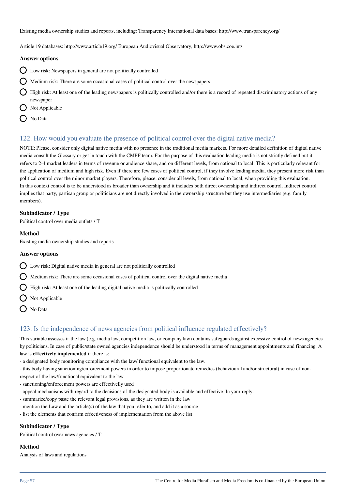Existing media ownership studies and reports, including: Transparency International data bases: http://www.transparency.org/

Article 19 databases: http://www.article19.org/ European Audiovisual Observatory, http://www.obs.coe.int/

#### **Answer options**

- $\bigcirc$  Low risk: Newspapers in general are not politically controlled
- $\bigcap$  Medium risk: There are some occasional cases of political control over the newspapers
- $\bigcirc$  High risk: At least one of the leading newspapers is politically controlled and/or there is a record of repeated discriminatory actions of any newspaper
- Not Applicable
- ◯ No Data

# 122. How would you evaluate the presence of political control over the digital native media?

NOTE: Please, consider only digital native media with no presence in the traditional media markets. For more detailed definition of digital native media consult the Glossary or get in touch with the CMPF team. For the purpose of this evaluation leading media is not strictly defined but it refers to 2-4 market leaders in terms of revenue or audience share, and on different levels, from national to local. This is particularly relevant for the application of medium and high risk. Even if there are few cases of political control, if they involve leading media, they present more risk than political control over the minor market players. Therefore, please, consider all levels, from national to local, when providing this evaluation. In this context control is to be understood as broader than ownership and it includes both direct ownership and indirect control. Indirect control implies that party, partisan group or politicians are not directly involved in the ownership structure but they use intermediaries (e.g. family members).

### **Subindicator / Type**

Political control over media outlets / T

#### **Method**

Existing media ownership studies and reports

#### **Answer options**

 $\bigcap$  Low risk: Digital native media in general are not politically controlled

 $\bigcap$  Medium risk: There are some occasional cases of political control over the digital native media

 $\bigcirc$  High risk: At least one of the leading digital native media is politically controlled

- $\bigcap$  Not Applicable
- $\bigcap$  No Data

# 123. Is the independence of news agencies from political influence regulated effectively?

This variable assesses if the law (e.g. media law, competition law, or company law) contains safeguards against excessive control of news agencies by politicians. In case of public/state owned agencies independence should be understood in terms of management appointments and financing. A law is **effectively implemented** if there is:

- a designated body monitoring compliance with the law/ functional equivalent to the law.
- this body having sanctioning/enforcement powers in order to impose proportionate remedies (behavioural and/or structural) in case of non-

respect of the law/functional equivalent to the law

- sanctioning/enforcement powers are effectivelly used
- appeal mechanisms with regard to the decisions of the designated body is available and effective In your reply:
- summarize/copy paste the relevant legal provisions, as they are written in the law
- mention the Law and the article(s) of the law that you refer to, and add it as a source
- list the elements that confirm effectiveness of implementation from the above list

### **Subindicator / Type**

Political control over news agencies / T

### **Method**

Analysis of laws and regulations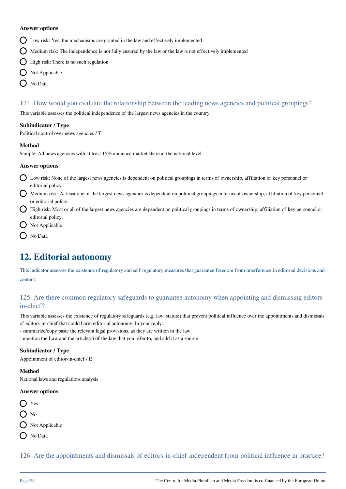#### **Answer options**

- Low risk: Yes, the mechanisms are granted in the law and effectively implemented
- $\bigcirc$  Medium risk: The independence is not fully ensured by the law or the law is not effectively implemented
- $\bigcap$  High risk: There is no such regulation
- $\bigcirc$  Not Applicable
- $\bigcap$  No Data

# 124. How would you evaluate the relationship between the leading news agencies and political groupings?

This variable assesses the political independence of the largest news agencies in the country.

#### **Subindicator / Type**

Political control over news agencies / T

#### **Method**

Sample: All news agencies with at least 15% audience market share at the national level.

#### **Answer options**

- Low risk: None of the largest news agencies is dependent on political groupings in terms of ownership, affiliation of key personnel or editorial policy.
- Medium risk: At least one of the largest news agencies is dependent on political groupings in terms of ownership, affiliation of key personnel or editorial policy.
- High risk: Most or all of the largest news agencies are dependent on political groupings in terms of ownership, affiliation of key personnel or editorial policy.
- $\bigcirc$  Not Applicable
- O No Data

# **12. Editorial autonomy**

This indicator assesses the existence of regulatory and self-regulatory measures that guarantee freedom from interference in editorial decisions and content.

# 125. Are there common regulatory safeguards to guarantee autonomy when appointing and dismissing editorsin-chief?

This variable assesses the existence of regulatory safeguards (e.g. law, statute) that prevent political influence over the appointments and dismissals of editors-in-chief that could harm editorial autonomy. In your reply:

- summarize/copy paste the relevant legal provisions, as they are written in the law
- mention the Law and the article(s) of the law that you refer to, and add it as a source

### **Subindicator / Type**

Appointment of editor-in-chief / E

#### **Method**

National laws and regulations analysis

### **Answer options**

- O Yes
- $\bigcirc$  No
- $\bigcap$  Not Applicable
- $\bigcap$  No Data

126. Are the appointments and dismissals of editors-in-chief independent from political influence in practice?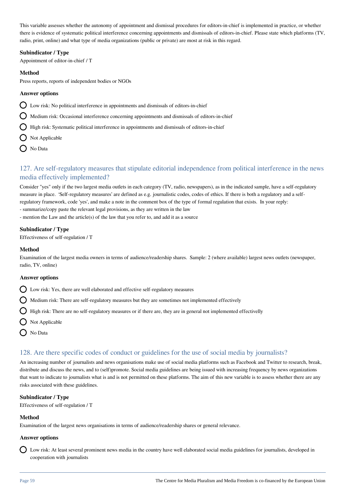This variable assesses whether the autonomy of appointment and dismissal procedures for editors-in-chief is implemented in practice, or whether there is evidence of systematic political interference concerning appointments and dismissals of editors-in-chief. Please state which platforms (TV, radio, print, online) and what type of media organizations (public or private) are most at risk in this regard.

### **Subindicator / Type**

Appointment of editor-in-chief / T

### **Method**

Press reports, reports of independent bodies or NGOs

### **Answer options**

 $\bigcap$  Low risk: No political interference in appointments and dismissals of editors-in-chief

- $\bigcap$  Medium risk: Occasional interference concerning appointments and dismissals of editors-in-chief
- $\bigcap$  High risk: Systematic political interference in appointments and dismissals of editors-in-chief
- $\bigcap$  Not Applicable
- ◯ No Data

# 127. Are self-regulatory measures that stipulate editorial independence from political interference in the news media effectively implemented?

Consider "yes" only if the two largest media outlets in each category (TV, radio, newspapers), as in the indicated sample, have a self-regulatory measure in place. 'Self-regulatory measures' are defined as e.g. journalistic codes, codes of ethics. If there is both a regulatory and a selfregulatory framework, code 'yes', and make a note in the comment box of the type of formal regulation that exists. In your reply: - summarize/copy paste the relevant legal provisions, as they are written in the law

- mention the Law and the article(s) of the law that you refer to, and add it as a source

### **Subindicator / Type**

Effectiveness of self-regulation / T

### **Method**

Examination of the largest media owners in terms of audience/readership shares. Sample: 2 (where available) largest news outlets (newspaper, radio, TV, online)

### **Answer options**

Low risk: Yes, there are well elaborated and effective self-regulatory measures

- $\bigcirc$  Medium risk: There are self-regulatory measures but they are sometimes not implemented effectively
- $\bigcirc$  High risk: There are no self-regulatory measures or if there are, they are in general not implemented effectivelly
- $\bigcap$  Not Applicable
- $\bigcap$  No Data

# 128. Are there specific codes of conduct or guidelines for the use of social media by journalists?

An increasing number of journalists and news organisations make use of social media platforms such as Facebook and Twitter to research, break, distribute and discuss the news, and to (self)promote. Social media guidelines are being issued with increasing frequency by news organizations that want to indicate to journalists what is and is not permitted on these platforms. The aim of this new variable is to assess whether there are any risks associated with these guidelines.

### **Subindicator / Type**

Effectiveness of self-regulation / T

### **Method**

Examination of the largest news organisations in terms of audience/readership shares or general relevance.

### **Answer options**

Low risk: At least several prominent news media in the country have well elaborated social media guidelines for journalists, developed in cooperation with journalists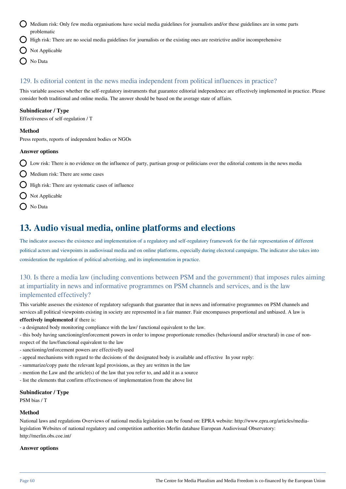- Medium risk: Only few media organisations have social media guidelines for journalists and/or these guidelines are in some parts problematic
- $\bigcirc$  High risk: There are no social media guidelines for journalists or the existing ones are restrictive and/or incomprehensive
- $\bigcap$  Not Applicable
- O No Data

# 129. Is editorial content in the news media independent from political influences in practice?

This variable assesses whether the self-regulatory instruments that guarantee editorial independence are effectively implemented in practice. Please consider both traditional and online media. The answer should be based on the average state of affairs.

### **Subindicator / Type**

Effectiveness of self-regulation / T

#### **Method**

Press reports, reports of independent bodies or NGOs

#### **Answer options**

 $\Omega$  Low risk: There is no evidence on the influence of party, partisan group or politicians over the editorial contents in the news media

- $\bigcirc$  Medium risk: There are some cases
- $\bigcirc$  High risk: There are systematic cases of influence
- $\bigcap$  Not Applicable
- O No Data

# **13. Audio visual media, online platforms and elections**

The indicator assesses the existence and implementation of a regulatory and self-regulatory framework for the fair representation of different political actors and viewpoints in audiovisual media and on online platforms, especially during electoral campaigns. The indicator also takes into consideration the regulation of political advertising, and its implementation in practice.

# 130. Is there a media law (including conventions between PSM and the government) that imposes rules aiming at impartiality in news and informative programmes on PSM channels and services, and is the law implemented effectively?

This variable assesses the existence of regulatory safeguards that guarantee that in news and informative programmes on PSM channels and services all political viewpoints existing in society are represented in a fair manner. Fair encompasses proportional and unbiased. A law is **effectively implemented** if there is:

- a designated body monitoring compliance with the law/ functional equivalent to the law.
- this body having sanctioning/enforcement powers in order to impose proportionate remedies (behavioural and/or structural) in case of nonrespect of the law/functional equivalent to the law
- sanctioning/enforcement powers are effectivelly used
- appeal mechanisms with regard to the decisions of the designated body is available and effective In your reply:
- summarize/copy paste the relevant legal provisions, as they are written in the law
- mention the Law and the article(s) of the law that you refer to, and add it as a source
- list the elements that confirm effectiveness of implementation from the above list

#### **Subindicator / Type**

PSM bias / T

#### **Method**

National laws and regulations Overviews of national media legislation can be found on: EPRA website: http://www.epra.org/articles/medialegislation Websites of national regulatory and competition authorities Merlin database European Audiovisual Observatory: http://merlin.obs.coe.int/

#### **Answer options**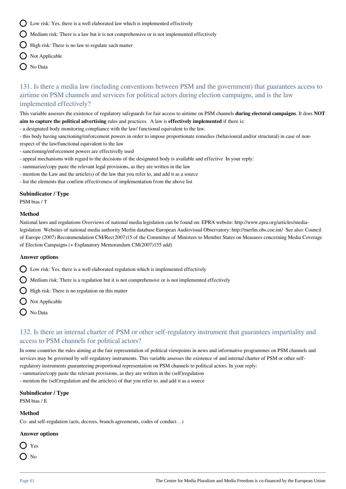- $\bigcap$  Low risk: Yes, there is a well elaborated law which is implemented effectively
- $\bigcirc$  Medium risk: There is a law but it is not comprehensive or is not implemented effectively
- $\bigcirc$  High risk: There is no law to regulate such matter
- Not Applicable
- $\bigcap$  No Data

# 131. Is there a media law (including conventions between PSM and the government) that guarantees access to airtime on PSM channels and services for political actors during election campaigns, and is the law implemented effectively?

This variable assesses the existence of regulatory safeguards for fair access to airtime on PSM channels **during electoral campaigns**. It does **NOT aim to capture the political advertising** rules and practices. A law is **effectively implemented** if there is:

- a designated body monitoring compliance with the law/ functional equivalent to the law.
- this body having sanctioning/enforcement powers in order to impose proportionate remedies (behavioural and/or structural) in case of nonrespect of the law/functional equivalent to the law
- sanctioning/enforcement powers are effectivelly used
- appeal mechanisms with regard to the decisions of the designated body is available and effective In your reply:
- summarize/copy paste the relevant legal provisions, as they are written in the law
- mention the Law and the article(s) of the law that you refer to, and add it as a source
- list the elements that confirm effectiveness of implementation from the above list

### **Subindicator / Type**

PSM bias / T

### **Method**

National laws and regulations Overviews of national media legislation can be found on: EPRA website: http://www.epra.org/articles/medialegislation Websites of national media authority Merlin database European Audiovisual Observatory: http://merlin.obs.coe.int/ See also: Council of Europe (2007) Recommendation CM/Rec(2007)15 of the Committee of Ministers to Member States on Measures concerning Media Coverage of Election Campaigns (+ Explanatory Memorandum CM(2007)155 add)

### **Answer options**

 $\bigcirc$  Low risk: Yes, there is a well elaborated regulation which is implemented effectively

 $\bigcirc$  Medium risk: There is a regulation but it is not comprehensive or is not implemented effectively

- $\bigcirc$  High risk: There is no regulation on this matter
- $\bigcirc$  Not Applicable
- No Data

# 132. Is there an internal charter of PSM or other self-regulatory instrument that guarantees impartiality and access to PSM channels for political actors?

In some countries the rules aiming at the fair representation of political viewpoints in news and informative programmes on PSM channels and services may be governed by self-regulatory instruments. This variable assesses the existence of and internal charter of PSM or other selfregulatory instruments guaranteeing proportional representation on PSM channels to political actors. In your reply:

- summarize/copy paste the relevant provisions, as they are written in the (self)regulation

- mention the (self)regulation and the article(s) of that you refer to, and add it as a source

### **Subindicator / Type**

PSM bias / E

### **Method**

Co- and self-regulation (acts, decrees, branch agreements, codes of conduct…)

### **Answer options**



 $\sum$  No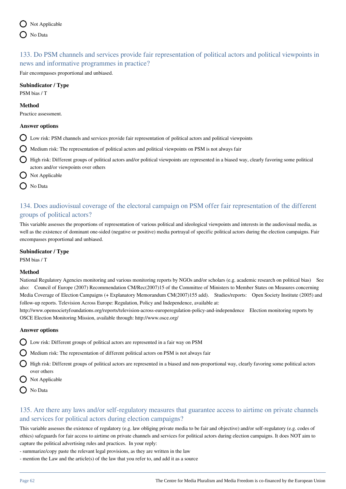# 133. Do PSM channels and services provide fair representation of political actors and political viewpoints in news and informative programmes in practice?

Fair encompasses proportional and unbiased.

### **Subindicator / Type**

PSM bias / T

#### **Method**

Practice assessment.

### **Answer options**

- Low risk: PSM channels and services provide fair representation of political actors and political viewpoints
- Medium risk: The representation of political actors and political viewpoints on PSM is not always fair
- High risk: Different groups of political actors and/or political viewpoints are represented in a biased way, clearly favoring some political actors and/or viewpoints over others
- $\bigcap$  Not Applicable
- O No Data

# 134. Does audiovisual coverage of the electoral campaign on PSM offer fair representation of the different groups of political actors?

This variable assesses the proportions of representation of various political and ideological viewpoints and interests in the audiovisual media, as well as the existence of dominant one-sided (negative or positive) media portrayal of specific political actors during the election campaigns. Fair encompasses proportional and unbiased.

### **Subindicator / Type**

PSM bias / T

### **Method**

National Regulatory Agencies monitoring and various monitoring reports by NGOs and/or scholars (e.g. academic research on political bias) See also: Council of Europe (2007) Recommendation CM/Rec(2007)15 of the Committee of Ministers to Member States on Measures concerning Media Coverage of Election Campaigns (+ Explanatory Memorandum CM(2007)155 add). Studies/reports: Open Society Institute (2005) and follow-up reports. Television Across Europe: Regulation, Policy and Independence, available at:

http://www.opensocietyfoundations.org/reports/television-across-europeregulation-policy-and-independence Election monitoring reports by OSCE Election Monitoring Mission, available through: http://www.osce.org/

### **Answer options**

Low risk: Different groups of political actors are represented in a fair way on PSM

 $\bigcirc$  Medium risk: The representation of different political actors on PSM is not always fair

High risk: Different groups of political actors are represented in a biased and non-proportional way, clearly favoring some political actors over others

- Not Applicable
- No Data

# 135. Are there any laws and/or self-regulatory measures that guarantee access to airtime on private channels and services for political actors during election campaigns?

This variable assesses the existence of regulatory (e.g. law obliging private media to be fair and objective) and/or self-regulatory (e.g. codes of ethics) safeguards for fair access to airtime on private channels and services for political actors during election campaigns. It does NOT aim to capture the political advertising rules and practices. In your reply:

- summarize/copy paste the relevant legal provisions, as they are written in the law
- mention the Law and the article(s) of the law that you refer to, and add it as a source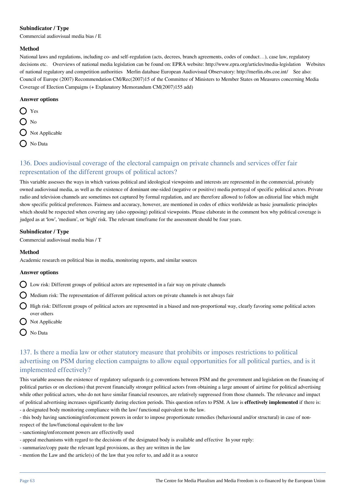### **Subindicator / Type**

Commercial audiovisual media bias / E

### **Method**

National laws and regulations, including co- and self-regulation (acts, decrees, branch agreements, codes of conduct…), case law, regulatory decisions etc. Overviews of national media legislation can be found on: EPRA website: http://www.epra.org/articles/media-legislation Websites of national regulatory and competition authorities Merlin database European Audiovisual Observatory: http://merlin.obs.coe.int/ See also: Council of Europe (2007) Recommendation CM/Rec(2007)15 of the Committee of Ministers to Member States on Measures concerning Media Coverage of Election Campaigns (+ Explanatory Memorandum CM(2007)155 add)

### **Answer options**

- O Yes  $\bigcap$  No O Not Applicable
- O No Data

# 136. Does audiovisual coverage of the electoral campaign on private channels and services offer fair representation of the different groups of political actors?

This variable assesses the ways in which various political and ideological viewpoints and interests are represented in the commercial, privately owned audiovisual media, as well as the existence of dominant one-sided (negative or positive) media portrayal of specific political actors. Private radio and television channels are sometimes not captured by formal regulation, and are therefore allowed to follow an editorial line which might show specific political preferences. Fairness and accuracy, however, are mentioned in codes of ethics worldwide as basic journalistic principles which should be respected when covering any (also opposing) political viewpoints. Please elaborate in the comment box why political coverage is judged as at 'low', 'medium', or 'high' risk. The relevant timeframe for the assessment should be four years.

### **Subindicator / Type**

Commercial audiovisual media bias / T

### **Method**

Academic research on political bias in media, monitoring reports, and similar sources

### **Answer options**

- $\bigcirc$  Low risk: Different groups of political actors are represented in a fair way on private channels
- $\bigcirc$  Medium risk: The representation of different political actors on private channels is not always fair
- $\bigcirc$  High risk: Different groups of political actors are represented in a biased and non-proportional way, clearly favoring some political actors over others
- $\bigcirc$  Not Applicable
- O No Data

# 137. Is there a media law or other statutory measure that prohibits or imposes restrictions to political advertising on PSM during election campaigns to allow equal opportunities for all political parties, and is it implemented effectively?

This variable assesses the existence of regulatory safeguards (e.g conventions between PSM and the government and legislation on the financing of political parties or on elections) that prevent financially stronger political actors from obtaining a large amount of airtime for political advertising while other political actors, who do not have similar financial resources, are relatively suppressed from those channels. The relevance and impact of political advertising increases significantly during election periods. This question refers to PSM. A law is **effectively implemented** if there is: - a designated body monitoring compliance with the law/ functional equivalent to the law.

- this body having sanctioning/enforcement powers in order to impose proportionate remedies (behavioural and/or structural) in case of non-

respect of the law/functional equivalent to the law

- sanctioning/enforcement powers are effectivelly used
- appeal mechanisms with regard to the decisions of the designated body is available and effective In your reply:
- summarize/copy paste the relevant legal provisions, as they are written in the law
- mention the Law and the article(s) of the law that you refer to, and add it as a source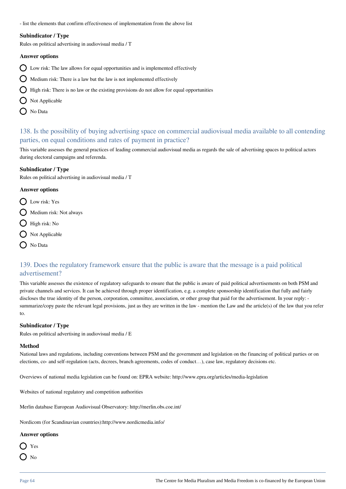- list the elements that confirm effectiveness of implementation from the above list

## **Subindicator / Type**

Rules on political advertising in audiovisual media / T

#### **Answer options**

- $\bigcap$  Low risk: The law allows for equal opportunities and is implemented effectively
- $\bigcirc$  Medium risk: There is a law but the law is not implemented effectively
- $\bigcirc$  High risk: There is no law or the existing provisions do not allow for equal opportunities
- $\bigcap$  Not Applicable
- O No Data

# 138. Is the possibility of buying advertising space on commercial audiovisual media available to all contending parties, on equal conditions and rates of payment in practice?

This variable assesses the general practices of leading commercial audiovisual media as regards the sale of advertising spaces to political actors during electoral campaigns and referenda.

#### **Subindicator / Type**

Rules on political advertising in audiovisual media / T

#### **Answer options**

- D Low risk: Yes
- $\bigcirc$  Medium risk: Not always
- $\bigcirc$  High risk: No
- $\bigcirc$  Not Applicable
- O No Data

# 139. Does the regulatory framework ensure that the public is aware that the message is a paid political advertisement?

This variable assesses the existence of regulatory safeguards to ensure that the public is aware of paid political advertisements on both PSM and private channels and services. It can be achieved through proper identification, e.g. a complete sponsorship identification that fully and fairly discloses the true identity of the person, corporation, committee, association, or other group that paid for the advertisement. In your reply: summarize/copy paste the relevant legal provisions, just as they are written in the law - mention the Law and the article(s) of the law that you refer to.

#### **Subindicator / Type**

Rules on political advertising in audiovisual media / E

#### **Method**

National laws and regulations, including conventions between PSM and the government and legislation on the financing of political parties or on elections, co- and self-regulation (acts, decrees, branch agreements, codes of conduct…), case law, regulatory decisions etc.

Overviews of national media legislation can be found on: EPRA website: http://www.epra.org/articles/media-legislation

Websites of national regulatory and competition authorities

Merlin database European Audiovisual Observatory: http://merlin.obs.coe.int/

Nordicom (for Scandinavian countries):http://www.nordicmedia.info/

#### **Answer options**

∩ Yes

 $\bigcap$  No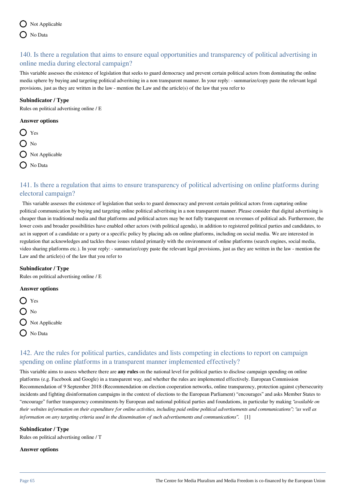# 140. Is there a regulation that aims to ensure equal opportunities and transparency of political advertising in online media during electoral campaign?

This variable assesses the existence of legislation that seeks to guard democracy and prevent certain political actors from dominating the online media sphere by buying and targeting political adveritsing in a non transparent manner. In your reply: - summarize/copy paste the relevant legal provisions, just as they are written in the law - mention the Law and the article(s) of the law that you refer to

### **Subindicator / Type**

Rules on political advertising online / E

### **Answer options**

- Yes
- $\Omega$ <sub>No</sub>
- $\bigcirc$  Not Applicable
- O No Data

# 141. Is there a regulation that aims to ensure transparency of political advertising on online platforms during electoral campaign?

 This variable assesses the existence of legislation that seeks to guard democracy and prevent certain political actors from capturing online political communication by buying and targeting online political adveritsing in a non transparent manner. Please consider that digital advertising is cheaper than in traditional media and that platforms and political actors may be not fully transparent on revenues of political ads. Furthermore, the lower costs and broader possibilities have enabled other actors (with political agenda), in addition to registered political parties and candidates, to act in support of a candidate or a party or a specific policy by placing ads on online platforms, including on social media. We are interested in regulation that acknowledges and tackles these issues related primarily with the environment of online platforms (search engines, social media, video sharing platforms etc.). In your reply: - summarize/copy paste the relevant legal provisions, just as they are written in the law - mention the Law and the article(s) of the law that you refer to

### **Subindicator / Type**

Rules on political advertising online / E

### **Answer options**

- O Yes  $\bigcirc$  No
- $\bigcap$  Not Applicable
- O No Data

# 142. Are the rules for political parties, candidates and lists competing in elections to report on campaign spending on online platforms in a transparent manner implemented effectively?

This variable aims to assess whethere there are **any rules** on the national level for political parties to disclose campaign spending on online platforms (e.g. Facebook and Google) in a transparent way, and whether the rules are implemented effectively. European Commission Recommendation of 9 September 2018 (Recommendation on election cooperation networks, online transparency, protection against cybersecurity incidents and fighting disinformation campaigns in the context of elections to the European Parliament) "encourages" and asks Member States to "encourage" further transparency commitments by European and national political parties and foundations, in particular by making *"available on their websites information on their expenditure for online activities, including paid online political advertisements and communications"; "as well as information on any targeting criteria used in the dissemination of such advertisements and communications"*. [1]

### **Subindicator / Type**

Rules on political advertising online / T

#### **Answer options**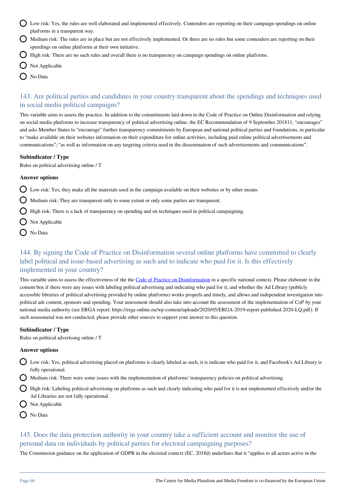- Low risk: Yes, the rules are well elaborated and implemented effectively. Contenders are reporting on their campaign spendings on online platforms in a transparent way.
- Medium risk: The rules are in place but are not effectively implemented. Or there are no rules but some contenders are reporting on their spendings on online platforms at their own initiative.
- $\bigcirc$  High risk: There are no such rules and overall there is no transparency on campaign spendings on online platforms.
- $\bigcirc$  Not Applicable
- ◯ No Data

# 143. Are political parties and candidates in your country transparent about the spendings and techniques used in social media political campaigns?

This variable aims to assess the practice. In addition to the commitments laid down in the Code of Practice on Online Disinformation and relying on social media platforms to increase transparency of political advertising online, the EC Recommendation of 9 September 201811, "encourages" and asks Member States to "encourage" further transparency commitments by European and national political parties and foundations, in particular to "make available on their websites information on their expenditure for online activities, including paid online political advertisements and communications"; "as well as information on any targeting criteria used in the dissemination of such advertisements and communications".

### **Subindicator / Type**

Rules on political advertising online / T

### **Answer options**

 $\Omega$  Low risk: Yes, they make all the materials used in the campaign available on their websites or by other means.

 $\bigcirc$  Medium risk: They are transparent only to some extent or only some parties are transparent.

 $\bigcirc$  High risk: There is a lack of transparency on spending and on techniques used in political campaigning.

- $\bigcap$  Not Applicable
- O No Data

# 144. By signing the Code of Practice on Disinformation several online platforms have committed to clearly label political and issue-based advertising as such and to indicate who paid for it. Is this effectively implemented in your country?

This variable aims to assess the effectiveness of the the [Code of Practice on Disinformation](https://ec.europa.eu/digital-single-market/en/news/code-practice-disinformation) in a specific national context. Please elaborate in the coment box if there were any issues with labeling political advertising and indicating who paid for it, and whether the Ad Library (publicly accessible libraries of political advertising provided by online platforms) works properls and timely, and allows and independent investigation into political ads content, sponsors and spending. Your assessment should also take into account the assessment of the implementation of CoP by your national media authority (see ERGA report: https://erga-online.eu/wp-content/uploads/2020/05/ERGA-2019-report-published-2020-LQ.pdf). If such assessmend was not conducted, please provide other sources to support your answer to this question.

### **Subindicator / Type**

Rules on political advertising online / T

### **Answer options**

- Low risk: Yes, political advertising placed on platforms is clearly labeled as such, it is indicate who paid for it, and Facebook's Ad Library is fully operational.
- Medium risk: There were some issues with the implementation of platforms' transparency policies on political advertising.
- $\bigcap$  High risk: Labeling political advertising on platforms as such and clearly indicating who paid for it is not implemented effectively and/or the Ad Libraries are not fully operational.
- Not Applicable
- No Data

# 145. Does the data protection authority in your country take a sufficient account and monitor the use of personal data on individuals by political parties for electoral campaigning purposes?

The Commission guidance on the application of GDPR in the electoral context (EC, 2018d) underlines that it "applies to all actors active in the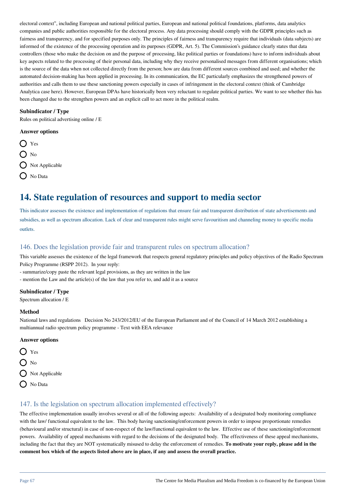electoral context", including European and national political parties, European and national political foundations, platforms, data analytics companies and public authorities responsible for the electoral process. Any data processing should comply with the GDPR principles such as fairness and transparency, and for specified purposes only. The principles of fairness and transparency require that individuals (data subjects) are informed of the existence of the processing operation and its purposes (GDPR, Art. 5). The Commission's guidance clearly states that data controllers (those who make the decision on and the purpose of processing, like political parties or foundations) have to inform individuals about key aspects related to the processing of their personal data, including why they receive personalised messages from different organisations; which is the source of the data when not collected directly from the person; how are data from different sources combined and used; and whether the automated decision-making has been applied in processing. In its communication, the EC particularly emphasizes the strengthened powers of authorities and calls them to use these sanctioning powers especially in cases of infringement in the electoral context (think of Cambridge Analytica case here). However, European DPAs have historically been very reluctant to regulate political parties. We want to see whether this has been changed due to the strengthen powers and an explicit call to act more in the political realm.

### **Subindicator / Type**

Rules on political advertising online / E

### **Answer options**

O Yes  $\bigcap$  No  $\bigcap$  Not Applicable  $\bigcap$  No Data

# **14. State regulation of resources and support to media sector**

This indicator assesses the existence and implementation of regulations that ensure fair and transparent distribution of state advertisements and subsidies, as well as spectrum allocation. Lack of clear and transparent rules might serve favouritism and channeling money to specific media outlets.

# 146. Does the legislation provide fair and transparent rules on spectrum allocation?

This variable assesses the existence of the legal framework that respects general regulatory principles and policy objectives of the Radio Spectrum Policy Programme (RSPP 2012). In your reply:

- summarize/copy paste the relevant legal provisions, as they are written in the law

- mention the Law and the article(s) of the law that you refer to, and add it as a source

### **Subindicator / Type**

Spectrum allocation / E

### **Method**

National laws and regulations Decision No 243/2012/EU of the European Parliament and of the Council of 14 March 2012 establishing a multiannual radio spectrum policy programme - Text with EEA relevance

### **Answer options**

- ◯ Yes
- $O$  No
- O Not Applicable
- O No Data

# 147. Is the legislation on spectrum allocation implemented effectively?

The effective implementation usually involves several or all of the following aspects: Availability of a designated body monitoring compliance with the law/ functional equivalent to the law. This body having sanctioning/enforcement powers in order to impose proportionate remedies (behavioural and/or structural) in case of non-respect of the law/functional equivalent to the law. Effective use of these sanctioning/enforcement powers. Availability of appeal mechanisms with regard to the decisions of the designated body. The effectiveness of these appeal mechanisms, including the fact that they are NOT systematically misused to delay the enforcement of remedies. **To motivate your reply, please add in the comment box which of the aspects listed above are in place, if any and assess the overall practice.**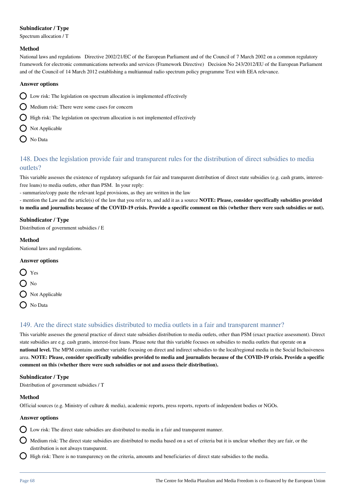## **Subindicator / Type**

Spectrum allocation / T

### **Method**

National laws and regulations Directive 2002/21/EC of the European Parliament and of the Council of 7 March 2002 on a common regulatory framework for electronic communications networks and services (Framework Directive) Decision No 243/2012/EU of the European Parliament and of the Council of 14 March 2012 establishing a multiannual radio spectrum policy programme Text with EEA relevance.

### **Answer options**

- $\bigcirc$  Low risk: The legislation on spectrum allocation is implemented effectively
- $\bigcap$  Medium risk: There were some cases for concern
- $\bigcirc$  High risk: The legislation on spectrum allocation is not implemented effectively
- $\bigcap$  Not Applicable
- O No Data

# 148. Does the legislation provide fair and transparent rules for the distribution of direct subsidies to media outlets?

This variable assesses the existence of regulatory safeguards for fair and transparent distribution of direct state subsidies (e.g. cash grants, interestfree loans) to media outlets, other than PSM. In your reply:

- summarize/copy paste the relevant legal provisions, as they are written in the law

- mention the Law and the article(s) of the law that you refer to, and add it as a source **NOTE: Please, consider specifically subsidies provided to media and journalists because of the COVID-19 crisis. Provide a specific comment on this (whether there were such subsidies or not).**

### **Subindicator / Type**

Distribution of government subsidies / E

### **Method**

National laws and regulations.

### **Answer options**

- $\bigcap$  Yes  $\Omega$  No  $\bigcirc$  Not Applicable
- $\bigcap$  No Data

# 149. Are the direct state subsidies distributed to media outlets in a fair and transparent manner?

This variable assesses the general practice of direct state subsidies distribution to media outlets, other than PSM (exact practice assessment). Direct state subsidies are e.g. cash grants, interest-free loans. Please note that this variable focuses on subsidies to media outlets that operate on **a national level.** The MPM contains another variable focusing on direct and indirect subsidies to the local/regional media in the Social Inclusiveness area. **NOTE: Please, consider specifically subsidies provided to media and journalists because of the COVID-19 crisis. Provide a specific comment on this (whether there were such subsidies or not and assess their distribution).**

### **Subindicator / Type**

Distribution of government subsidies / T

### **Method**

Official sources (e.g. Ministry of culture & media), academic reports, press reports, reports of independent bodies or NGOs.

### **Answer options**

 $\bigcirc$  Low risk: The direct state subsidies are distributed to media in a fair and transparent manner.

Medium risk: The direct state subsidies are distributed to media based on a set of criteria but it is unclear whether they are fair, or the distribution is not always transparent.

 $\bigcap$  High risk: There is no transparency on the criteria, amounts and beneficiaries of direct state subsidies to the media.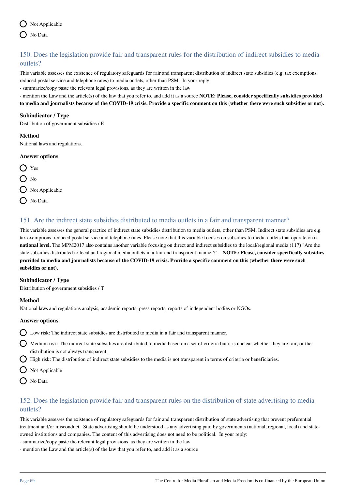

# 150. Does the legislation provide fair and transparent rules for the distribution of indirect subsidies to media outlets?

This variable assesses the existence of regulatory safeguards for fair and transparent distribution of indirect state subsidies (e.g. tax exemptions, reduced postal service and telephone rates) to media outlets, other than PSM. In your reply:

- summarize/copy paste the relevant legal provisions, as they are written in the law

- mention the Law and the article(s) of the law that you refer to, and add it as a source **NOTE: Please, consider specifically subsidies provided to media and journalists because of the COVID-19 crisis. Provide a specific comment on this (whether there were such subsidies or not).**

### **Subindicator / Type**

Distribution of government subsidies / E

#### **Method**

National laws and regulations.

#### **Answer options**



# 151. Are the indirect state subsidies distributed to media outlets in a fair and transparent manner?

This variable assesses the general practice of indirect state subsidies distribution to media outlets, other than PSM. Indirect state subsidies are e.g. tax exemptions, reduced postal service and telephone rates. Please note that this variable focuses on subsidies to media outlets that operate on **a national level.** The MPM2017 also contains another variable focusing on direct and indirect subsidies to the local/regional media (117) "Are the state subsidies distributed to local and regional media outlets in a fair and transparent manner?". **NOTE: Please, consider specifically subsidies provided to media and journalists because of the COVID-19 crisis. Provide a specific comment on this (whether there were such subsidies or not).**

### **Subindicator / Type**

Distribution of government subsidies / T

### **Method**

National laws and regulations analysis, academic reports, press reports, reports of independent bodies or NGOs.

### **Answer options**

 $\bigcirc$  Low risk: The indirect state subsidies are distributed to media in a fair and transparent manner.

- Medium risk: The indirect state subsidies are distributed to media based on a set of criteria but it is unclear whether they are fair, or the distribution is not always transparent.
- $\bigcirc$  High risk: The distribution of indirect state subsidies to the media is not transparent in terms of criteria or beneficiaries.
- $\bigcirc$  Not Applicable
- O No Data

# 152. Does the legislation provide fair and transparent rules on the distribution of state advertising to media outlets?

This variable assesses the existence of regulatory safeguards for fair and transparent distribution of state advertising that prevent preferential treatment and/or misconduct. State advertising should be understood as any advertising paid by governments (national, regional, local) and stateowned institutions and companies. The content of this advertising does not need to be political. In your reply:

- summarize/copy paste the relevant legal provisions, as they are written in the law
- mention the Law and the article(s) of the law that you refer to, and add it as a source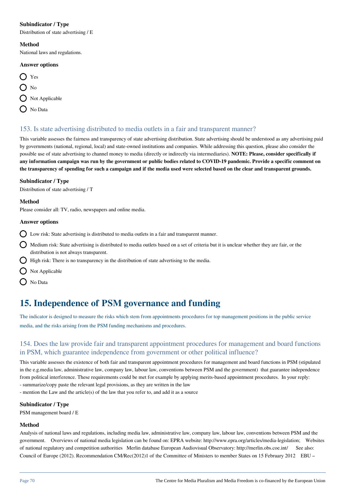### **Subindicator / Type**

Distribution of state advertising / E

#### **Method**

National laws and regulations.

### **Answer options**

- $\bigcap$  Yes
- $\bigcap$  No
- O Not Applicable
- $\bigcap$  No Data

## 153. Is state advertising distributed to media outlets in a fair and transparent manner?

This variable assesses the fairness and transparency of state advertising distribution. State advertising should be understood as any advertising paid by governments (national, regional, local) and state-owned institutions and companies. While addressing this question, please also consider the possible use of state advertising to channel money to media (directly or indirectly via intermediaries). **NOTE: Please, consider specifically if any information campaign was run by the government or public bodies related to COVID-19 pandemic. Provide a specific comment on the transparency of spending for such a campaign and if the media used were selected based on the clear and transparent grounds.** 

### **Subindicator / Type**

Distribution of state advertising / T

### **Method**

Please consider all: TV, radio, newspapers and online media.

### **Answer options**

- $\bigcirc$  Low risk: State advertising is distributed to media outlets in a fair and transparent manner.
- $\bigcirc$  Medium risk: State advertising is distributed to media outlets based on a set of criteria but it is unclear whether they are fair, or the distribution is not always transparent.
- $\bigcap$  High risk: There is no transparency in the distribution of state advertising to the media.
- $\Omega$  Not Applicable
- O No Data

# **15. Independence of PSM governance and funding**

The indicator is designed to measure the risks which stem from appointments procedures for top management positions in the public service media, and the risks arising from the PSM funding mechanisms and procedures.

# 154. Does the law provide fair and transparent appointment procedures for management and board functions in PSM, which guarantee independence from government or other political influence?

This variable assesses the existence of both fair and transparent appointment procedures for management and board functions in PSM (stipulated in the e.g.media law, administrative law, company law, labour law, conventions between PSM and the government) that guarantee independence from political interference. These requirements could be met for example by applying merits-based appointment procedures. In your reply: - summarize/copy paste the relevant legal provisions, as they are written in the law

- mention the Law and the article(s) of the law that you refer to, and add it as a source

### **Subindicator / Type**

PSM management board / E

### **Method**

Analysis of national laws and regulations, including media law, administrative law, company law, labour law, conventions between PSM and the government. Overviews of national media legislation can be found on: EPRA website: http://www.epra.org/articles/media-legislation; Websites of national regulatory and competition authorities Merlin database European Audiovisual Observatory: http://merlin.obs.coe.int/ See also: Council of Europe (2012). Recommendation CM/Rec(2012)1 of the Committee of Ministers to member States on 15 February 2012 EBU –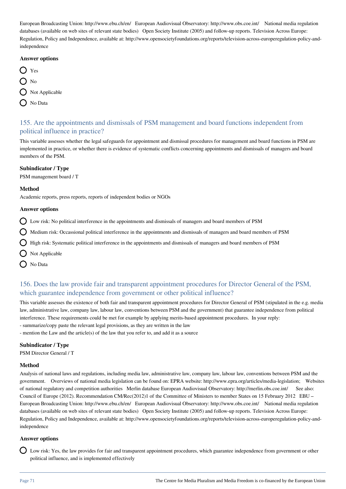European Broadcasting Union: http://www.ebu.ch/en/ European Audiovisual Observatory: http://www.obs.coe.int/ National media regulation databases (available on web sites of relevant state bodies) Open Society Institute (2005) and follow-up reports. Television Across Europe: Regulation, Policy and Independence, available at: http://www.opensocietyfoundations.org/reports/television-across-europeregulation-policy-andindependence

#### **Answer options**

| $\bigcup$ Yes |                           |
|---------------|---------------------------|
| $()$ No       |                           |
|               | $\bigcirc$ Not Applicable |
|               | $\bigcirc$ No Data        |

# 155. Are the appointments and dismissals of PSM management and board functions independent from political influence in practice?

This variable assesses whether the legal safeguards for appointment and dismissal procedures for management and board functions in PSM are implemented in practice, or whether there is evidence of systematic conflicts concerning appointments and dismissals of managers and board members of the PSM.

### **Subindicator / Type**

PSM management board / T

### **Method**

Academic reports, press reports, reports of independent bodies or NGOs

#### **Answer options**

 $\bigcap$  Low risk: No political interference in the appointments and dismissals of managers and board members of PSM

 $\bigcap$  Medium risk: Occassional political interference in the appointments and dismissals of managers and board members of PSM

 $\bigcap$  High risk: Systematic political interference in the appointments and dismissals of managers and board members of PSM

- $\bigcap$  Not Applicable
- $\bigcap$  No Data

# 156. Does the law provide fair and transparent appointment procedures for Director General of the PSM, which guarantee independence from government or other political influence?

This variable assesses the existence of both fair and transparent appointment procedures for Director General of PSM (stipulated in the e.g. media law, administrative law, company law, labour law, conventions between PSM and the government) that guarantee independence from political interference. These requirements could be met for example by applying merits-based appointment procedures. In your reply: - summarize/copy paste the relevant legal provisions, as they are written in the law

- mention the Law and the article(s) of the law that you refer to, and add it as a source

# **Subindicator / Type**

PSM Director General / T

### **Method**

Analysis of national laws and regulations, including media law, administrative law, company law, labour law, conventions between PSM and the government. Overviews of national media legislation can be found on: EPRA website: http://www.epra.org/articles/media-legislation; Websites of national regulatory and competition authorities Merlin database European Audiovisual Observatory: http://merlin.obs.coe.int/ See also: Council of Europe (2012). Recommendation CM/Rec(2012)1 of the Committee of Ministers to member States on 15 February 2012 EBU – European Broadcasting Union: http://www.ebu.ch/en/ European Audiovisual Observatory: http://www.obs.coe.int/ National media regulation databases (available on web sites of relevant state bodies) Open Society Institute (2005) and follow-up reports. Television Across Europe: Regulation, Policy and Independence, available at: http://www.opensocietyfoundations.org/reports/television-across-europeregulation-policy-andindependence

### **Answer options**

Low risk: Yes, the law provides for fair and transparent appointment procedures, which guarantee independence from government or other political influence, and is implemented effectively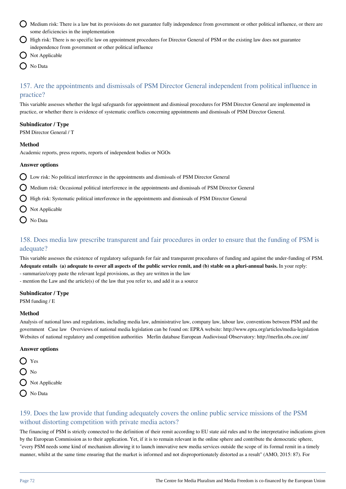- Medium risk: There is a law but its provisions do not guarantee fully independence from government or other political influence, or there are some deficiencies in the implementation
- High risk: There is no specific law on appointment procedures for Director General of PSM or the existing law does not guarantee independence from government or other political influence
- Not Applicable
- No Data

# 157. Are the appointments and dismissals of PSM Director General independent from political influence in practice?

This variable assesses whether the legal safeguards for appointment and dismissal procedures for PSM Director General are implemented in practice, or whether there is evidence of systematic conflicts concerning appointments and dismissals of PSM Director General.

### **Subindicator / Type**

PSM Director General / T

### **Method**

Academic reports, press reports, reports of independent bodies or NGOs

#### **Answer options**

Low risk: No political interference in the appointments and dismissals of PSM Director General

- $\bigcap$  Medium risk: Occasional political interference in the appointments and dismissals of PSM Director General
- High risk: Systematic political interference in the appointments and dismissals of PSM Director General
- $\bigcirc$  Not Applicable
- O No Data

# 158. Does media law prescribe transparent and fair procedures in order to ensure that the funding of PSM is adequate?

This variable assesses the existence of regulatory safeguards for fair and transparent procedures of funding and against the under-funding of PSM. **Adequate entails (a) adequate to cover all aspects of the public service remit, and (b) stable on a pluri-annual basis.** In your reply: - summarize/copy paste the relevant legal provisions, as they are written in the law

- mention the Law and the article(s) of the law that you refer to, and add it as a source

### **Subindicator / Type**

PSM funding / E

#### **Method**

Analysis of national laws and regulations, including media law, administrative law, company law, labour law, conventions between PSM and the government Case law Overviews of national media legislation can be found on: EPRA website: http://www.epra.org/articles/media-legislation Websites of national regulatory and competition authorities Merlin database European Audiovisual Observatory: http://merlin.obs.coe.int/

### **Answer options**

- **O** Yes
- $\bigcirc$  No
- $\bigcirc$  Not Applicable
- ( No Data

# 159. Does the law provide that funding adequately covers the online public service missions of the PSM without distorting competition with private media actors?

The financing of PSM is strictly connected to the definition of their remit according to EU state aid rules and to the interpretative indications given by the European Commission as to their application. Yet, if it is to remain relevant in the online sphere and contribute the democratic sphere, "every PSM needs some kind of mechanism allowing it to launch innovative new media services outside the scope of its formal remit in a timely manner, whilst at the same time ensuring that the market is informed and not disproportionately distorted as a result" (AMO, 2015: 87). For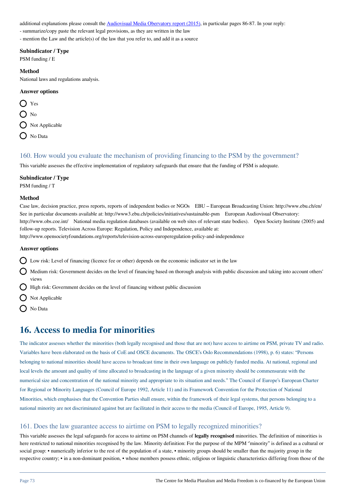additional explanations please consult the [Audiovisual Media Obervatory report \(2015\),](https://rm.coe.int/iris-special-online-activities-of-public-service-media-remit-and-finan/1680945613) in particular pages 86-87. In your reply:

- summarize/copy paste the relevant legal provisions, as they are written in the law

- mention the Law and the article(s) of the law that you refer to, and add it as a source

#### **Subindicator / Type**

PSM funding / E

#### **Method**

National laws and regulations analysis.

#### **Answer options**

O Yes  $\bigcap$  No  $\bigcap$  Not Applicable  $\bigcirc$  No Data

## 160. How would you evaluate the mechanism of providing financing to the PSM by the government?

This variable assesses the effective implementation of regulatory safeguards that ensure that the funding of PSM is adequate.

#### **Subindicator / Type**

PSM funding / T

#### **Method**

Case law, decision practice, press reports, reports of independent bodies or NGOs EBU – European Broadcasting Union: http://www.ebu.ch/en/ See in particular documents available at: http://www3.ebu.ch/policies/initiatives/sustainable-psm European Audiovisual Observatory: http://www.obs.coe.int/ National media regulation databases (available on web sites of relevant state bodies). Open Society Institute (2005) and follow-up reports. Television Across Europe: Regulation, Policy and Independence, available at: http://www.opensocietyfoundations.org/reports/television-across-europeregulation-policy-and-independence

#### **Answer options**

 $\bigcap$  Low risk: Level of financing (licence fee or other) depends on the economic indicator set in the law

 $\bigcirc$  Medium risk: Government decides on the level of financing based on thorough analysis with public discussion and taking into account others' views

 $\bigcirc$  High risk: Government decides on the level of financing without public discussion

- $\bigcap$  Not Applicable
- $\bigcap$  No Data

## **16. Access to media for minorities**

The indicator assesses whether the minorities (both legally recognised and those that are not) have access to airtime on PSM, private TV and radio. Variables have been elaborated on the basis of CoE and OSCE documents. The OSCE's Oslo Recommendations (1998), p. 6) states: "Persons belonging to national minorities should have access to broadcast time in their own language on publicly funded media. At national, regional and local levels the amount and quality of time allocated to broadcasting in the language of a given minority should be commensurate with the numerical size and concentration of the national minority and appropriate to its situation and needs." The Council of Europe's European Charter for Regional or Minority Languages (Council of Europe 1992, Article 11) and its Framework Convention for the Protection of National Minorities, which emphasises that the Convention Parties shall ensure, within the framework of their legal systems, that persons belonging to a national minority are not discriminated against but are facilitated in their access to the media (Council of Europe, 1995, Article 9).

## 161. Does the law guarantee access to airtime on PSM to legally recognized minorities?

This variable assesses the legal safegaurds for access to airtime on PSM channels of **legally recognised** minorities. The definition of minorities is here restricted to national minorities recognised by the law. Minority definition: For the purpose of the MPM "minority" is defined as a cultural or social group: • numerically inferior to the rest of the population of a state, • minority groups should be smaller than the majority group in the respective country; • in a non-dominant position, • whose members possess ethnic, religious or linguistic characteristics differing from those of the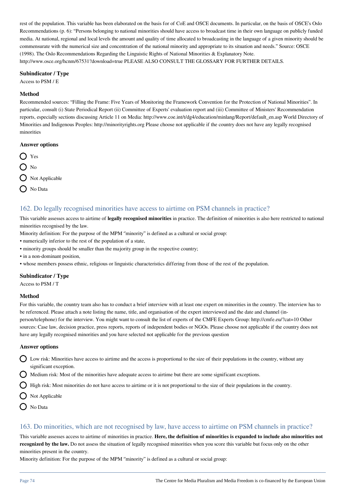rest of the population. This variable has been elaborated on the basis for of CoE and OSCE documents. In particular, on the basis of OSCE's Oslo Recommendations (p. 6): "Persons belonging to national minorities should have access to broadcast time in their own language on publicly funded media. At national, regional and local levels the amount and quality of time allocated to broadcasting in the language of a given minority should be commensurate with the numerical size and concentration of the national minority and appropriate to its situation and needs." Source: OSCE (1998). The Oslo Recommendations Regarding the Linguistic Rights of National Minorities & Explanatory Note. http://www.osce.org/hcnm/67531?download=true PLEASE ALSO CONSULT THE GLOSSARY FOR FURTHER DETAILS.

#### **Subindicator / Type**

Access to PSM / E

#### **Method**

Recommended sources: "Filling the Frame: Five Years of Monitoring the Framework Convention for the Protection of National Minorities". In particular, consult (i) State Periodical Report (ii) Committee of Experts' evaluation report and (iii) Committee of Ministers' Recommendation reports, especially sections discussing Article 11 on Media: http://www.coe.int/t/dg4/education/minlang/Report/default\_en.asp World Directory of Minorities and Indigenous Peoples: http://minorityrights.org Please choose not applicable if the country does not have any legally recognised minorities

#### **Answer options**



## 162. Do legally recognised minorities have access to airtime on PSM channels in practice?

This variable assesses access to airtime of **legally recognised minorities** in practice. The definition of minorities is also here restricted to national minorities recognised by the law.

Minority definition: For the purpose of the MPM "minority" is defined as a cultural or social group:

• numerically inferior to the rest of the population of a state,

- minority groups should be smaller than the majority group in the respective country;
- in a non-dominant position,

• whose members possess ethnic, religious or linguistic characteristics differing from those of the rest of the population.

#### **Subindicator / Type**

Access to PSM / T

#### **Method**

For this variable, the country team also has to conduct a brief interview with at least one expert on minorities in the country. The interview has to be referenced. Please attach a note listing the name, title, and organisation of the expert interviewed and the date and channel (inperson/telephone) for the interview. You might want to consult the list of experts of the CMFE Experts Group: http://cmfe.eu/?cat=10 Other sources: Case law, decision practice, press reports, reports of independent bodies or NGOs. Please choose not applicable if the country does not have any legally recognised minorities and you have selected not applicable for the previous question

#### **Answer options**

- $\Omega$  Low risk: Minorities have access to airtime and the access is proportional to the size of their populations in the country, without any significant exception.
	- Medium risk: Most of the minorities have adequate access to airtime but there are some significant exceptions.

 $\bigcirc$  High risk: Most minorities do not have access to airtime or it is not proportional to the size of their populations in the country.

- Not Applicable
- O No Data

## 163. Do minorities, which are not recognised by law, have access to airtime on PSM channels in practice?

This variable assesses access to airtime of minorities in practice. **Here, the definition of minorities is expanded to include also minorities not recognized by the law.** Do not assess the situation of legally recognised minorities when you score this variable but focus only on the other minorities present in the country.

Minority definition: For the purpose of the MPM ''minority'' is defined as a cultural or social group: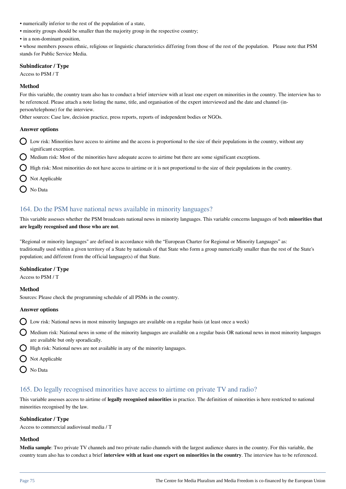- numerically inferior to the rest of the population of a state,
- minority groups should be smaller than the majority group in the respective country;
- in a non-dominant position,

• whose members possess ethnic, religious or linguistic characteristics differing from those of the rest of the population. Please note that PSM stands for Public Service Media.

#### **Subindicator / Type**

Access to PSM / T

### **Method**

For this variable, the country team also has to conduct a brief interview with at least one expert on minorities in the country. The interview has to be referenced. Please attach a note listing the name, title, and organisation of the expert interviewed and the date and channel (inperson/telephone) for the interview.

Other sources: Case law, decision practice, press reports, reports of independent bodies or NGOs.

#### **Answer options**

- Low risk: Minorities have access to airtime and the access is proportional to the size of their populations in the country, without any significant exception.
- $\bigcirc$  Medium risk: Most of the minorities have adequate access to airtime but there are some significant exceptions.
- $\bigcirc$  High risk: Most minorities do not have access to airtime or it is not proportional to the size of their populations in the country.
- $\bigcap$  Not Applicable
- No Data

## 164. Do the PSM have national news available in minority languages?

This variable assesses whether the PSM broadcasts national news in minority languages. This variable concerns languages of both **minorities that are legally recognised and those who are not**.

"Regional or minority languages" are defined in accordance with the "European Charter for Regional or Minority Languages" as: traditionally used within a given territory of a State by nationals of that State who form a group numerically smaller than the rest of the State's population; and different from the official language(s) of that State.

#### **Subindicator / Type**

Access to PSM / T

#### **Method**

Sources: Please check the programming schedule of all PSMs in the country.

#### **Answer options**

- Low risk: National news in most minority languages are available on a regular basis (at least once a week)
- Medium risk: National news in some of the minority languages are available on a regular basis OR national news in most minority languages are available but only sporadically.
- $\bigcirc$  High risk: National news are not available in any of the minority languages.
- O Not Applicable
- O No Data

## 165. Do legally recognised minorities have access to airtime on private TV and radio?

This variable assesses access to airtime of **legally recognised minorities** in practice. The definition of minorities is here restricted to national minorities recognised by the law.

#### **Subindicator / Type**

Access to commercial audiovisual media / T

#### **Method**

**Media sample**: Two private TV channels and two private radio channels with the largest audience shares in the country. For this variable, the country team also has to conduct a brief **interview with at least one expert on minorities in the country**. The interview has to be referenced.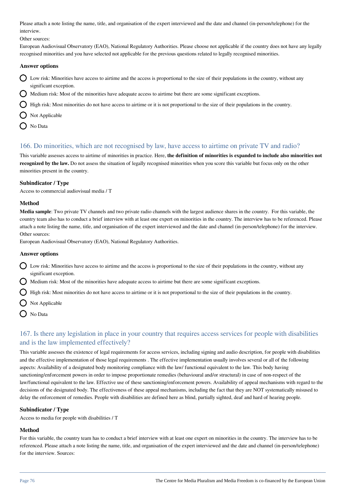Please attach a note listing the name, title, and organisation of the expert interviewed and the date and channel (in-person/telephone) for the interview.

Other sources:

European Audiovisual Observatory (EAO), National Regulatory Authorities. Please choose not applicable if the country does not have any legally recognised minorities and you have selected not applicable for the previous questions related to legally recognised minorities.

#### **Answer options**

- Low risk: Minorities have access to airtime and the access is proportional to the size of their populations in the country, without any significant exception.
- Medium risk: Most of the minorities have adequate access to airtime but there are some significant exceptions.
- High risk: Most minorities do not have access to airtime or it is not proportional to the size of their populations in the country.
- $\bigcap$  Not Applicable
- O No Data

## 166. Do minorities, which are not recognised by law, have access to airtime on private TV and radio?

This variable assesses access to airtime of minorities in practice. Here, **the definition of minorities is expanded to include also minorities not recognized by the law.** Do not assess the situation of legally recognised minorities when you score this variable but focus only on the other minorities present in the country.

#### **Subindicator / Type**

Access to commercial audiovisual media / T

#### **Method**

**Media sample**: Two private TV channels and two private radio channels with the largest audience shares in the country. For this variable, the country team also has to conduct a brief interview with at least one expert on minorities in the country. The interview has to be referenced. Please attach a note listing the name, title, and organisation of the expert interviewed and the date and channel (in-person/telephone) for the interview. Other sources:

European Audiovisual Observatory (EAO), National Regulatory Authorities.

#### **Answer options**

- Low risk: Minorities have access to airtime and the access is proportional to the size of their populations in the country, without any significant exception.
- Medium risk: Most of the minorities have adequate access to airtime but there are some significant exceptions.

High risk: Most minorities do not have access to airtime or it is not proportional to the size of their populations in the country.

- Not Applicable
- No Data

## 167. Is there any legislation in place in your country that requires access services for people with disabilities and is the law implemented effectively?

This variable assesses the existence of legal requirements for access services, including signing and audio description, for people with disabilities and the effective implementation of those legal requirements . The effective implementation usually involves several or all of the following aspects: Availability of a designated body monitoring compliance with the law/ functional equivalent to the law. This body having sanctioning/enforcement powers in order to impose proportionate remedies (behavioural and/or structural) in case of non-respect of the law/functional equivalent to the law. Effective use of these sanctioning/enforcement powers. Availability of appeal mechanisms with regard to the decisions of the designated body. The effectiveness of these appeal mechanisms, including the fact that they are NOT systematically misused to delay the enforcement of remedies. People with disabilities are defined here as blind, partially sighted, deaf and hard of hearing people.

#### **Subindicator / Type**

Access to media for people with disabilities / T

## **Method**

For this variable, the country team has to conduct a brief interview with at least one expert on minorities in the country. The interview has to be referenced. Please attach a note listing the name, title, and organisation of the expert interviewed and the date and channel (in-person/telephone) for the interview. Sources: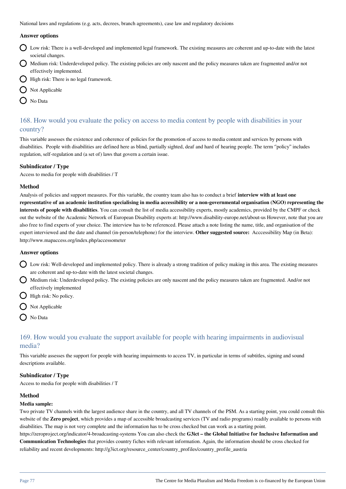National laws and regulations (e.g. acts, decrees, branch agreements), case law and regulatory decisions

#### **Answer options**

- $\bigcap$  Low risk: There is a well-developed and implemented legal framework. The existing measures are coherent and up-to-date with the latest societal changes.
- Medium risk: Underdeveloped policy. The existing policies are only nascent and the policy measures taken are fragmented and/or not effectively implemented.
- $\bigcirc$  High risk: There is no legal framework.
- $\bigcirc$  Not Applicable
- O No Data

## 168. How would you evaluate the policy on access to media content by people with disabilities in your country?

This variable assesses the existence and coherence of policies for the promotion of access to media content and services by persons with disabilities. People with disabilities are defined here as blind, partially sighted, deaf and hard of hearing people. The term "policy" includes regulation, self-regulation and (a set of) laws that govern a certain issue.

#### **Subindicator / Type**

Access to media for people with disabilities / T

#### **Method**

Analysis of policies and support measures. For this variable, the country team also has to conduct a brief **interview with at least one representative of an academic institution specialising in media accessibility or a non-governmental organisation (NGO) representing the interests of people with disabilities**. You can consult the list of media accessibility experts, mostly academics, provided by the CMPF or check out the website of the Academic Network of European Disability experts at: http://www.disability-europe.net/about-us However, note that you are also free to find experts of your choice. The interview has to be referenced. Please attach a note listing the name, title, and organisation of the expert interviewed and the date and channel (in-person/telephone) for the interview. **Other suggested source:** Acccessibility Map (in Beta): http://www.mapaccess.org/index.php/accessometer

#### **Answer options**

- $\bigcirc$  Low risk: Well-developed and implemented policy. There is already a strong tradition of policy making in this area. The existing measures are coherent and up-to-date with the latest societal changes.
- Medium risk: Underdeveloped policy. The existing policies are only nascent and the policy measures taken are fragmented. And/or not effectively implemented
- $\bigcap$  High risk: No policy.
- $\bigcap$  Not Applicable
- O No Data

## 169. How would you evaluate the support available for people with hearing impairments in audiovisual media?

This variable assesses the support for people with hearing impairments to access TV, in particular in terms of subtitles, signing and sound descriptions available.

#### **Subindicator / Type**

Access to media for people with disabilities / T

#### **Method**

#### **Media sample:**

Two private TV channels with the largest audience share in the country, and all TV channels of the PSM. As a starting point, you could consult this website of the **Zero project**, which provides a map of accessible broadcasting services (TV and radio programs) readily available to persons with disabilities. The map is not very complete and the information has to be cross checked but can work as a starting point.

https://zeroproject.org/indicator/4-broadcasting-systems You can also check the **G3ict – the Global Initiative for Inclusive Information and Communication Technologies** that provides country fiches with relevant information. Again, the information should be cross checked for reliability and recent developments: http://g3ict.org/resource\_center/country\_profiles/country\_profile\_austria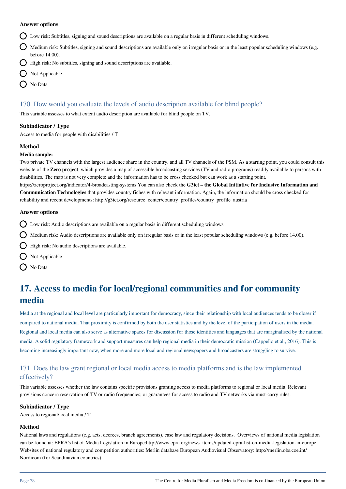#### **Answer options**

- Low risk: Subtitles, signing and sound descriptions are available on a regular basis in different scheduling windows.
- $\bigcap$  Medium risk: Subtitles, signing and sound descriptions are available only on irregular basis or in the least popular scheduling windows (e.g. before 14.00).
- $\bigcap$  High risk: No subtitles, signing and sound descriptions are available.
- $\bigcap$  Not Applicable
- O No Data

## 170. How would you evaluate the levels of audio description available for blind people?

This variable assesses to what extent audio description are available for blind people on TV.

#### **Subindicator / Type**

Access to media for people with disabilities / T

#### **Method**

#### **Media sample:**

Two private TV channels with the largest audience share in the country, and all TV channels of the PSM. As a starting point, you could consult this website of the **Zero project**, which provides a map of accessible broadcasting services (TV and radio programs) readily available to persons with disabilities. The map is not very complete and the information has to be cross checked but can work as a starting point. https://zeroproject.org/indicator/4-broadcasting-systems You can also check the **G3ict – the Global Initiative for Inclusive Information and**

**Communication Technologies** that provides country fiches with relevant information. Again, the information should be cross checked for reliability and recent developments: http://g3ict.org/resource\_center/country\_profiles/country\_profile\_austria

#### **Answer options**

- Low risk: Audio descriptions are available on a regular basis in different scheduling windows
- $\bigcirc$  Medium risk: Audio descriptions are available only on irregular basis or in the least popular scheduling windows (e.g. before 14.00).
- $\bigcirc$  High risk: No audio descriptions are available.
- $\bigcirc$  Not Applicable
- O No Data

## **17. Access to media for local/regional communities and for community media**

Media at the regional and local level are particularly important for democracy, since their relationship with local audiences tends to be closer if compared to national media. That proximity is confirmed by both the user statistics and by the level of the participation of users in the media. Regional and local media can also serve as alternative spaces for discussion for those identities and languages that are marginalised by the national media. A solid regulatory framework and support measures can help regional media in their democratic mission (Cappello et al., 2016). This is becoming increasingly important now, when more and more local and regional newspapers and broadcasters are struggling to survive.

## 171. Does the law grant regional or local media access to media platforms and is the law implemented effectively?

This variable assesses whether the law contains specific provisions granting access to media platforms to regional or local media. Relevant provisions concern reservation of TV or radio frequencies; or guarantees for access to radio and TV networks via must-carry rules.

#### **Subindicator / Type**

Access to regional/local media / T

## **Method**

National laws and regulations (e.g. acts, decrees, branch agreements), case law and regulatory decisions. Overviews of national media legislation can be found at: EPRA's list of Media Legislation in Europe:http://www.epra.org/news\_items/updated-epra-list-on-media-legislation-in-europe Websites of national regulatory and competition authorities: Merlin database European Audiovisual Observatory: http://merlin.obs.coe.int/ Nordicom (for Scandinavian countries)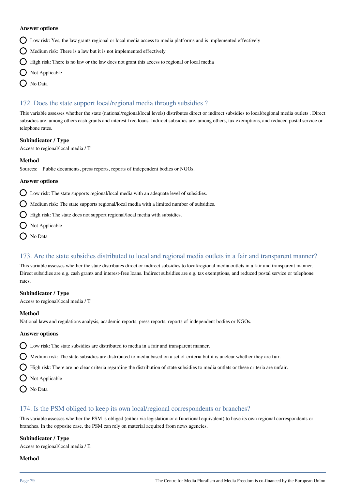#### **Answer options**

- Low risk: Yes, the law grants regional or local media access to media platforms and is implemented effectively
- $\bigcirc$  Medium risk: There is a law but it is not implemented effectively
- $\bigcap$  High risk: There is no law or the law does not grant this access to regional or local media
- $\bigcirc$  Not Applicable
- ◯ No Data

## 172. Does the state support local/regional media through subsidies ?

This variable assesses whether the state (national/regional/local levels) distributes direct or indirect subsidies to local/regional media outlets . Direct subsidies are, among others cash grants and interest-free loans. Indirect subsidies are, among others, tax exemptions, and reduced postal service or telephone rates.

#### **Subindicator / Type**

Access to regional/local media / T

#### **Method**

Sources: Public documents, press reports, reports of independent bodies or NGOs.

#### **Answer options**

 $\bigcirc$  Low risk: The state supports regional/local media with an adequate level of subsidies.

 $\bigcirc$  Medium risk: The state supports regional/local media with a limited number of subsidies.

- **High risk:** The state does not support regional/local media with subsidies.
- Not Applicable
- ◯ No Data

## 173. Are the state subsidies distributed to local and regional media outlets in a fair and transparent manner?

This variable assesses whether the state distributes direct or indirect subsidies to local/regional media outlets in a fair and transparent manner. Direct subsidies are e.g. cash grants and interest-free loans. Indirect subsidies are e.g. tax exemptions, and reduced postal service or telephone rates.

#### **Subindicator / Type**

Access to regional/local media / T

#### **Method**

National laws and regulations analysis, academic reports, press reports, reports of independent bodies or NGOs.

#### **Answer options**

 $\bigcirc$  Low risk: The state subsidies are distributed to media in a fair and transparent manner.

- $\Omega$  Medium risk: The state subsidies are distributed to media based on a set of criteria but it is unclear whether they are fair.
- $\bigcirc$  High risk: There are no clear criteria regarding the distribution of state subsidies to media outlets or these criteria are unfair.
- $\bigcirc$  Not Applicable
- No Data

## 174. Is the PSM obliged to keep its own local/regional correspondents or branches?

This variable assesses whether the PSM is obliged (either via legislation or a functional equivalent) to have its own regional correspondents or branches. In the opposite case, the PSM can rely on material acquired from news agencies.

#### **Subindicator / Type**

Access to regional/local media / E

#### **Method**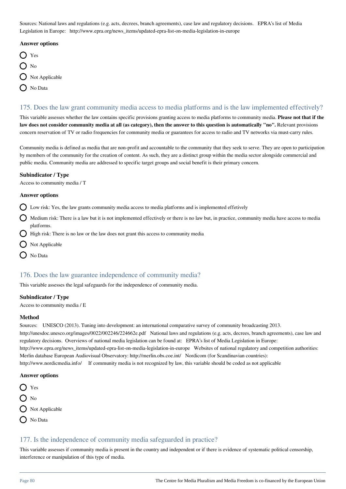Sources: National laws and regulations (e.g. acts, decrees, branch agreements), case law and regulatory decisions. EPRA's list of Media Legislation in Europe: http://www.epra.org/news\_items/updated-epra-list-on-media-legislation-in-europe

#### **Answer options**

- ◯ Yes
- $\Omega$  No
- $\bigcirc$  Not Applicable
- ( No Data

## 175. Does the law grant community media access to media platforms and is the law implemented effectively?

This variable assesses whether the law contains specific provisions granting access to media platforms to community media. **Please not that if the** law does not consider community media at all (as category), then the answer to this question is automatically "no". Relevant provisions concern reservation of TV or radio frequencies for community media or guarantees for access to radio and TV networks via must-carry rules.

Community media is defined as media that are non-profit and accountable to the community that they seek to serve. They are open to participation by members of the community for the creation of content. As such, they are a distinct group within the media sector alongside commercial and public media. Community media are addressed to specific target groups and social benefit is their primary concern.

#### **Subindicator / Type**

Access to community media / T

#### **Answer options**

 $\Omega$  Low risk: Yes, the law grants community media access to media platforms and is implemented effetively

- Medium risk: There is a law but it is not implemented effectively or there is no law but, in practice, community media have access to media platforms.
- $\bigcirc$  High risk: There is no law or the law does not grant this access to community media
- $\bigcirc$  Not Applicable
- O No Data

## 176. Does the law guarantee independence of community media?

This variable assesses the legal safeguards for the independence of community media.

#### **Subindicator / Type**

Access to community media / E

#### **Method**

Sources: UNESCO (2013). Tuning into development: an international comparative survey of community broadcasting 2013. http://unesdoc.unesco.org/images/0022/002246/224662e.pdf National laws and regulations (e.g. acts, decrees, branch agreements), case law and regulatory decisions. Overviews of national media legislation can be found at: EPRA's list of Media Legislation in Europe: http://www.epra.org/news\_items/updated-epra-list-on-media-legislation-in-europe Websites of national regulatory and competition authorities: Merlin database European Audiovisual Observatory: http://merlin.obs.coe.int/ Nordicom (for Scandinavian countries): http://www.nordicmedia.info/ If community media is not recognized by law, this variable should be coded as not applicable

#### **Answer options**

 $\bigcap$  Yes  $\bigcap$  No  $\bigcirc$  Not Applicable O No Data

## 177. Is the independence of community media safeguarded in practice?

This variable assesses if community media is present in the country and independent or if there is evidence of systematic political censorship, interference or manipulation of this type of media.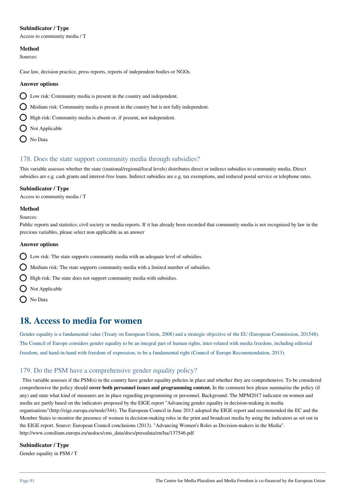#### **Subindicator / Type**

Access to community media / T

#### **Method**

Sources:

Case law, decision practice, press reports, reports of independent bodies or NGOs.

#### **Answer options**

- Low risk: Community media is present in the country and independent.
- $\bigcirc$  Medium risk: Community media is present in the country but is not fully independent.
- $\bigcirc$  High risk: Community media is absent or, if present, not independent.
- $\bigcap$  Not Applicable
- O No Data

## 178. Does the state support community media through subsidies?

This variable assesses whether the state ((national/regional/local levels) distributes direct or indirect subsidies to community media. Direct subsidies are e.g. cash grants and interest-free loans. Indirect subsidies are e.g. tax exemptions, and reduced postal service or telephone rates.

#### **Subindicator / Type**

Access to community media / T

#### **Method**

Sources:

Public reports and statistics; civil society or media reports. If it has already been recorded that community media is not recognized by law in the precious variables, please select non applicable as an answer

#### **Answer options**

- $\bigcirc$  Low risk: The state supports community media with an adequate level of subsidies.
- $\bigcirc$  Medium risk: The state supports community media with a limited number of subsidies.
- $\bigcirc$  High risk: The state does not support community media with subsidies.
- $\bigcirc$  Not Applicable
- $\bigcap$  No Data

## **18. Access to media for women**

Gender equality is a fundamental value (Treaty on European Union, 2008) and a strategic objective of the EU (European Commission, 201548). The Council of Europe considers gender equality to be an integral part of human rights, inter-related with media freedom, including editorial freedom, and hand-in-hand with freedom of expression, to be a fundamental right (Council of Europe Recommendation, 2013).

## 179. Do the PSM have a comprehensive gender equality policy?

 This variable assesses if the PSM(s) in the country have gender equality policies in place and whether they are comprehensive. To be considered comprehensive the policy should **cover both personnel issues and programming content.** In the comment box please summarise the policy (if any) and state what kind of measures are in place regarding programming or personnel. Background: The MPM2017 indicator on women and media are partly based on the indicators proposed by the EIGE report "Advancing gender equality in decision-making in media organisations"(http://eige.europa.eu/node/344). The European Council in June 2013 adopted the EIGE report and recommended the EC and the Member States to monitor the presence of women in decision-making roles in the print and broadcast media by using the indicators as set out in the EIGE report. Source: European Council conclusions (2013). "Advancing Women's Roles as Decision-makers in the Media". http://www.consilium.europa.eu/uedocs/cms\_data/docs/pressdata/en/lsa/137546.pdf

#### **Subindicator / Type**

Gender equality in PSM / T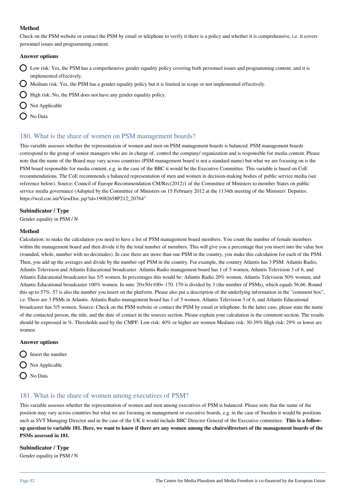Check on the PSM website or contact the PSM by email or telephone to verify it there is a policy and whether it is comprehensive, i.e. it covers personnel issues and programming content.

#### **Answer options**

- $\bigcap$  Low risk: Yes, the PSM has a comprehensive gender equality policy covering both personnel issues and programming content, and it is implemented effectively.
- Medium risk: Yes, the PSM has a gender equality policy but it is limited in scope or not implemented effectively.
- $\bigcirc$  High risk: No, the PSM does not have any gender equality policy.

 $\bigcap$  Not Applicable

No Data

## 180. What is the share of women on PSM management boards?

This variable assesses whether the representation of women and men on PSM management boards is balanced. PSM management boards correspond to the group of senior managers who are in charge of, control the company/ organization and is responsible for media content. Please note that the name of the Board may vary across countries (PSM management board is not a standard name) but what we are focusing on is the PSM board responsible for media content, e.g. in the case of the BBC it would be the Executive Committee. This variable is based on CoE recommendations. The CoE recommends a balanced representation of men and women in decision-making bodies of public service media (see reference below). Source: Council of Europe Recommendation CM/Rec(2012)1 of the Committee of Ministers to member States on public service media governance (Adopted by the Committee of Ministers on 15 February 2012 at the 1134th meeting of the Ministers' Deputies. https://wcd.coe.int/ViewDoc.jsp?id=1908265#P212\_20764"

#### **Subindicator / Type**

Gender equality in PSM / N

#### **Method**

Calculation: to make the calculation you need to have a list of PSM management board members. You count the number of female members within the management board and then divide it by the total number of members. This will give you a percentage that you insert into the value box (rounded, whole, number with no decimales). In case there are more than one PSM in the country, you make this calculation for each of the PSM. Then, you add up the averages and divide by the number opf PSM in the country. For example, the country Atlantis has 3 PSM: Atlantis Radio, Atlantis Television and Atlantis Educational broadcaster. Atlantis Radio management board has 1 of 5 women, Atlantis Television 3 of 6, and Atlantis Educational broadcaster has 5/5 women. In percentages this would be: Atlantis Radio 20% women, Atlantis Television 50% women, and Atlantis Educational broadcaster 100% women. In sum: 20+50+100= 170. 170 is divided by 3 (the number of PSMs), which equals 56,66. Round this up to 57%. 57 is also the number you insert on the platform. Please also put a description of the underlying information in the "comment box", i.e. There are 3 PSMs in Atlantis. Atlantis Radio management board has 1 of 5 women, Atlantis Television 3 of 6, and Atlantis Educational broadcaster has 5/5 women. Source: Check on the PSM website or contact the PSM by email or telephone. In the latter case, please state the name of the contacted person, the title, and the date of contact in the sources section. Please explain your calculation in the comment section. The results should be expressed in %. Thresholds used by the CMPF: Low risk: 40% or higher are women Medium risk: 30-39% High risk: 29% or lower are women

#### **Answer options**

- $\bigcap$  Insert the number  $\bigcirc$  Not Applicable
- $\bigcap$  No Data

## 181. What is the share of women among executives of PSM?

This variable assesses whether the representation of women and men among executives of PSM is balanced. Please note that the name of the position may vary across countries but what we are focusing on management or executive boards, e.g. in the case of Sweden it would be positions such as SVT Managing Director and in the case of the UK it would include BBC Director General of the Executive committee. **This is a followup question to variable 181. Here, we want to know if there are any women among the chairs/directors of the management boards of the PSMs assessed in 181.** 

## **Subindicator / Type**

Gender equality in PSM / N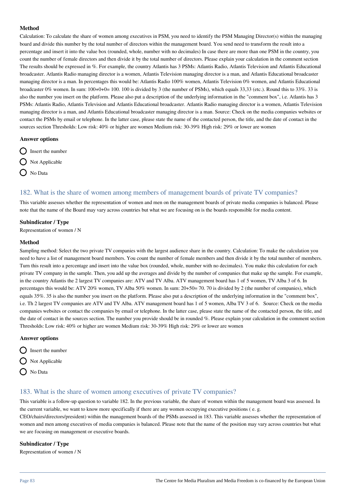Calculation: To calculate the share of women among executives in PSM, you need to identify the PSM Managing Director(s) within the managing board and divide this number by the total number of directors within the management board. You send need to transform the result into a percentage and insert it into the value box (rounded, whole, number with no decimales) In case there are more than one PSM in the country, you count the number of female directors and then divide it by the total number of directors. Please explain your calculation in the comment section The results should be expressed in %. For example, the country Atlantis has 3 PSMs: Atlantis Radio, Atlantis Television and Atlantis Educational broadcaster. Atlantis Radio managing director is a women, Atlantis Television managing director is a man, and Atlantis Educational broadcaster managing director is a man. In percentages this would be: Atlantis Radio 100% women, Atlantis Television 0% women, and Atlantis Educational broadcaster 0% women. In sum: 100+0+0= 100. 100 is divided by 3 (the number of PSMs), which equals 33,33 (etc.). Round this to 33%. 33 is also the number you insert on the platform. Please also put a description of the underlying information in the "comment box", i.e. Atlantis has 3 PSMs: Atlantis Radio, Atlantis Television and Atlantis Educational broadcaster. Atlantis Radio managing director is a women, Atlantis Television managing director is a man, and Atlantis Educational broadcaster managing director is a man. Source: Check on the media companies websites or contact the PSMs by email or telephone. In the latter case, please state the name of the contacted person, the title, and the date of contact in the sources section Thresholds: Low risk: 40% or higher are women Medium risk: 30-39% High risk: 29% or lower are women

#### **Answer options**

- $\bigcap$  Insert the number
- O Not Applicable
- $\bigcap$  No Data

#### 182. What is the share of women among members of management boards of private TV companies?

This variable assesses whether the representation of women and men on the management boards of private media companies is balanced. Please note that the name of the Board may vary across countries but what we are focusing on is the boards responsible for media content.

#### **Subindicator / Type**

Representation of women / N

#### **Method**

Sampling method: Select the two private TV companies with the largest audience share in the country. Calculation: To make the calculation you need to have a list of management board members. You count the number of female members and then divide it by the total number of members. Turn this result into a percentage and insert into the value box (rounded, whole, number with no decimales). You make this calculation for each private TV company in the sample. Then, you add up the averages and divide by the number of companies that make up the sample. For example, in the country Atlantis the 2 largest TV companies are: ATV and TV Alba. ATV management board has 1 of 5 women, TV Alba 3 of 6. In percentages this would be: ATV 20% women, TV Alba 50% women. In sum: 20+50= 70. 70 is divided by 2 (the number of companies), which equals 35%. 35 is also the number you insert on the platform. Please also put a description of the underlying information in the "comment box", i.e. Th 2 largest TV companies are ATV and TV Alba. ATV management board has 1 of 5 women, Alba TV 3 of 6. Source: Check on the media companies websites or contact the companies by email or telephone. In the latter case, please state the name of the contacted person, the title, and the date of contact in the sources section. The number you provide should be in rounded %. Please explain your calculation in the comment section Thresholds: Low risk: 40% or higher are women Medium risk: 30-39% High risk: 29% or lower are women

#### **Answer options**



- $\bigcap$  Not Applicable
- O No Data

## 183. What is the share of women among executives of private TV companies?

This variable is a follow-up question to variable 182. In the previous variable, the share of women within the management board was assessed. In the current variable, we want to know more specifically if there are any women occupying executive positions ( e. g.

CEO/chairs/directors/president) within the management boards of the PSMs assessed in 183. This variable assesses whether the representation of women and men among executives of media companies is balanced. Please note that the name of the position may vary across countries but what we are focusing on management or executive boards.

#### **Subindicator / Type**

Representation of women / N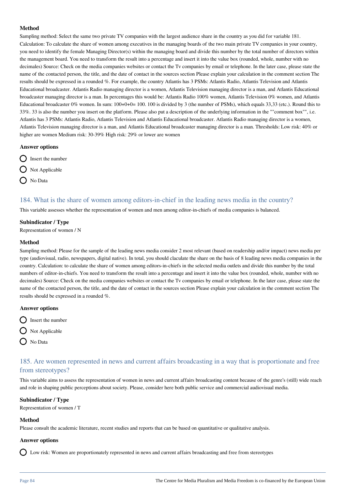Sampling method: Select the same two private TV companies with the largest audience share in the country as you did for variable 181. Calculation: To calculate the share of women among executives in the managing boards of the two main private TV companies in your country, you need to identify the female Managing Director(s) within the managing board and divide this number by the total number of directors within the management board. You need to transform the result into a percentage and insert it into the value box (rounded, whole, number with no decimales) Source: Check on the media companies websites or contact the Tv companies by email or telephone. In the later case, please state the name of the contacted person, the title, and the date of contact in the sources section Please explain your calculation in the comment section The results should be expressed in a rounded %. For example, the country Atlantis has 3 PSMs: Atlantis Radio, Atlantis Television and Atlantis Educational broadcaster. Atlantis Radio managing director is a women, Atlantis Television managing director is a man, and Atlantis Educational broadcaster managing director is a man. In percentages this would be: Atlantis Radio 100% women, Atlantis Television 0% women, and Atlantis Educational broadcaster 0% women. In sum: 100+0+0= 100. 100 is divided by 3 (the number of PSMs), which equals 33,33 (etc.). Round this to 33%. 33 is also the number you insert on the platform. Please also put a description of the underlying information in the ""comment box"", i.e. Atlantis has 3 PSMs: Atlantis Radio, Atlantis Television and Atlantis Educational broadcaster. Atlantis Radio managing director is a women, Atlantis Television managing director is a man, and Atlantis Educational broadcaster managing director is a man. Thresholds: Low risk: 40% or higher are women Medium risk: 30-39% High risk: 29% or lower are women

#### **Answer options**

- $\bigcirc$  Insert the number
- $\bigcap$  Not Applicable
- O No Data

## 184. What is the share of women among editors-in-chief in the leading news media in the country?

This variable assesses whether the representation of women and men among editor-in-chiefs of media companies is balanced.

#### **Subindicator / Type**

Representation of women / N

#### **Method**

Sampling method: Please for the sample of the leading news media consider 2 most relevant (based on readership and/or impact) news media per type (audiovisual, radio, newspapers, digital native). In total, you should claculate the share on the basis of 8 leading news media companies in the country. Calculation: to calculate the share of women among editors-in-chiefs in the selected media outlets and divide this number by the total numbers of editor-in-chiefs. You need to transform the result into a percentage and insert it into the value box (rounded, whole, number with no decimales) Source: Check on the media companies websites or contact the Tv companies by email or telephone. In the later case, please state the name of the contacted person, the title, and the date of contact in the sources section Please explain your calculation in the comment section The results should be expressed in a rounded %.

#### **Answer options**

- $\bigcirc$  Insert the number
- $\bigcap$  Not Applicable
- O No Data

## 185. Are women represented in news and current affairs broadcasting in a way that is proportionate and free from stereotypes?

This variable aims to assess the representation of women in news and current affairs broadcasting content because of the genre's (still) wide reach and role in shaping public perceptions about society. Please, consider here both public service and commercial audiovisual media.

#### **Subindicator / Type**

Representation of women / T

#### **Method**

Please consult the academic literature, recent studies and reports that can be based on quantitative or qualitative analysis.

## **Answer options**

Low risk: Women are proportionately represented in news and current affairs broadcasting and free from stereotypes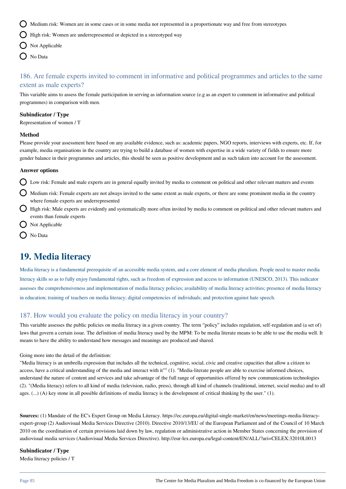Medium risk: Women are in some cases or in some media not represented in a proportionate way and free from stereotypes

 $\bigcirc$  High risk: Women are underrepresented or depicted in a stereotyped way

- $\bigcap$  Not Applicable
- O No Data

## 186. Are female experts invited to comment in informative and political programmes and articles to the same extent as male experts?

This variable aims to assess the female participation in serving as information source (e.g as an expert to comment in informative and political programmes) in comparison with men.

#### **Subindicator / Type**

Representation of women / T

#### **Method**

Please provide your assessment here based on any available evidence, such as: academic papers, NGO reports, interviews with experts, etc. If, for example, media organisations in the country are trying to build a database of women with expertise in a wide variety of fields to ensure more gender balance in their programmes and articles, this should be seen as positive development and as such taken into account for the assessment.

#### **Answer options**

 $\Omega$  Low risk: Female and male experts are in general equally invited by media to comment on political and other relevant matters and events

- Medium risk: Female experts are not always invited to the same extent as male experts, or there are some prominent media in the country where female experts are underrepresented
- $\bigcirc$  High risk: Male experts are evidently and systematically more often invited by media to comment on political and other relevant matters and events than female experts
- Not Applicable
- No Data

## **19. Media literacy**

Media literacy is a fundamental prerequisite of an accessible media system, and a core element of media pluralism. People need to master media literacy skills so as to fully enjoy fundamental rights, such as freedom of expression and access to information (UNESCO, 2013). This indicator assesses the comprehensiveness and implementation of media literacy policies; availability of media literacy activities; presence of media literacy in education; training of teachers on media literacy; digital competencies of individuals; and protection against hate speech.

## 187. How would you evaluate the policy on media literacy in your country?

This variable assesses the public policies on media literacy in a given country. The term "policy" includes regulation, self-regulation and (a set of) laws that govern a certain issue. The definition of media literacy used by the MPM: To be media literate means to be able to use the media well. It means to have the ability to understand how messages and meanings are produced and shared.

Going more into the detail of the definition:

"Media literacy is an umbrella expression that includes all the technical, cognitive, social, civic and creative capacities that allow a citizen to access, have a critical understanding of the media and interact with it"" (1). "Media-literate people are able to exercise informed choices, understand the nature of content and services and take advantage of the full range of opportunities offered by new communications technologies (2). "(Media literacy) refers to all kind of media (television, radio, press), through all kind of channels (traditional, internet, social media) and to all ages. (...) (A) key stone in all possible definitions of media literacy is the development of critical thinking by the user." (1).

**Sources:** (1) Mandate of the EC's Expert Group on Media Literacy. https://ec.europa.eu/digital-single-market/en/news/meetings-media-literacyexpert-group (2) Audiovisual Media Services Directive (2010). Directive 2010/13/EU of the European Parliament and of the Council of 10 March 2010 on the coordination of certain provisions laid down by law, regulation or administrative action in Member States concerning the provision of audiovisual media services (Audiovisual Media Services Directive). http://eur-lex.europa.eu/legal-content/EN/ALL/?uri=CELEX:32010L0013

#### **Subindicator / Type**

Media literacy policies / T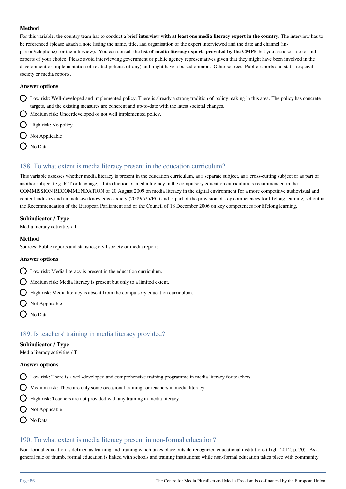For this variable, the country team has to conduct a brief **interview with at least one media literacy expert in the country**. The interview has to be referenced (please attach a note listing the name, title, and organisation of the expert interviewed and the date and channel (inperson/telephone) for the interview). You can consult the **list of media literacy experts provided by the CMPF** but you are also free to find experts of your choice. Please avoid interviewing government or public agency representatives given that they might have been involved in the development or implementation of related policies (if any) and might have a biased opinion. Other sources: Public reports and statistics; civil society or media reports.

#### **Answer options**

- $\bigcirc$  Low risk: Well-developed and implemented policy. There is already a strong tradition of policy making in this area. The policy has concrete targets, and the existing measures are coherent and up-to-date with the latest societal changes.
- $\bigcap$  Medium risk: Underdeveloped or not well implemented policy.
- $\bigcap$  High risk: No policy.
- $\bigcirc$  Not Applicable
- O No Data

## 188. To what extent is media literacy present in the education curriculum?

This variable assesses whether media literacy is present in the education curriculum, as a separate subject, as a cross-cutting subject or as part of another subject (e.g. ICT or language). Introduction of media literacy in the compulsory education curriculum is recommended in the COMMISSION RECOMMENDATION of 20 August 2009 on media literacy in the digital environment for a more competitive audiovisual and content industry and an inclusive knowledge society (2009/625/EC) and is part of the provision of key competences for lifelong learning, set out in the Recommendation of the European Parliament and of the Council of 18 December 2006 on key competences for lifelong learning.

#### **Subindicator / Type**

Media literacy activities / T

#### **Method**

Sources: Public reports and statistics; civil society or media reports.

#### **Answer options**

- Low risk: Media literacy is present in the education curriculum.
- $\bigcirc$  Medium risk: Media literacy is present but only to a limited extent.
- **High risk: Media literacy is absent from the compulsory education curriculum.**
- Not Applicable
- O No Data

## 189. Is teachers' training in media literacy provided?

#### **Subindicator / Type**

Media literacy activities / T

#### **Answer options**

- $\bigcirc$  Low risk: There is a well-developed and comprehensive training programme in media literacy for teachers
- $\bigcirc$  Medium risk: There are only some occasional training for teachers in media literacy
- $\bigcap$  High risk: Teachers are not provided with any training in media literacy
- $\bigcirc$  Not Applicable
- O No Data

## 190. To what extent is media literacy present in non-formal education?

Non-formal education is defined as learning and training which takes place outside recognized educational institutions (Tight 2012, p. 70). As a general rule of thumb, formal education is linked with schools and training institutions; while non-formal education takes place with community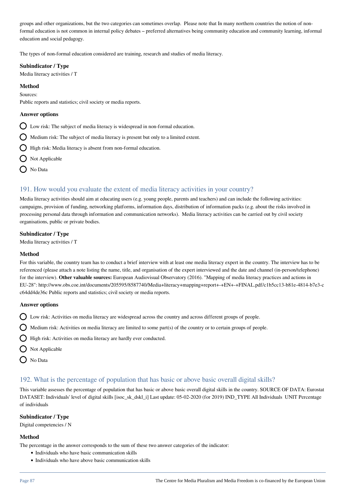groups and other organizations, but the two categories can sometimes overlap. Please note that In many northern countries the notion of nonformal education is not common in internal policy debates – preferred alternatives being community education and community learning, informal education and social pedagogy.

The types of non-formal education considered are training, research and studies of media literacy.

#### **Subindicator / Type**

Media literacy activities / T

#### **Method**

Sources:

Public reports and statistics; civil society or media reports.

#### **Answer options**

- $\bigcirc$  Low risk: The subject of media literacy is widespread in non-formal education.
- $\bigcap$  Medium risk: The subject of media literacy is present but only to a limited extent.
- $\bigcirc$  High risk: Media literacy is absent from non-formal education.
- $\bigcirc$  Not Applicable
- $\bigcap$  No Data

## 191. How would you evaluate the extent of media literacy activities in your country?

Media literacy activities should aim at educating users (e.g. young people, parents and teachers) and can include the following activities: campaigns, provision of funding, networking platforms, information days, distribution of information packs (e.g. about the risks involved in processing personal data through information and communication networks). Media literacy activities can be carried out by civil society organisations, public or private bodies.

#### **Subindicator / Type**

Media literacy activities / T

#### **Method**

For this variable, the country team has to conduct a brief interview with at least one media literacy expert in the country. The interview has to be referenced (please attach a note listing the name, title, and organisation of the expert interviewed and the date and channel (in-person/telephone) for the interview). **Other valuable sources:** European Audiovisual Observatory (2016). "Mapping of media literacy practices and actions in EU-28": http://www.obs.coe.int/documents/205595/8587740/Media+literacy+mapping+report+-+EN+-+FINAL.pdf/c1b5cc13-b81e-4814-b7e3-c c64dd4de36c Public reports and statistics; civil society or media reports.

#### **Answer options**

- Low risk: Activities on media literacy are widespread across the country and across different groups of people.
- $\bigcirc$  Medium risk: Activities on media literacy are limited to some part(s) of the country or to certain groups of people.
- High risk: Activities on media literacy are hardly ever conducted.
- $\bigcap$  Not Applicable
- O No Data

## 192. What is the percentage of population that has basic or above basic overall digital skills?

This variable assesses the percentage of population that has basic or above basic overall digital skills in the country. SOURCE OF DATA: Eurostat DATASET: Individuals' level of digital skills [isoc\_sk\_dskl\_i] Last update: 05-02-2020 (for 2019) IND\_TYPE All Individuals UNIT Percentage of individuals

#### **Subindicator / Type**

Digital competencies / N

#### **Method**

The percentage in the answer corresponds to the sum of these two answer categories of the indicator:

- Individuals who have basic communication skills
- Individuals who have above basic communication skills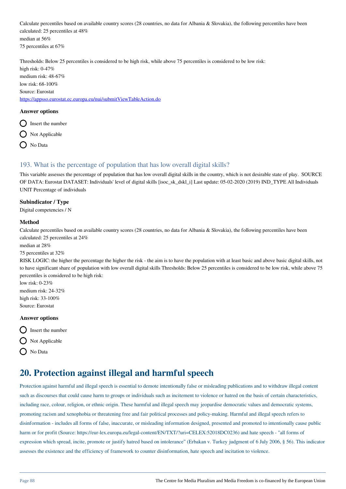Calculate percentiles based on available country scores (28 countries, no data for Albania & Slovakia), the following percentiles have been calculated: 25 percentiles at 48% median at 56% 75 percentiles at 67%

Thresholds: Below 25 percentiles is considered to be high risk, while above 75 percentiles is considered to be low risk: high risk: 0-47% medium risk: 48-67% low risk: 68-100% Source: Eurostat

<https://appsso.eurostat.ec.europa.eu/nui/submitViewTableAction.do>

#### **Answer options**

- $\bigcirc$  Insert the number
- $\bigcirc$  Not Applicable
- $\bigcap$  No Data

## 193. What is the percentage of population that has low overall digital skills?

This variable assesses the percentage of population that has low overall digital skills in the country, which is not desirable state of play. SOURCE OF DATA: Eurostat DATASET: Individuals' level of digital skills [isoc\_sk\_dskl\_i] Last update: 05-02-2020 (2019) IND\_TYPE All Individuals UNIT Percentage of individuals

#### **Subindicator / Type**

Digital competencies / N

#### **Method**

Calculate percentiles based on available country scores  $(28 \text{ countries}, \text{no data for Albania} \& \text{Slovakia}),$  the following percentiles have been calculated: 25 percentiles at 24%

median at 28%

#### 75 percentiles at 32%

RISK LOGIC: the higher the percentage the higher the risk - the aim is to have the population with at least basic and above basic digital skills, not to have significant share of population with low overall digital skills Thresholds: Below 25 percentiles is considered to be low risk, while above 75 percentiles is considered to be high risk:

low risk: 0-23% medium risk: 24-32% high risk: 33-100%

**Answer options**

Source: Eurostat



 $\bigcap$  Not Applicable

No Data

## **20. Protection against illegal and harmful speech**

Protection against harmful and illegal speech is essential to demote intentionally false or misleading publications and to withdraw illegal content such as discourses that could cause harm to groups or individuals such as incitement to violence or hatred on the basis of certain characteristics, including race, colour, religion, or ethnic origin. These harmful and illegal speech may jeopardise democratic values and democratic systems, promoting racism and xenophobia or threatening free and fair political processes and policy-making. Harmful and illegal speech refers to disinformation - includes all forms of false, inaccurate, or misleading information designed, presented and promoted to intentionally cause public harm or for profit (Source: https://eur-lex.europa.eu/legal-content/EN/TXT/?uri=CELEX:52018DC0236) and hate speech - "all forms of expression which spread, incite, promote or justify hatred based on intolerance" (Erbakan v. Turkey judgment of 6 July 2006, § 56). This indicator assesses the existence and the efficiency of framework to counter disinformation, hate speech and incitation to violence.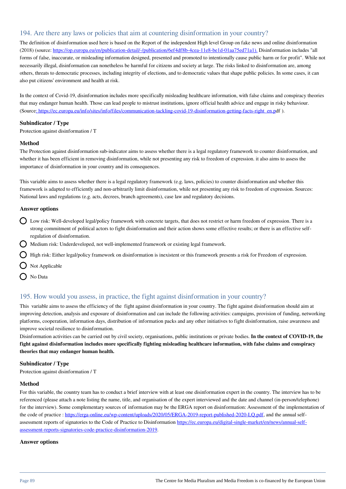## 194. Are there any laws or policies that aim at countering disinformation in your country?

The definition of disinformation used here is based on the Report of the independent High level Group on fake news and online disinformation (2018) (source: [https://op.europa.eu/en/publication-detail/-/publication/6ef4df8b-4cea-11e8-be1d-01aa75ed71a1\).](https://op.europa.eu/en/publication-detail/-/publication/6ef4df8b-4cea-11e8-be1d-01aa75ed71a1).) Disinformation includes "all forms of false, inaccurate, or misleading information designed, presented and promoted to intentionally cause public harm or for profit". While not necessarily illegal, disinformation can nonetheless be harmful for citizens and society at large. The risks linked to disinformation are, among others, threats to democratic processes, including integrity of elections, and to democratic values that shape public policies. In some cases, it can also put citizens' environment and health at risk.

In the context of Covid-19, disinformation includes more specifically misleading healthcare information, with false claims and conspiracy theories that may endanger human health. Those can lead people to mistrust institutions, ignore official health advice and engage in risky behaviour. (Source[: https://ec.europa.eu/info/sites/info/files/communication-tackling-covid-19-disinformation-getting-facts-right\\_en.pd](https://ec.europa.eu/info/sites/info/files/communication-tackling-covid-19-disinformation-getting-facts-right_en.pdf)f ).

#### **Subindicator / Type**

Protection against disinformation / T

#### **Method**

The Protection against disinformation sub-indicator aims to assess whether there is a legal regulatory framework to counter disinformation, and whether it has been efficient in removing disinformation, while not presenting any risk to freedom of expression. it also aims to assess the importance of disinformation in your country and its consequences.

This variable aims to assess whether there is a legal regulatory framework (e.g. laws, policies) to counter disinformation and whether this framework is adapted to efficiently and non-arbitrarily limit disinformation, while not presenting any risk to freedom of expression. Sources: National laws and regulations (e.g. acts, decrees, branch agreements), case law and regulatory decisions.

#### **Answer options**

- Low risk: Well-developed legal/policy framework with concrete targets, that does not restrict or harm freedom of expression. There is a strong commitment of political actors to fight disinformation and their action shows some effective results; or there is an effective selfregulation of disinformation.
- Medium risk: Underdeveloped, not well-implemented framework or existing legal framework.
- High risk: Either legal/policy framework on disinformation is inexistent or this framework presents a risk for Freedom of expression.
- Not Applicable
- ◯ No Data

## 195. How would you assess, in practice, the fight against disinformation in your country?

This variable aims to assess the efficiency of the fight against disinformation in your country. The fight against disinformation should aim at improving detection, analysis and exposure of disinformation and can include the following activities: campaigns, provision of funding, networking platforms, cooperation, information days, distribution of information packs and any other initiatives to fight disinformation, raise awareness and improve societal resilience to disinformation.

Disinformation activities can be carried out by civil society, organisations, public institutions or private bodies. **In the context of COVID-19, the fight against disinformation includes more specifically fighting misleading healthcare information, with false claims and conspiracy theories that may endanger human health.** 

#### **Subindicator / Type**

Protection against disinformation / T

#### **Method**

For this variable, the country team has to conduct a brief interview with at least one disinformation expert in the country. The interview has to be referenced (please attach a note listing the name, title, and organisation of the expert interviewed and the date and channel (in-person/telephone) for the interview). Some complementary sources of information may be the ERGA report on disinformation: Assessment of the implementation of the code of practice : [https://erga-online.eu/wp-content/uploads/2020/05/ERGA-2019-report-published-2020-LQ.pdf,](https://erga-online.eu/wp-content/uploads/2020/05/ERGA-2019-report-published-2020-LQ.pdf) and the annual selfassessment reports of signatories to the Code of Practice to Disinformation [https://ec.europa.eu/digital-single-market/en/news/annual-self](https://ec.europa.eu/digital-single-market/en/news/annual-self-assessment-reports-signatories-code-practice-disinformation-2019)[assessment-reports-signatories-code-practice-disinformation-2019.](https://ec.europa.eu/digital-single-market/en/news/annual-self-assessment-reports-signatories-code-practice-disinformation-2019)

#### **Answer options**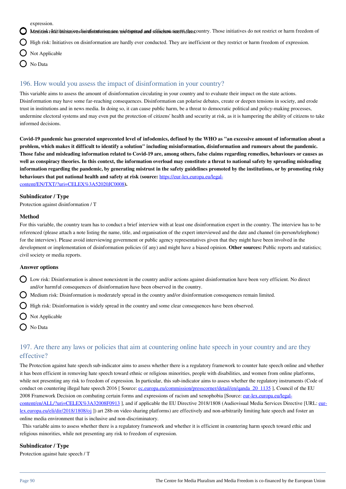expression.

Meditink: Initiatives ion disinformation are wide the read efficient across the country. Those initiatives do not restrict or harm freedom of

High risk: Initiatives on disinformation are hardly ever conducted. They are inefficient or they restrict or harm freedom of expression.

- $\sum$  Not Applicable
- No Data

## 196. How would you assess the impact of disinformation in your country?

This variable aims to assess the amount of disinformation circulating in your country and to evaluate their impact on the state actions. Disinformation may have some far-reaching consequences. Disinformation can polarise debates, create or deepen tensions in society, and erode trust in institutions and in news media. In doing so, it can cause public harm, be a threat to democratic political and policy-making processes, undermine electoral systems and may even put the protection of citizens' health and security at risk, as it is hampering the ability of citizens to take informed decisions.

**Covid-19 pandemic has generated unprecented level of infodemics, defined by the WHO as "an excessive amount of information about a problem, which makes it difficult to identify a solution" including misinformation, disinformation and rumours about the pandemic. Those false and misleading information related to Covid-19 are, among others, false claims regarding remedies, behaviours or causes as well as conspiracy theories. In this context, the information overload may constitute a threat to national safety by spreading misleading information regarding the pandemic, by generating mistrust in the safety guidelines promoted by the institutions, or by promoting risky behaviours that put national health and safety at risk (source:** [https://eur-lex.europa.eu/legal](https://eur-lex.europa.eu/legal-content/EN/TXT/?uri=CELEX%3A52020JC0008)[content/EN/TXT/?uri=CELEX%3A52020JC0008](https://eur-lex.europa.eu/legal-content/EN/TXT/?uri=CELEX%3A52020JC0008)**).**

#### **Subindicator / Type**

Protection against disinformation / T

#### **Method**

For this variable, the country team has to conduct a brief interview with at least one disinformation expert in the country. The interview has to be referenced (please attach a note listing the name, title, and organisation of the expert interviewed and the date and channel (in-person/telephone) for the interview). Please avoid interviewing government or public agency representatives given that they might have been involved in the development or implementation of disinformation policies (if any) and might have a biased opinion. **Other sources:** Public reports and statistics; civil society or media reports.

#### **Answer options**

- Low risk: Disinformation is almost nonexistent in the country and/or actions against disinformation have been very efficient. No direct and/or harmful consequences of disinformation have been observed in the country.
- Medium risk: Disinformation is moderately spread in the country and/or disinformation consequences remain limited.
- High risk: Disinformation is widely spread in the country and some clear consequences have been observed.
- Not Applicable
- O No Data

## 197. Are there any laws or policies that aim at countering online hate speech in your country and are they effective?

The Protection against hate speech sub-indicator aims to assess whether there is a regulatory framework to counter hate speech online and whether it has been efficient in removing hate speech toward ethnic or religious minorities, people with disabilities, and women from online platforms, while not presenting any risk to freedom of expression. In particular, this sub-indicator aims to assess whether the regulatory instruments (Code of conduct on countering illegal hate speech 2016 [ Source: [ec.europa.eu/commission/presscorner/detail/en/qanda\\_20\\_1135](http://ec.europa.eu/commission/presscorner/detail/en/qanda_20_1135) ], Council of the EU 2008 Framework Decision on combating certain forms and expressions of racism and xenophobia [Source: [eur-lex.europa.eu/legal](http://eur-lex.europa.eu/legal-content/en/ALL/?uri=CELEX%3A32008F0913)[content/en/ALL/?uri=CELEX%3A32008F0913](http://eur-lex.europa.eu/legal-content/en/ALL/?uri=CELEX%3A32008F0913) ], and if applicable the EU Directive 2018/1808 (Audiovisual Media Services Directive [URL: [eur](http://eur-lex.europa.eu/eli/dir/2018/1808/oj)[lex.europa.eu/eli/dir/2018/1808/oj](http://eur-lex.europa.eu/eli/dir/2018/1808/oj) ]) art 28b on video sharing platforms) are effectively and non-arbitrarily limiting hate speech and foster an online media environment that is inclusive and non-discriminatory.

 This variable aims to assess whether there is a regulatory framework and whether it is efficient in countering harm speech toward ethic and religious minorities, while not presenting any risk to freedom of expression.

#### **Subindicator / Type**

Protection against hate speech / T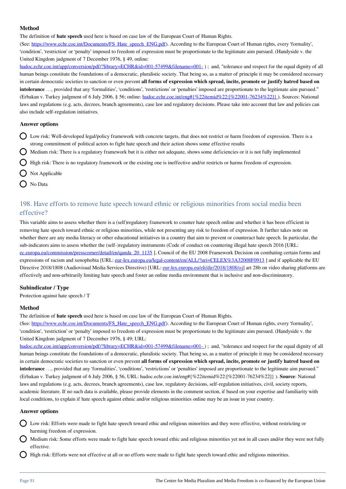The definition of **hate speech** used here is based on case law of the European Court of Human Rights.

(See: [https://www.echr.coe.int/Documents/FS\\_Hate\\_speech\\_ENG.pdf](https://eur03.safelinks.protection.outlook.com/?url=https%3A%2F%2Fwww.echr.coe.int%2FDocuments%2FFS_Hate_speech_ENG.pdf&data=02%7C01%7CIva.Nenadic%40eui.eu%7Ccf122837ccf94b1351c008d76203bcfe%7Cd3f434ee643c409f94aa6db2f23545ce%7C0%7C0%7C637085640506357480&sdata=pCgucObeyxcROq85lUJOyc5VShCiM9JTSmUU2nr6MIs%3D&reserved=0)). According to the European Court of Human rights, every 'formality', 'condition', 'restriction' or 'penalty' imposed to freedom of expression must be proportionate to the legitimate aim pursued. (Handyside v. the United Kingdom judgment of 7 December 1976, § 49, online:

hudoc.echr.coe.int/app/conversion/pdf/?library=ECHR&id=001-57499&filename=001-); and, "tolerance and respect for the equal dignity of all human beings constitute the foundations of a democratic, pluralistic society. That being so, as a matter of principle it may be considered necessary in certain democratic societies to sanction or even prevent **all forms of expression which spread, incite, promote or justify hatred based on intolerance** …, provided that any 'formalities', 'conditions', 'restrictions' or 'penalties' imposed are proportionate to the legitimate aim pursued." (Erbakan v. Turkey judgment of 6 July 2006, § 56; online: [hudoc.echr.coe.int/eng#{%22itemid%22:\[%22001-76234%22\]}](http://hudoc.echr.coe.int/eng#{%22itemid%22:[%22001-76234%22]}) ). Sources: National laws and regulations (e.g. acts, decrees, branch agreements), case law and regulatory decisions. Please take into account that law and policies can also include self-regulation initiatives.

#### **Answer options**

- Low risk: Well-developed legal/policy framework with concrete targets, that does not restrict or harm freedom of expression. There is a strong commitment of political actors to fight hate speech and their action shows some effective results
- Medium risk: There is a regulatory framework but it is either not adequate, shows some deficiencies or it is not fully implemented
- High risk: There is no regulatory framework or the existing one is ineffective and/or restricts or harms freedom of expression.
- Not Applicable
- **O** No Data

## 198. Have efforts to remove hate speech toward ethnic or religious minorities from social media been effective?

This variable aims to assess whether there is a (self)regulatory framework to counter hate speech online and whether it has been efficient in removing hate speech toward ethnic or religious minorities, while not presenting any risk to freedom of expression. It further takes note on whether there are any media literacy or other educational initiatives in a country that aim to prevent or counteract hate speech. In particular, the sub-indicators aims to assess whether the (self-)regulatory instruments (Code of conduct on countering illegal hate speech 2016 [URL: [ec.europa.eu/commission/presscorner/detail/en/qanda\\_20\\_1135](http://ec.europa.eu/commission/presscorner/detail/en/qanda_20_1135) ], Council of the EU 2008 Framework Decision on combating certain forms and expressions of racism and xenophobia [URL: eur-lex.europa.eu/legal-content/en/ALL/?uri=CELEX%3A32008F0913] and if applicable the EU Directive 2018/1808 (Audiovisual Media Services Directive) [URL: [eur-lex.europa.eu/eli/dir/2018/1808/oj](http://eur-lex.europa.eu/eli/dir/2018/1808/oj)] art 28b on video sharing platforms are effectively and non-arbitrarily limiting hate speech and foster an online media environment that is inclusive and non-discriminatory.

#### **Subindicator / Type**

Protection against hate speech / T

#### **Method**

The definition of **hate speech** used here is based on case law of the European Court of Human Rights.

(See: [https://www.echr.coe.int/Documents/FS\\_Hate\\_speech\\_ENG.pdf](https://eur03.safelinks.protection.outlook.com/?url=https%3A%2F%2Fwww.echr.coe.int%2FDocuments%2FFS_Hate_speech_ENG.pdf&data=02%7C01%7CIva.Nenadic%40eui.eu%7Ccf122837ccf94b1351c008d76203bcfe%7Cd3f434ee643c409f94aa6db2f23545ce%7C0%7C0%7C637085640506357480&sdata=pCgucObeyxcROq85lUJOyc5VShCiM9JTSmUU2nr6MIs%3D&reserved=0)). According to the European Court of Human rights, every 'formality', 'condition', 'restriction' or 'penalty' imposed to freedom of expression must be proportionate to the legitimate aim pursued. (Handyside v. the United Kingdom judgment of 7 December 1976, § 49; URL:

hudoc.echr.coe.int/app/conversion/pdf/?library=ECHR&id=001-57499&filename=001-); and, "tolerance and respect for the equal dignity of all human beings constitute the foundations of a democratic, pluralistic society. That being so, as a matter of principle it may be considered necessary in certain democratic societies to sanction or even prevent **all forms of expression which spread, incite, promote or justify hatred based on intolerance** …, provided that any 'formalities', 'conditions', 'restrictions' or 'penalties' imposed are proportionate to the legitimate aim pursued." (Erbakan v. Turkey judgment of 6 July 2006, § 56, URL: hudoc.echr.coe.int/eng#{%22itemid%22:[%22001-76234%22]} ). **Source**: National laws and regulations (e.g. acts, decrees, branch agreements), case law, regulatory decisions, self-regulation initiatives, civil, society reports, academic literature. If no such data is available, please provide elements in the comment section, if based on your expertise and familiarity with local conditions, to explain if hate speech against ethnic and/or religious minorities online may be an issue in your country.

#### **Answer options**

- Low risk: Efforts were made to fight hate speech toward ethic and religious minorities and they were effective, without restricting or harming freedom of expression.
- Medium risk: Some efforts were made to fight hate speech toward ethic and religious minorities yet not in all cases and/or they were not fully effective.
- High risk: Efforts were not effective at all or no efforts were made to fight hate speech toward ethic and religious minorities.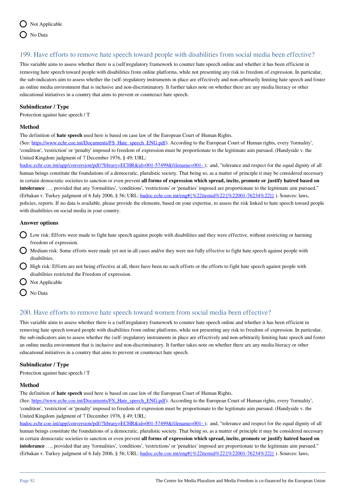

## 199. Have efforts to remove hate speech toward people with disabilities from social media been effective?

This variable aims to assess whether there is a (self)regulatory framework to counter hate speech online and whether it has been efficient in removing hate speech toward people with disabilities from online platforms, while not presenting any risk to freedom of expression. In particular, the sub-indicators aim to assess whether the (self-)regulatory instruments in place are effectively and non-arbitrarily limiting hate speech and foster an online media environment that is inclusive and non-discriminatory. It further takes note on whether there are any media literacy or other educational initiatives in a country that aims to prevent or counteract hate speech.

#### **Subindicator / Type**

Protection against hate speech / T

#### **Method**

The definition of **hate speech** used here is based on case law of the European Court of Human Rights.

(See: [https://www.echr.coe.int/Documents/FS\\_Hate\\_speech\\_ENG.pdf](https://eur03.safelinks.protection.outlook.com/?url=https%3A%2F%2Fwww.echr.coe.int%2FDocuments%2FFS_Hate_speech_ENG.pdf&data=02%7C01%7CIva.Nenadic%40eui.eu%7Ccf122837ccf94b1351c008d76203bcfe%7Cd3f434ee643c409f94aa6db2f23545ce%7C0%7C0%7C637085640506357480&sdata=pCgucObeyxcROq85lUJOyc5VShCiM9JTSmUU2nr6MIs%3D&reserved=0)). According to the European Court of Human rights, every 'formality', 'condition', 'restriction' or 'penalty' imposed to freedom of expression must be proportionate to the legitimate aim pursued. (Handyside v. the United Kingdom judgment of 7 December 1976, § 49; URL:

hudoc.echr.coe.int/app/conversion/pdf/?library=ECHR&id=001-57499&filename=001-); and, "tolerance and respect for the equal dignity of all human beings constitute the foundations of a democratic, pluralistic society. That being so, as a matter of principle it may be considered necessary in certain democratic societies to sanction or even prevent **all forms of expression which spread, incite, promote or justify hatred based on intolerance** …, provided that any 'formalities', 'conditions', 'restrictions' or 'penalties' imposed are proportionate to the legitimate aim pursued." (Erbakan v. Turkey judgment of 6 July 2006, § 56; URL: [hudoc.echr.coe.int/eng#{%22itemid%22:\[%22001-76234%22\]}](http://hudoc.echr.coe.int/eng#{%22itemid%22:[%22001-76234%22]}) ). Sources: laws, policies, reports. If no data is available, please provide the elements, based on your expertise, to assess the risk linked to hate speech toward people with disabilities on social media in your country.

#### **Answer options**

- Low risk: Efforts were made to fight hate speech against people with disabilities and they were effective, without restricting or harming freedom of expression.
- Medium risk: Some efforts were made yet not in all cases and/or they were not fully effective to fight hate speech against people with disabilities.
- High risk: Efforts are not being effective at all, there have been no such efforts or the efforts to fight hate speech against people with disabilities restricted the Freedom of expression.
- $\bigcap$  Not Applicable
- O No Data

## 200. Have efforts to remove hate speech toward women from social media been effective?

This variable aims to assess whether there is a (self)regulatory framework to counter hate speech online and whether it has been efficient in removing hate speech toward people with disabilities from online platforms, while not presenting any risk to freedom of expression. In particular, the sub-indicators aim to assess whether the (self-)regulatory instruments in place are effectively and non-arbitrarily limiting hate speech and foster an online media environment that is inclusive and non-discriminatory. It further takes note on whether there are any media literacy or other educational initiatives in a country that aims to prevent or counteract hate speech.

#### **Subindicator / Type**

Protection against hate speech / T

#### **Method**

The definition of **hate speech** used here is based on case law of the European Court of Human Rights.

(See: [https://www.echr.coe.int/Documents/FS\\_Hate\\_speech\\_ENG.pdf](https://eur03.safelinks.protection.outlook.com/?url=https%3A%2F%2Fwww.echr.coe.int%2FDocuments%2FFS_Hate_speech_ENG.pdf&data=02%7C01%7CIva.Nenadic%40eui.eu%7Ccf122837ccf94b1351c008d76203bcfe%7Cd3f434ee643c409f94aa6db2f23545ce%7C0%7C0%7C637085640506357480&sdata=pCgucObeyxcROq85lUJOyc5VShCiM9JTSmUU2nr6MIs%3D&reserved=0)). According to the European Court of Human rights, every 'formality', 'condition', 'restriction' or 'penalty' imposed to freedom of expression must be proportionate to the legitimate aim pursued. (Handyside v. the United Kingdom judgment of 7 December 1976, § 49; URL:

hudoc.echr.coe.int/app/conversion/pdf/?library=ECHR&id=001-57499&filename=001-); and, "tolerance and respect for the equal dignity of all human beings constitute the foundations of a democratic, pluralistic society. That being so, as a matter of principle it may be considered necessary in certain democratic societies to sanction or even prevent **all forms of expression which spread, incite, promote or justify hatred based on intolerance** …, provided that any 'formalities', 'conditions', 'restrictions' or 'penalties' imposed are proportionate to the legitimate aim pursued." (Erbakan v. Turkey judgment of 6 July 2006, § 56; URL: hudoc.echr.coe.int/eng#{%22itemid%22:[%22001-76234%22]}). Sources: laws,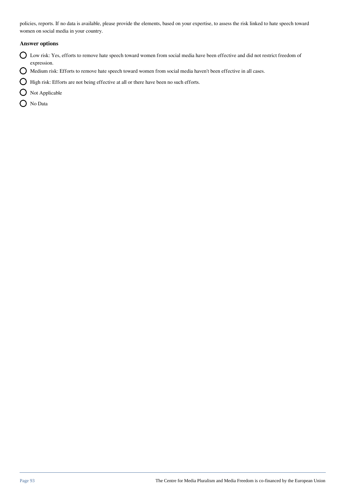policies, reports. If no data is available, please provide the elements, based on your expertise, to assess the risk linked to hate speech toward women on social media in your country.

#### **Answer options**

- Low risk: Yes, efforts to remove hate speech toward women from social media have been effective and did not restrict freedom of expression.
- $\bigcirc$  Medium risk: Efforts to remove hate speech toward women from social media haven't been effective in all cases.
- $\bigcirc$  High risk: Efforts are not being effective at all or there have been no such efforts.
- O Not Applicable
- O No Data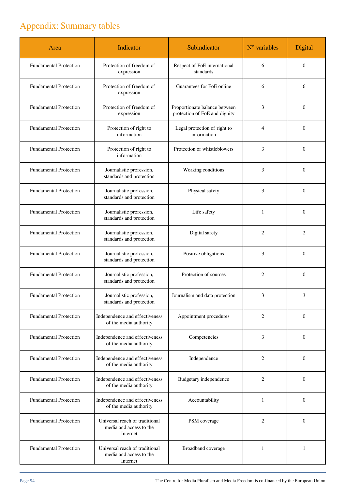# Appendix: Summary tables

| Area                          | Indicator                                                             | Subindicator                                                   | $N°$ variables | Digital        |
|-------------------------------|-----------------------------------------------------------------------|----------------------------------------------------------------|----------------|----------------|
| <b>Fundamental Protection</b> | Protection of freedom of<br>expression                                | Respect of FoE international<br>standards                      | 6              | $\theta$       |
| <b>Fundamental Protection</b> | Protection of freedom of<br>expression                                | Guarantees for FoE online                                      | 6              | 6              |
| <b>Fundamental Protection</b> | Protection of freedom of<br>expression                                | Proportionate balance between<br>protection of FoE and dignity | 3              | $\theta$       |
| <b>Fundamental Protection</b> | Protection of right to<br>information                                 | Legal protection of right to<br>information                    | 4              | $\theta$       |
| <b>Fundamental Protection</b> | Protection of right to<br>information                                 | Protection of whistleblowers                                   | 3              | $\theta$       |
| <b>Fundamental Protection</b> | Journalistic profession,<br>standards and protection                  | Working conditions                                             | 3              | $\theta$       |
| <b>Fundamental Protection</b> | Journalistic profession,<br>standards and protection                  | Physical safety                                                | 3              | $\theta$       |
| <b>Fundamental Protection</b> | Journalistic profession,<br>standards and protection                  | Life safety                                                    | 1              | $\theta$       |
| <b>Fundamental Protection</b> | Journalistic profession,<br>standards and protection                  | Digital safety                                                 | $\overline{c}$ | $\overline{c}$ |
| <b>Fundamental Protection</b> | Journalistic profession,<br>standards and protection                  | Positive obligations                                           | 3              | $\theta$       |
| <b>Fundamental Protection</b> | Journalistic profession,<br>standards and protection                  | Protection of sources                                          | $\overline{2}$ | $\theta$       |
| <b>Fundamental Protection</b> | Journalistic profession,<br>standards and protection                  | Journalism and data protection                                 | 3              | 3              |
| <b>Fundamental Protection</b> | Independence and effectiveness<br>of the media authority              | Appointment procedures                                         | 2              | $\theta$       |
| <b>Fundamental Protection</b> | Independence and effectiveness<br>of the media authority              | Competencies                                                   | 3              | $\theta$       |
| <b>Fundamental Protection</b> | Independence and effectiveness<br>of the media authority              | Independence                                                   | $\overline{c}$ | $\theta$       |
| <b>Fundamental Protection</b> | Independence and effectiveness<br>of the media authority              | Budgetary independence                                         | $\overline{c}$ | $\theta$       |
| <b>Fundamental Protection</b> | Independence and effectiveness<br>of the media authority              | Accountability                                                 | 1              | $\mathbf{0}$   |
| <b>Fundamental Protection</b> | Universal reach of traditional<br>media and access to the<br>Internet | PSM coverage                                                   | $\overline{c}$ | $\theta$       |
| <b>Fundamental Protection</b> | Universal reach of traditional<br>media and access to the<br>Internet | Broadband coverage                                             | $\mathbf{1}$   | $\mathbf{1}$   |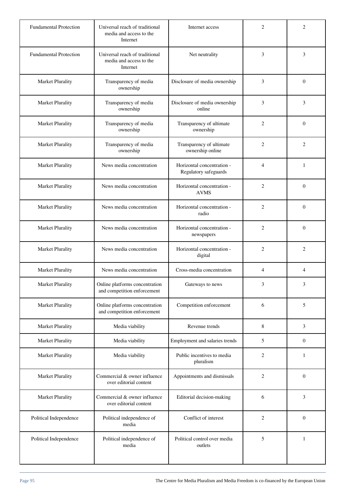| <b>Fundamental Protection</b> | Universal reach of traditional<br>media and access to the<br>Internet | Internet access                                     | 2              | $\overline{c}$   |
|-------------------------------|-----------------------------------------------------------------------|-----------------------------------------------------|----------------|------------------|
| <b>Fundamental Protection</b> | Universal reach of traditional<br>media and access to the<br>Internet | Net neutrality                                      | 3              | 3                |
| Market Plurality              | Transparency of media<br>ownership                                    | Disclosure of media ownership                       | 3              | $\Omega$         |
| Market Plurality              | Transparency of media<br>ownership                                    | Disclosure of media ownership<br>online             | 3              | 3                |
| Market Plurality              | Transparency of media<br>ownership                                    | Transparency of ultimate<br>ownership               | $\overline{2}$ | $\Omega$         |
| Market Plurality              | Transparency of media<br>ownership                                    | Transparency of ultimate<br>ownership online        | $\overline{c}$ | $\overline{2}$   |
| Market Plurality              | News media concentration                                              | Horizontal concentration -<br>Regulatory safeguards | $\overline{4}$ | $\mathbf{1}$     |
| Market Plurality              | News media concentration                                              | Horizontal concentration -<br><b>AVMS</b>           | 2              | $\Omega$         |
| Market Plurality              | News media concentration                                              | Horizontal concentration -<br>radio                 | 2              | $\theta$         |
| Market Plurality              | News media concentration                                              | Horizontal concentration -<br>newspapers            | 2              | $\theta$         |
| Market Plurality              | News media concentration                                              | Horizontal concentration -<br>digital               | $\overline{2}$ | $\overline{c}$   |
| Market Plurality              | News media concentration                                              | Cross-media concentration                           | $\overline{4}$ | $\overline{4}$   |
| Market Plurality              | Online platforms concentration<br>and competition enforcement         | Gateways to news                                    | 3              | 3                |
| Market Plurality              | Online platforms concentration<br>and competition enforcement         | Competition enforcement                             | 6              | 5                |
| Market Plurality              | Media viability                                                       | Revenue trends                                      | 8              | 3                |
| Market Plurality              | Media viability                                                       | Employment and salaries trends                      | 5              | $\boldsymbol{0}$ |
| Market Plurality              | Media viability                                                       | Public incentives to media<br>pluralism             | 2              | $\mathbf{1}$     |
| Market Plurality              | Commercial & owner influence<br>over editorial content                | Appointments and dismissals                         | $\overline{2}$ | $\boldsymbol{0}$ |
| Market Plurality              | Commercial & owner influence<br>over editorial content                | Editorial decision-making                           | 6              | 3                |
| Political Independence        | Political independence of<br>media                                    | Conflict of interest                                | $\overline{2}$ | $\boldsymbol{0}$ |
| Political Independence        | Political independence of<br>media                                    | Political control over media<br>outlets             | 5              | $\mathbf{1}$     |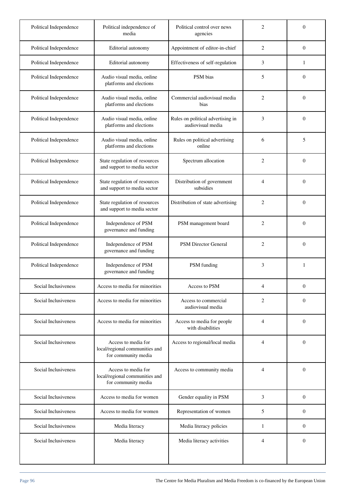| Political Independence | Political independence of<br>media                                           | Political control over news<br>agencies                | $\overline{2}$ | $\mathbf{0}$     |
|------------------------|------------------------------------------------------------------------------|--------------------------------------------------------|----------------|------------------|
| Political Independence | Editorial autonomy                                                           | Appointment of editor-in-chief                         | $\overline{2}$ | $\theta$         |
| Political Independence | Editorial autonomy                                                           | Effectiveness of self-regulation                       | 3              | $\mathbf{1}$     |
| Political Independence | Audio visual media, online<br>platforms and elections                        | PSM bias                                               | 5              | $\theta$         |
| Political Independence | Audio visual media, online<br>platforms and elections                        | Commercial audiovisual media<br>bias                   | $\overline{2}$ | $\theta$         |
| Political Independence | Audio visual media, online<br>platforms and elections                        | Rules on political advertising in<br>audiovisual media | 3              | $\theta$         |
| Political Independence | Audio visual media, online<br>platforms and elections                        | Rules on political advertising<br>online               | 6              | 5                |
| Political Independence | State regulation of resources<br>and support to media sector                 | Spectrum allocation                                    | $\overline{2}$ | $\theta$         |
| Political Independence | State regulation of resources<br>and support to media sector                 | Distribution of government<br>subsidies                | $\overline{4}$ | $\theta$         |
| Political Independence | State regulation of resources<br>and support to media sector                 | Distribution of state advertising                      | $\overline{2}$ | $\theta$         |
| Political Independence | Independence of PSM<br>governance and funding                                | PSM management board                                   | $\overline{2}$ | $\theta$         |
| Political Independence | Independence of PSM<br>governance and funding                                | PSM Director General                                   | $\overline{2}$ | $\theta$         |
| Political Independence | Independence of PSM<br>governance and funding                                | PSM funding                                            | 3              | 1                |
| Social Inclusiveness   | Access to media for minorities                                               | Access to PSM                                          | $\overline{4}$ | $\mathbf{0}$     |
| Social Inclusiveness   | Access to media for minorities                                               | Access to commercial<br>audiovisual media              | 2              | $\mathbf{0}$     |
| Social Inclusiveness   | Access to media for minorities                                               | Access to media for people<br>with disabilities        | $\overline{4}$ | $\mathbf{0}$     |
| Social Inclusiveness   | Access to media for<br>local/regional communities and<br>for community media | Access to regional/local media                         | $\overline{4}$ | $\mathbf{0}$     |
| Social Inclusiveness   | Access to media for<br>local/regional communities and<br>for community media | Access to community media                              | 4              | $\overline{0}$   |
| Social Inclusiveness   | Access to media for women                                                    | Gender equality in PSM                                 | 3              | $\mathbf{0}$     |
| Social Inclusiveness   | Access to media for women                                                    | Representation of women                                | 5              | $\overline{0}$   |
| Social Inclusiveness   | Media literacy                                                               | Media literacy policies                                | $\mathbf{1}$   | $\boldsymbol{0}$ |
| Social Inclusiveness   | Media literacy                                                               | Media literacy activities                              | $\overline{4}$ | $\theta$         |
|                        |                                                                              |                                                        |                |                  |